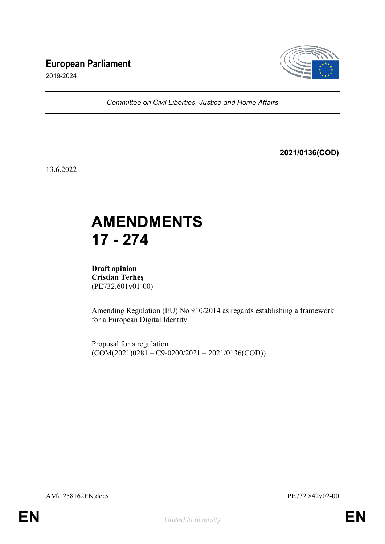## **European Parliament**



2019-2024

*Committee on Civil Liberties, Justice and Home Affairs*

**2021/0136(COD)**

13.6.2022

# **AMENDMENTS 17 - 274**

**Draft opinion Cristian Terheş** (PE732.601v01-00)

Amending Regulation (EU) No 910/2014 as regards establishing a framework for a European Digital Identity

Proposal for a regulation  $(COM(2021)0281 - C9 - 0200/2021 - 2021/0136(COD))$ 

AM\1258162EN.docx PE732.842v02-00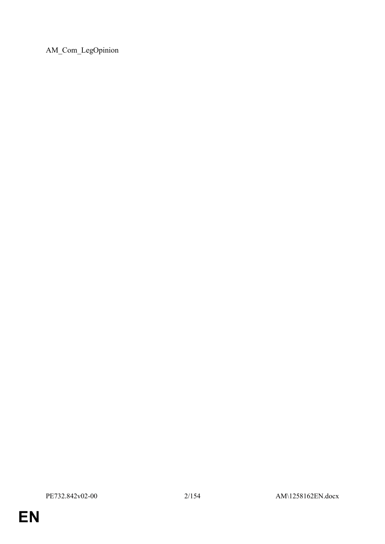AM\_Com\_LegOpinion

**EN**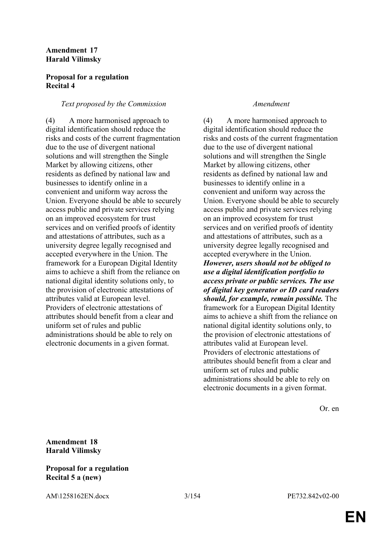### **Amendment 17 Harald Vilimsky**

### **Proposal for a regulation Recital 4**

### *Text proposed by the Commission Amendment*

(4) A more harmonised approach to digital identification should reduce the risks and costs of the current fragmentation due to the use of divergent national solutions and will strengthen the Single Market by allowing citizens, other residents as defined by national law and businesses to identify online in a convenient and uniform way across the Union. Everyone should be able to securely access public and private services relying on an improved ecosystem for trust services and on verified proofs of identity and attestations of attributes, such as a university degree legally recognised and accepted everywhere in the Union. The framework for a European Digital Identity aims to achieve a shift from the reliance on national digital identity solutions only, to the provision of electronic attestations of attributes valid at European level. Providers of electronic attestations of attributes should benefit from a clear and uniform set of rules and public administrations should be able to rely on electronic documents in a given format.

(4) A more harmonised approach to digital identification should reduce the risks and costs of the current fragmentation due to the use of divergent national solutions and will strengthen the Single Market by allowing citizens, other residents as defined by national law and businesses to identify online in a convenient and uniform way across the Union. Everyone should be able to securely access public and private services relying on an improved ecosystem for trust services and on verified proofs of identity and attestations of attributes, such as a university degree legally recognised and accepted everywhere in the Union. *However, users should not be obliged to use a digital identification portfolio to access private or public services. The use of digital key generator or ID card readers should, for example, remain possible.* The framework for a European Digital Identity aims to achieve a shift from the reliance on national digital identity solutions only, to the provision of electronic attestations of attributes valid at European level. Providers of electronic attestations of attributes should benefit from a clear and uniform set of rules and public administrations should be able to rely on electronic documents in a given format.

Or. en

**Amendment 18 Harald Vilimsky**

### **Proposal for a regulation Recital 5 a (new)**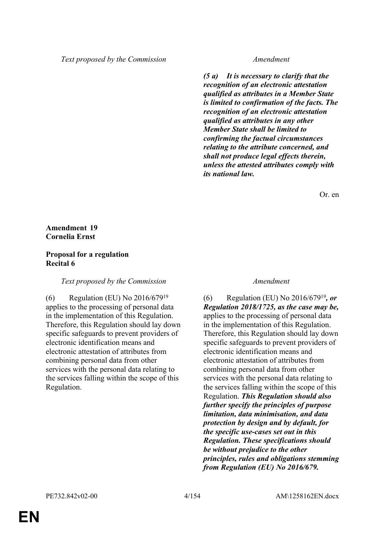*(5 a) It is necessary to clarify that the recognition of an electronic attestation qualified as attributes in a Member State is limited to confirmation of the facts. The recognition of an electronic attestation qualified as attributes in any other Member State shall be limited to confirming the factual circumstances relating to the attribute concerned, and shall not produce legal effects therein, unless the attested attributes comply with its national law.*

Or. en

### **Amendment 19 Cornelia Ernst**

#### **Proposal for a regulation Recital 6**

#### *Text proposed by the Commission Amendment*

(6) Regulation (EU) No 2016/679<sup>19</sup> applies to the processing of personal data in the implementation of this Regulation. Therefore, this Regulation should lay down specific safeguards to prevent providers of electronic identification means and electronic attestation of attributes from combining personal data from other services with the personal data relating to the services falling within the scope of this Regulation.

(6) Regulation (EU) No 2016/679<sup>19</sup>*, or Regulation 2018/1725, as the case may be,* applies to the processing of personal data in the implementation of this Regulation. Therefore, this Regulation should lay down specific safeguards to prevent providers of electronic identification means and electronic attestation of attributes from combining personal data from other services with the personal data relating to the services falling within the scope of this Regulation. *This Regulation should also further specify the principles of purpose limitation, data minimisation, and data protection by design and by default, for the specific use-cases set out in this Regulation. These specifications should be without prejudice to the other principles, rules and obligations stemming from Regulation (EU) No 2016/679.*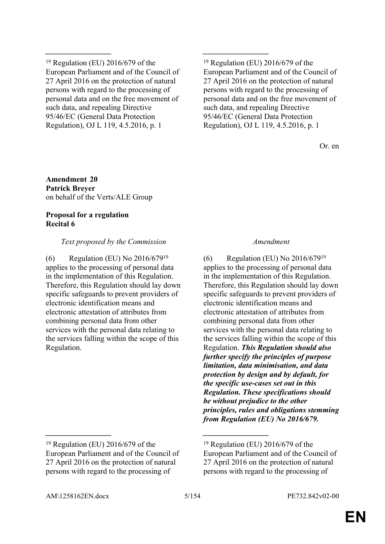<sup>19</sup> Regulation (EU) 2016/679 of the European Parliament and of the Council of 27 April 2016 on the protection of natural persons with regard to the processing of personal data and on the free movement of such data, and repealing Directive 95/46/EC (General Data Protection Regulation), OJ L 119, 4.5.2016, p. 1

*\_\_\_\_\_\_\_\_\_\_\_\_\_\_\_\_\_ \_\_\_\_\_\_\_\_\_\_\_\_\_\_\_\_\_*

 $19$  Regulation (EU) 2016/679 of the European Parliament and of the Council of 27 April 2016 on the protection of natural persons with regard to the processing of personal data and on the free movement of such data, and repealing Directive 95/46/EC (General Data Protection Regulation), OJ L 119, 4.5.2016, p. 1

Or. en

**Amendment 20 Patrick Breyer** on behalf of the Verts/ALE Group

### **Proposal for a regulation Recital 6**

### *Text proposed by the Commission Amendment*

(6) Regulation (EU) No 2016/679<sup>19</sup> applies to the processing of personal data in the implementation of this Regulation. Therefore, this Regulation should lay down specific safeguards to prevent providers of electronic identification means and electronic attestation of attributes from combining personal data from other services with the personal data relating to the services falling within the scope of this Regulation.

(6) Regulation (EU) No 2016/679<sup>19</sup> applies to the processing of personal data in the implementation of this Regulation. Therefore, this Regulation should lay down specific safeguards to prevent providers of electronic identification means and electronic attestation of attributes from combining personal data from other services with the personal data relating to the services falling within the scope of this Regulation. *This Regulation should also further specify the principles of purpose limitation, data minimisation, and data protection by design and by default, for the specific use-cases set out in this Regulation. These specifications should be without prejudice to the other principles, rules and obligations stemming from Regulation (EU) No 2016/679.*

*\_\_\_\_\_\_\_\_\_\_\_\_\_\_\_\_\_ \_\_\_\_\_\_\_\_\_\_\_\_\_\_\_\_\_*

<sup>19</sup> Regulation (EU) 2016/679 of the European Parliament and of the Council of 27 April 2016 on the protection of natural persons with regard to the processing of

 $19$  Regulation (EU) 2016/679 of the European Parliament and of the Council of 27 April 2016 on the protection of natural persons with regard to the processing of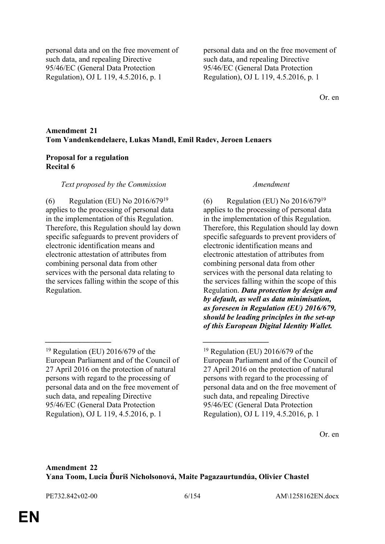personal data and on the free movement of such data, and repealing Directive 95/46/EC (General Data Protection Regulation), OJ L 119, 4.5.2016, p. 1

personal data and on the free movement of such data, and repealing Directive 95/46/EC (General Data Protection Regulation), OJ L 119, 4.5.2016, p. 1

Or. en

### **Amendment 21 Tom Vandenkendelaere, Lukas Mandl, Emil Radev, Jeroen Lenaers**

*\_\_\_\_\_\_\_\_\_\_\_\_\_\_\_\_\_ \_\_\_\_\_\_\_\_\_\_\_\_\_\_\_\_\_*

#### **Proposal for a regulation Recital 6**

#### *Text proposed by the Commission Amendment*

(6) Regulation (EU) No 2016/679<sup>19</sup> applies to the processing of personal data in the implementation of this Regulation. Therefore, this Regulation should lay down specific safeguards to prevent providers of electronic identification means and electronic attestation of attributes from combining personal data from other services with the personal data relating to the services falling within the scope of this Regulation.

(6) Regulation (EU) No 2016/679<sup>19</sup> applies to the processing of personal data in the implementation of this Regulation. Therefore, this Regulation should lay down specific safeguards to prevent providers of electronic identification means and electronic attestation of attributes from combining personal data from other services with the personal data relating to the services falling within the scope of this Regulation. *Data protection by design and by default, as well as data minimisation, as foreseen in Regulation (EU) 2016/679, should be leading principles in the set-up of this European Digital Identity Wallet.*

Or. en

#### **Amendment 22 Yana Toom, Lucia Ďuriš Nicholsonová, Maite Pagazaurtundúa, Olivier Chastel**

<sup>19</sup> Regulation (EU) 2016/679 of the European Parliament and of the Council of 27 April 2016 on the protection of natural persons with regard to the processing of personal data and on the free movement of such data, and repealing Directive 95/46/EC (General Data Protection Regulation), OJ L 119, 4.5.2016, p. 1

 $19$  Regulation (EU) 2016/679 of the European Parliament and of the Council of 27 April 2016 on the protection of natural persons with regard to the processing of personal data and on the free movement of such data, and repealing Directive 95/46/EC (General Data Protection Regulation), OJ L 119, 4.5.2016, p. 1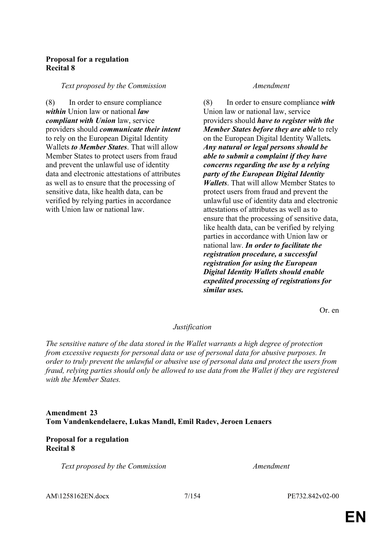### **Proposal for a regulation Recital 8**

#### *Text proposed by the Commission Amendment*

(8) In order to ensure compliance *within* Union law or national *law compliant with Union* law, service providers should *communicate their intent* to rely on the European Digital Identity Wallets *to Member States*. That will allow Member States to protect users from fraud and prevent the unlawful use of identity data and electronic attestations of attributes as well as to ensure that the processing of sensitive data, like health data, can be verified by relying parties in accordance with Union law or national law.

(8) In order to ensure compliance *with* Union law or national law, service providers should *have to register with the Member States before they are able* to rely on the European Digital Identity Wallets*. Any natural or legal persons should be able to submit a complaint if they have concerns regarding the use by a relying party of the European Digital Identity Wallets*. That will allow Member States to protect users from fraud and prevent the unlawful use of identity data and electronic attestations of attributes as well as to ensure that the processing of sensitive data, like health data, can be verified by relying parties in accordance with Union law or national law. *In order to facilitate the registration procedure, a successful registration for using the European Digital Identity Wallets should enable expedited processing of registrations for similar uses.*

Or. en

#### *Justification*

*The sensitive nature of the data stored in the Wallet warrants a high degree of protection from excessive requests for personal data or use of personal data for abusive purposes. In order to truly prevent the unlawful or abusive use of personal data and protect the users from fraud, relying parties should only be allowed to use data from the Wallet if they are registered with the Member States.*

### **Amendment 23 Tom Vandenkendelaere, Lukas Mandl, Emil Radev, Jeroen Lenaers**

### **Proposal for a regulation Recital 8**

*Text proposed by the Commission Amendment*

AM\1258162EN.docx 7/154 PE732.842v02-00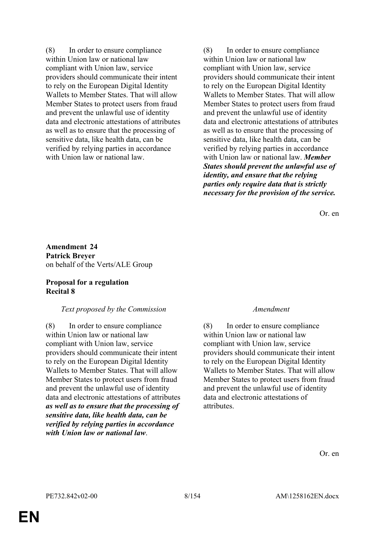(8) In order to ensure compliance within Union law or national law compliant with Union law, service providers should communicate their intent to rely on the European Digital Identity Wallets to Member States. That will allow Member States to protect users from fraud and prevent the unlawful use of identity data and electronic attestations of attributes as well as to ensure that the processing of sensitive data, like health data, can be verified by relying parties in accordance with Union law or national law.

(8) In order to ensure compliance within Union law or national law compliant with Union law, service providers should communicate their intent to rely on the European Digital Identity Wallets to Member States. That will allow Member States to protect users from fraud and prevent the unlawful use of identity data and electronic attestations of attributes as well as to ensure that the processing of sensitive data, like health data, can be verified by relying parties in accordance with Union law or national law. *Member States should prevent the unlawful use of identity, and ensure that the relying parties only require data that is strictly necessary for the provision of the service.*

Or. en

**Amendment 24 Patrick Breyer** on behalf of the Verts/ALE Group

### **Proposal for a regulation Recital 8**

#### *Text proposed by the Commission Amendment*

(8) In order to ensure compliance within Union law or national law compliant with Union law, service providers should communicate their intent to rely on the European Digital Identity Wallets to Member States. That will allow Member States to protect users from fraud and prevent the unlawful use of identity data and electronic attestations of attributes *as well as to ensure that the processing of sensitive data, like health data, can be verified by relying parties in accordance with Union law or national law*.

(8) In order to ensure compliance within Union law or national law compliant with Union law, service providers should communicate their intent to rely on the European Digital Identity Wallets to Member States. That will allow Member States to protect users from fraud and prevent the unlawful use of identity data and electronic attestations of attributes.

Or. en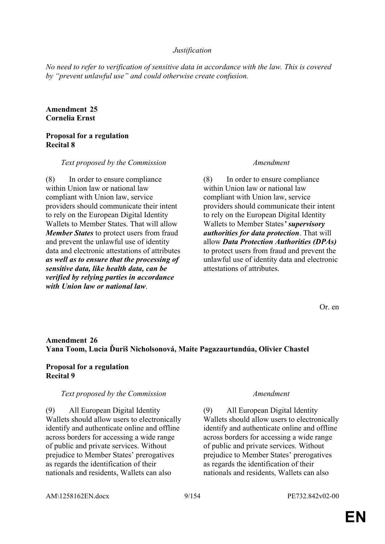### *Justification*

*No need to refer to verification of sensitive data in accordance with the law. This is covered by "prevent unlawful use" and could otherwise create confusion.*

### **Amendment 25 Cornelia Ernst**

#### **Proposal for a regulation Recital 8**

#### *Text proposed by the Commission Amendment*

(8) In order to ensure compliance within Union law or national law compliant with Union law, service providers should communicate their intent to rely on the European Digital Identity Wallets to Member States. That will allow *Member States* to protect users from fraud and prevent the unlawful use of identity data and electronic attestations of attributes *as well as to ensure that the processing of sensitive data, like health data, can be verified by relying parties in accordance with Union law or national law*.

(8) In order to ensure compliance within Union law or national law compliant with Union law, service providers should communicate their intent to rely on the European Digital Identity Wallets to Member States*' supervisory authorities for data protection*. That will allow *Data Protection Authorities (DPAs)* to protect users from fraud and prevent the unlawful use of identity data and electronic attestations of attributes.

Or. en

### **Amendment 26 Yana Toom, Lucia Ďuriš Nicholsonová, Maite Pagazaurtundúa, Olivier Chastel**

#### **Proposal for a regulation Recital 9**

#### *Text proposed by the Commission Amendment*

(9) All European Digital Identity Wallets should allow users to electronically identify and authenticate online and offline across borders for accessing a wide range of public and private services. Without prejudice to Member States' prerogatives as regards the identification of their nationals and residents, Wallets can also

(9) All European Digital Identity Wallets should allow users to electronically identify and authenticate online and offline across borders for accessing a wide range of public and private services. Without prejudice to Member States' prerogatives as regards the identification of their nationals and residents, Wallets can also

AM\1258162EN.docx 9/154 PE732.842v02-00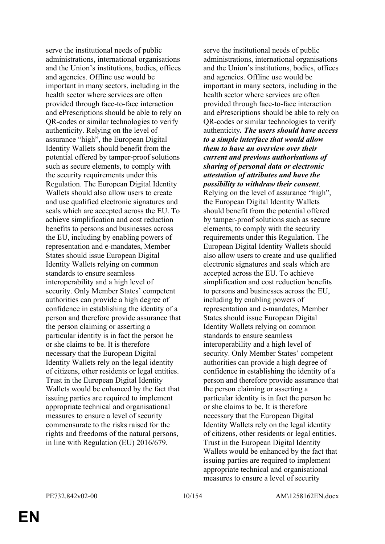serve the institutional needs of public administrations, international organisations and the Union's institutions, bodies, offices and agencies. Offline use would be important in many sectors, including in the health sector where services are often provided through face-to-face interaction and ePrescriptions should be able to rely on QR-codes or similar technologies to verify authenticity. Relying on the level of assurance "high", the European Digital Identity Wallets should benefit from the potential offered by tamper-proof solutions such as secure elements, to comply with the security requirements under this Regulation. The European Digital Identity Wallets should also allow users to create and use qualified electronic signatures and seals which are accepted across the EU. To achieve simplification and cost reduction benefits to persons and businesses across the EU, including by enabling powers of representation and e-mandates, Member States should issue European Digital Identity Wallets relying on common standards to ensure seamless interoperability and a high level of security. Only Member States' competent authorities can provide a high degree of confidence in establishing the identity of a person and therefore provide assurance that the person claiming or asserting a particular identity is in fact the person he or she claims to be. It is therefore necessary that the European Digital Identity Wallets rely on the legal identity of citizens, other residents or legal entities. Trust in the European Digital Identity Wallets would be enhanced by the fact that issuing parties are required to implement appropriate technical and organisational measures to ensure a level of security commensurate to the risks raised for the rights and freedoms of the natural persons, in line with Regulation (EU) 2016/679.

serve the institutional needs of public administrations, international organisations and the Union's institutions, bodies, offices and agencies. Offline use would be important in many sectors, including in the health sector where services are often provided through face-to-face interaction and ePrescriptions should be able to rely on QR-codes or similar technologies to verify authenticity*. The users should have access to a simple interface that would allow them to have an overview over their current and previous authorisations of sharing of personal data or electronic attestation of attributes and have the possibility to withdraw their consent*. Relying on the level of assurance "high", the European Digital Identity Wallets should benefit from the potential offered by tamper-proof solutions such as secure elements, to comply with the security requirements under this Regulation. The European Digital Identity Wallets should also allow users to create and use qualified electronic signatures and seals which are accepted across the EU. To achieve simplification and cost reduction benefits to persons and businesses across the EU, including by enabling powers of representation and e-mandates, Member States should issue European Digital Identity Wallets relying on common standards to ensure seamless interoperability and a high level of security. Only Member States' competent authorities can provide a high degree of confidence in establishing the identity of a person and therefore provide assurance that the person claiming or asserting a particular identity is in fact the person he or she claims to be. It is therefore necessary that the European Digital Identity Wallets rely on the legal identity of citizens, other residents or legal entities. Trust in the European Digital Identity Wallets would be enhanced by the fact that issuing parties are required to implement appropriate technical and organisational measures to ensure a level of security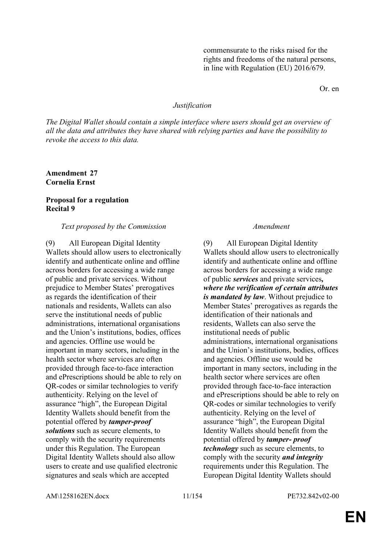commensurate to the risks raised for the rights and freedoms of the natural persons, in line with Regulation (EU) 2016/679.

Or. en

#### *Justification*

*The Digital Wallet should contain a simple interface where users should get an overview of all the data and attributes they have shared with relying parties and have the possibility to revoke the access to this data.*

**Amendment 27 Cornelia Ernst**

#### **Proposal for a regulation Recital 9**

#### *Text proposed by the Commission Amendment*

(9) All European Digital Identity Wallets should allow users to electronically identify and authenticate online and offline across borders for accessing a wide range of public and private services. Without prejudice to Member States' prerogatives as regards the identification of their nationals and residents, Wallets can also serve the institutional needs of public administrations, international organisations and the Union's institutions, bodies, offices and agencies. Offline use would be important in many sectors, including in the health sector where services are often provided through face-to-face interaction and ePrescriptions should be able to rely on QR-codes or similar technologies to verify authenticity. Relying on the level of assurance "high", the European Digital Identity Wallets should benefit from the potential offered by *tamper-proof solutions* such as secure elements, to comply with the security requirements under this Regulation. The European Digital Identity Wallets should also allow users to create and use qualified electronic signatures and seals which are accepted

(9) All European Digital Identity Wallets should allow users to electronically identify and authenticate online and offline across borders for accessing a wide range of public *services* and private services*, where the verification of certain attributes is mandated by law*. Without prejudice to Member States' prerogatives as regards the identification of their nationals and residents, Wallets can also serve the institutional needs of public administrations, international organisations and the Union's institutions, bodies, offices and agencies. Offline use would be important in many sectors, including in the health sector where services are often provided through face-to-face interaction and ePrescriptions should be able to rely on QR-codes or similar technologies to verify authenticity. Relying on the level of assurance "high", the European Digital Identity Wallets should benefit from the potential offered by *tamper- proof technology* such as secure elements, to comply with the security *and integrity* requirements under this Regulation. The European Digital Identity Wallets should

AM\1258162EN.docx 11/154 PE732.842v02-00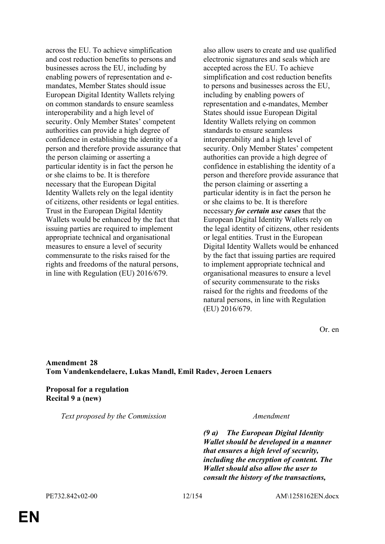across the EU. To achieve simplification and cost reduction benefits to persons and businesses across the EU, including by enabling powers of representation and emandates, Member States should issue European Digital Identity Wallets relying on common standards to ensure seamless interoperability and a high level of security. Only Member States' competent authorities can provide a high degree of confidence in establishing the identity of a person and therefore provide assurance that the person claiming or asserting a particular identity is in fact the person he or she claims to be. It is therefore necessary that the European Digital Identity Wallets rely on the legal identity of citizens, other residents or legal entities. Trust in the European Digital Identity Wallets would be enhanced by the fact that issuing parties are required to implement appropriate technical and organisational measures to ensure a level of security commensurate to the risks raised for the rights and freedoms of the natural persons, in line with Regulation (EU) 2016/679.

also allow users to create and use qualified electronic signatures and seals which are accepted across the EU. To achieve simplification and cost reduction benefits to persons and businesses across the EU, including by enabling powers of representation and e-mandates, Member States should issue European Digital Identity Wallets relying on common standards to ensure seamless interoperability and a high level of security. Only Member States' competent authorities can provide a high degree of confidence in establishing the identity of a person and therefore provide assurance that the person claiming or asserting a particular identity is in fact the person he or she claims to be. It is therefore necessary *for certain use cases* that the European Digital Identity Wallets rely on the legal identity of citizens, other residents or legal entities. Trust in the European Digital Identity Wallets would be enhanced by the fact that issuing parties are required to implement appropriate technical and organisational measures to ensure a level of security commensurate to the risks raised for the rights and freedoms of the natural persons, in line with Regulation (EU) 2016/679.

Or. en

### **Amendment 28 Tom Vandenkendelaere, Lukas Mandl, Emil Radev, Jeroen Lenaers**

**Proposal for a regulation Recital 9 a (new)**

*Text proposed by the Commission Amendment*

*(9 a) The European Digital Identity Wallet should be developed in a manner that ensures a high level of security, including the encryption of content. The Wallet should also allow the user to consult the history of the transactions,*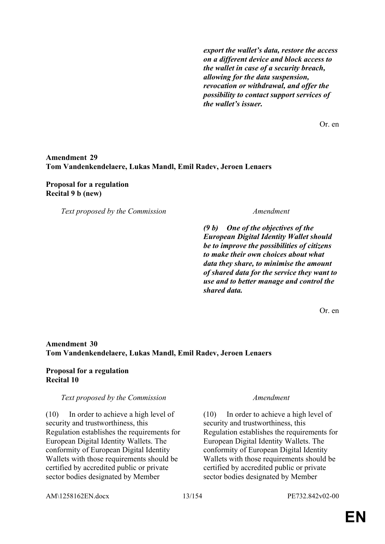*export the wallet's data, restore the access on a different device and block access to the wallet in case of a security breach, allowing for the data suspension, revocation or withdrawal, and offer the possibility to contact support services of the wallet's issuer.*

Or. en

#### **Amendment 29 Tom Vandenkendelaere, Lukas Mandl, Emil Radev, Jeroen Lenaers**

#### **Proposal for a regulation Recital 9 b (new)**

*Text proposed by the Commission Amendment*

*(9 b) One of the objectives of the European Digital Identity Wallet should be to improve the possibilities of citizens to make their own choices about what data they share, to minimise the amount of shared data for the service they want to use and to better manage and control the shared data.*

Or. en

### **Amendment 30 Tom Vandenkendelaere, Lukas Mandl, Emil Radev, Jeroen Lenaers**

### **Proposal for a regulation Recital 10**

#### *Text proposed by the Commission Amendment*

(10) In order to achieve a high level of security and trustworthiness, this Regulation establishes the requirements for European Digital Identity Wallets. The conformity of European Digital Identity Wallets with those requirements should be certified by accredited public or private sector bodies designated by Member

(10) In order to achieve a high level of security and trustworthiness, this Regulation establishes the requirements for European Digital Identity Wallets. The conformity of European Digital Identity Wallets with those requirements should be certified by accredited public or private sector bodies designated by Member

AM\1258162EN.docx 13/154 PE732.842v02-00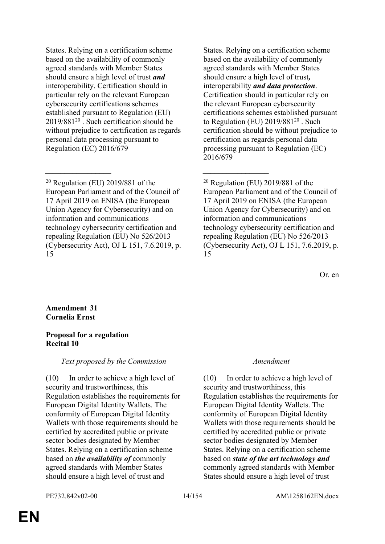States. Relying on a certification scheme based on the availability of commonly agreed standards with Member States should ensure a high level of trust *and* interoperability. Certification should in particular rely on the relevant European cybersecurity certifications schemes established pursuant to Regulation (EU) 2019/881<sup>20</sup> . Such certification should be without prejudice to certification as regards personal data processing pursuant to Regulation (EC) 2016/679

<sup>20</sup> Regulation (EU) 2019/881 of the European Parliament and of the Council of 17 April 2019 on ENISA (the European Union Agency for Cybersecurity) and on information and communications technology cybersecurity certification and repealing Regulation (EU) No 526/2013 (Cybersecurity Act), OJ L 151, 7.6.2019, p. 15

*\_\_\_\_\_\_\_\_\_\_\_\_\_\_\_\_\_ \_\_\_\_\_\_\_\_\_\_\_\_\_\_\_\_\_*

States. Relying on a certification scheme based on the availability of commonly agreed standards with Member States should ensure a high level of trust*,* interoperability *and data protection*. Certification should in particular rely on the relevant European cybersecurity certifications schemes established pursuant to Regulation (EU) 2019/881<sup>20</sup> . Such certification should be without prejudice to certification as regards personal data processing pursuant to Regulation (EC) 2016/679

<sup>20</sup> Regulation (EU) 2019/881 of the European Parliament and of the Council of 17 April 2019 on ENISA (the European Union Agency for Cybersecurity) and on information and communications technology cybersecurity certification and repealing Regulation (EU) No 526/2013 (Cybersecurity Act), OJ L 151, 7.6.2019, p. 15

Or. en

**Amendment 31 Cornelia Ernst**

### **Proposal for a regulation Recital 10**

*Text proposed by the Commission Amendment*

(10) In order to achieve a high level of security and trustworthiness, this Regulation establishes the requirements for European Digital Identity Wallets. The conformity of European Digital Identity Wallets with those requirements should be certified by accredited public or private sector bodies designated by Member States. Relying on a certification scheme based on *the availability of* commonly agreed standards with Member States should ensure a high level of trust and

(10) In order to achieve a high level of security and trustworthiness, this Regulation establishes the requirements for European Digital Identity Wallets. The conformity of European Digital Identity Wallets with those requirements should be certified by accredited public or private sector bodies designated by Member States. Relying on a certification scheme based on *state of the art technology and* commonly agreed standards with Member States should ensure a high level of trust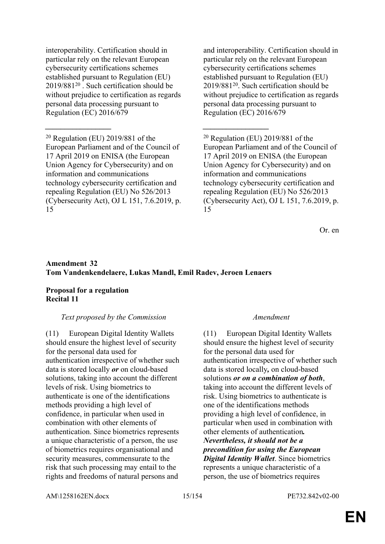interoperability. Certification should in particular rely on the relevant European cybersecurity certifications schemes established pursuant to Regulation (EU) 2019/881<sup>20</sup> . Such certification should be without prejudice to certification as regards personal data processing pursuant to Regulation (EC) 2016/679

and interoperability. Certification should in particular rely on the relevant European cybersecurity certifications schemes established pursuant to Regulation (EU) 2019/881<sup>20</sup>. Such certification should be without prejudice to certification as regards personal data processing pursuant to Regulation (EC) 2016/679

<sup>20</sup> Regulation (EU) 2019/881 of the European Parliament and of the Council of 17 April 2019 on ENISA (the European Union Agency for Cybersecurity) and on information and communications technology cybersecurity certification and repealing Regulation (EU) No 526/2013 (Cybersecurity Act), OJ L 151, 7.6.2019, p. 15

Or. en

### **Amendment 32 Tom Vandenkendelaere, Lukas Mandl, Emil Radev, Jeroen Lenaers**

*\_\_\_\_\_\_\_\_\_\_\_\_\_\_\_\_\_ \_\_\_\_\_\_\_\_\_\_\_\_\_\_\_\_\_*

### **Proposal for a regulation Recital 11**

### *Text proposed by the Commission Amendment*

(11) European Digital Identity Wallets should ensure the highest level of security for the personal data used for authentication irrespective of whether such data is stored locally *or* on cloud-based solutions, taking into account the different levels of risk. Using biometrics to authenticate is one of the identifications methods providing a high level of confidence, in particular when used in combination with other elements of authentication. Since biometrics represents a unique characteristic of a person, the use of biometrics requires organisational and security measures, commensurate to the risk that such processing may entail to the rights and freedoms of natural persons and

(11) European Digital Identity Wallets should ensure the highest level of security for the personal data used for authentication irrespective of whether such data is stored locally*,* on cloud-based solutions *or on a combination of both*, taking into account the different levels of risk. Using biometrics to authenticate is one of the identifications methods providing a high level of confidence, in particular when used in combination with other elements of authentication*. Nevertheless, it should not be a precondition for using the European Digital Identity Wallet*. Since biometrics represents a unique characteristic of a person, the use of biometrics requires

AM\1258162EN.docx 15/154 PE732.842v02-00

<sup>20</sup> Regulation (EU) 2019/881 of the European Parliament and of the Council of 17 April 2019 on ENISA (the European Union Agency for Cybersecurity) and on information and communications technology cybersecurity certification and repealing Regulation (EU) No 526/2013 (Cybersecurity Act), OJ L 151, 7.6.2019, p. 15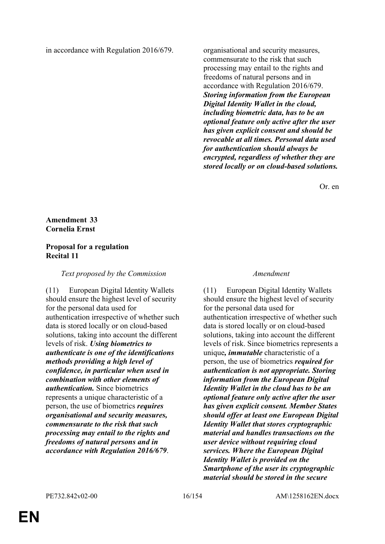in accordance with Regulation 2016/679. organisational and security measures,

commensurate to the risk that such processing may entail to the rights and freedoms of natural persons and in accordance with Regulation 2016/679. *Storing information from the European Digital Identity Wallet in the cloud, including biometric data, has to be an optional feature only active after the user has given explicit consent and should be revocable at all times. Personal data used for authentication should always be encrypted, regardless of whether they are stored locally or on cloud-based solutions.*

Or. en

### **Amendment 33 Cornelia Ernst**

### **Proposal for a regulation Recital 11**

#### *Text proposed by the Commission Amendment*

(11) European Digital Identity Wallets should ensure the highest level of security for the personal data used for authentication irrespective of whether such data is stored locally or on cloud-based solutions, taking into account the different levels of risk. *Using biometrics to authenticate is one of the identifications methods providing a high level of confidence, in particular when used in combination with other elements of authentication.* Since biometrics represents a unique characteristic of a person, the use of biometrics *requires organisational and security measures, commensurate to the risk that such processing may entail to the rights and freedoms of natural persons and in accordance with Regulation 2016/679*.

(11) European Digital Identity Wallets should ensure the highest level of security for the personal data used for authentication irrespective of whether such data is stored locally or on cloud-based solutions, taking into account the different levels of risk. Since biometrics represents a unique*, immutable* characteristic of a person, the use of biometrics *required for authentication is not appropriate. Storing information from the European Digital Identity Wallet in the cloud has to be an optional feature only active after the user has given explicit consent. Member States should offer at least one European Digital Identity Wallet that stores cryptographic material and handles transactions on the user device without requiring cloud services. Where the European Digital Identity Wallet is provided on the Smartphone of the user its cryptographic material should be stored in the secure*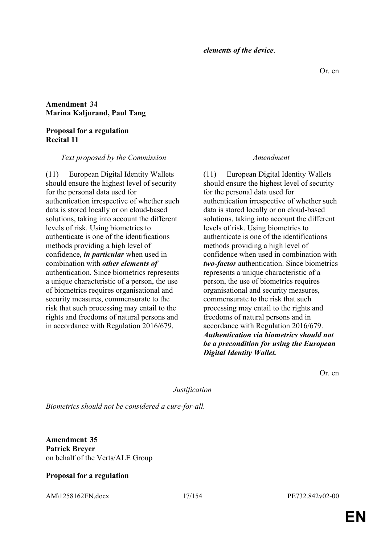*elements of the device*.

### **Amendment 34 Marina Kaljurand, Paul Tang**

#### **Proposal for a regulation Recital 11**

#### *Text proposed by the Commission Amendment*

(11) European Digital Identity Wallets should ensure the highest level of security for the personal data used for authentication irrespective of whether such data is stored locally or on cloud-based solutions, taking into account the different levels of risk. Using biometrics to authenticate is one of the identifications methods providing a high level of confidence*, in particular* when used in combination with *other elements of* authentication. Since biometrics represents a unique characteristic of a person, the use of biometrics requires organisational and security measures, commensurate to the risk that such processing may entail to the rights and freedoms of natural persons and in accordance with Regulation 2016/679.

(11) European Digital Identity Wallets should ensure the highest level of security for the personal data used for authentication irrespective of whether such data is stored locally or on cloud-based solutions, taking into account the different levels of risk. Using biometrics to authenticate is one of the identifications methods providing a high level of confidence when used in combination with *two-factor* authentication. Since biometrics represents a unique characteristic of a person, the use of biometrics requires organisational and security measures, commensurate to the risk that such processing may entail to the rights and freedoms of natural persons and in accordance with Regulation 2016/679. *Authentication via biometrics should not be a precondition for using the European Digital Identity Wallet.*

Or. en

#### *Justification*

*Biometrics should not be considered a cure-for-all.*

**Amendment 35 Patrick Breyer** on behalf of the Verts/ALE Group

### **Proposal for a regulation**

AM\1258162EN.docx 17/154 PE732.842v02-00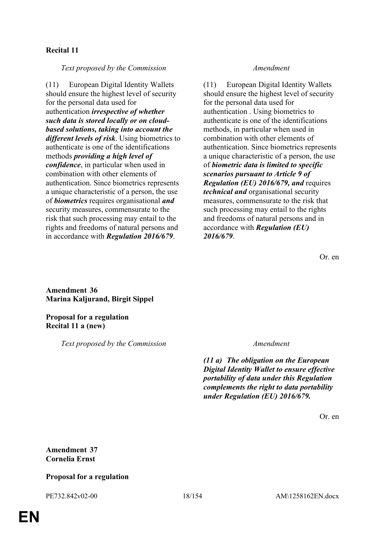### **Recital 11**

*Text proposed by the Commission Amendment*

(11) European Digital Identity Wallets should ensure the highest level of security for the personal data used for authentication *irrespective of whether such data is stored locally or on cloudbased solutions, taking into account the different levels of risk*. Using biometrics to authenticate is one of the identifications methods *providing a high level of confidence*, in particular when used in combination with other elements of authentication. Since biometrics represents a unique characteristic of a person, the use of *biometrics* requires organisational *and* security measures, commensurate to the risk that such processing may entail to the rights and freedoms of natural persons and in accordance with *Regulation 2016/679*.

(11) European Digital Identity Wallets should ensure the highest level of security for the personal data used for authentication . Using biometrics to authenticate is one of the identifications methods, in particular when used in combination with other elements of authentication. Since biometrics represents a unique characteristic of a person, the use of *biometric data is limited to specific scenarios pursuant to Article 9 of Regulation (EU) 2016/679, and* requires *technical and* organisational security measures, commensurate to the risk that such processing may entail to the rights and freedoms of natural persons and in accordance with *Regulation (EU) 2016/679*.

Or. en

**Amendment 36 Marina Kaljurand, Birgit Sippel**

**Proposal for a regulation Recital 11 a (new)**

*Text proposed by the Commission Amendment*

*(11 a) The obligation on the European Digital Identity Wallet to ensure effective portability of data under this Regulation complements the right to data portability under Regulation (EU) 2016/679.*

Or. en

**Amendment 37 Cornelia Ernst**

### **Proposal for a regulation**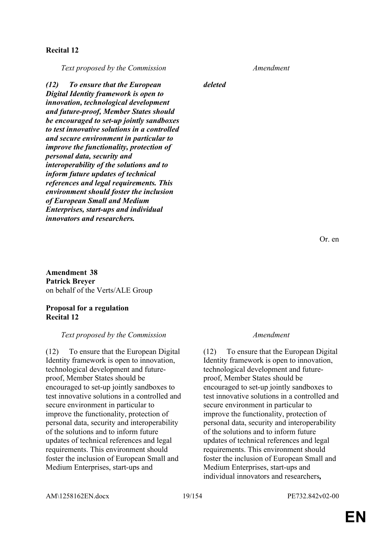### **Recital 12**

*Text proposed by the Commission Amendment*

*(12) To ensure that the European Digital Identity framework is open to innovation, technological development and future-proof, Member States should be encouraged to set-up jointly sandboxes to test innovative solutions in a controlled and secure environment in particular to improve the functionality, protection of personal data, security and interoperability of the solutions and to inform future updates of technical references and legal requirements. This environment should foster the inclusion of European Small and Medium Enterprises, start-ups and individual innovators and researchers.*

**Amendment 38 Patrick Breyer** on behalf of the Verts/ALE Group

#### **Proposal for a regulation Recital 12**

#### *Text proposed by the Commission Amendment*

(12) To ensure that the European Digital Identity framework is open to innovation, technological development and futureproof, Member States should be encouraged to set-up jointly sandboxes to test innovative solutions in a controlled and secure environment in particular to improve the functionality, protection of personal data, security and interoperability of the solutions and to inform future updates of technical references and legal requirements. This environment should foster the inclusion of European Small and Medium Enterprises, start-ups and

*deleted*

Or. en

(12) To ensure that the European Digital Identity framework is open to innovation, technological development and futureproof, Member States should be encouraged to set-up jointly sandboxes to test innovative solutions in a controlled and secure environment in particular to improve the functionality, protection of personal data, security and interoperability of the solutions and to inform future updates of technical references and legal requirements. This environment should foster the inclusion of European Small and Medium Enterprises, start-ups and individual innovators and researchers*,*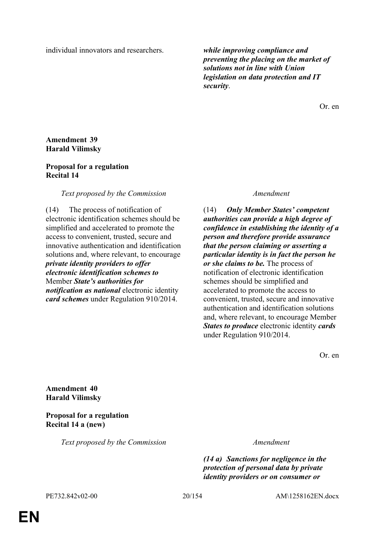individual innovators and researchers. *while improving compliance and* 

*preventing the placing on the market of solutions not in line with Union legislation on data protection and IT security*.

Or. en

### **Amendment 39 Harald Vilimsky**

### **Proposal for a regulation Recital 14**

### *Text proposed by the Commission Amendment*

(14) The process of notification of electronic identification schemes should be simplified and accelerated to promote the access to convenient, trusted, secure and innovative authentication and identification solutions and, where relevant, to encourage *private identity providers to offer electronic identification schemes to* Member *State's authorities for notification as national* electronic identity *card schemes* under Regulation 910/2014.

(14) *Only Member States' competent authorities can provide a high degree of confidence in establishing the identity of a person and therefore provide assurance that the person claiming or asserting a particular identity is in fact the person he or she claims to be.* The process of notification of electronic identification schemes should be simplified and accelerated to promote the access to convenient, trusted, secure and innovative authentication and identification solutions and, where relevant, to encourage Member *States to produce* electronic identity *cards* under Regulation 910/2014.

Or. en

**Amendment 40 Harald Vilimsky**

**Proposal for a regulation Recital 14 a (new)**

*Text proposed by the Commission Amendment*

*(14 a) Sanctions for negligence in the protection of personal data by private identity providers or on consumer or*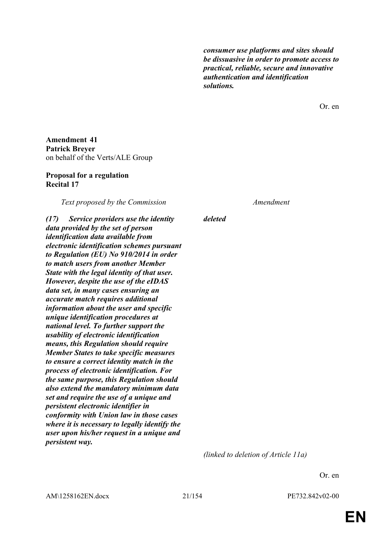*consumer use platforms and sites should be dissuasive in order to promote access to practical, reliable, secure and innovative authentication and identification solutions.*

Or. en

**Amendment 41 Patrick Breyer** on behalf of the Verts/ALE Group

#### **Proposal for a regulation Recital 17**

*Text proposed by the Commission Amendment*

*(17) Service providers use the identity data provided by the set of person identification data available from electronic identification schemes pursuant to Regulation (EU) No 910/2014 in order to match users from another Member State with the legal identity of that user. However, despite the use of the eIDAS data set, in many cases ensuring an accurate match requires additional information about the user and specific unique identification procedures at national level. To further support the usability of electronic identification means, this Regulation should require Member States to take specific measures to ensure a correct identity match in the process of electronic identification. For the same purpose, this Regulation should also extend the mandatory minimum data set and require the use of a unique and persistent electronic identifier in conformity with Union law in those cases where it is necessary to legally identify the user upon his/her request in a unique and persistent way.*

*deleted*

*(linked to deletion of Article 11a)*

Or. en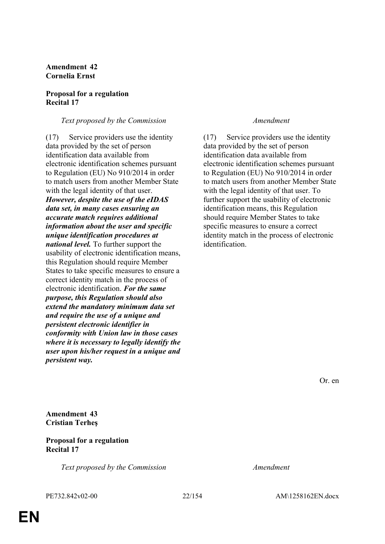### **Amendment 42 Cornelia Ernst**

#### **Proposal for a regulation Recital 17**

### *Text proposed by the Commission Amendment*

(17) Service providers use the identity data provided by the set of person identification data available from electronic identification schemes pursuant to Regulation (EU) No 910/2014 in order to match users from another Member State with the legal identity of that user. *However, despite the use of the eIDAS data set, in many cases ensuring an accurate match requires additional information about the user and specific unique identification procedures at national level.* To further support the usability of electronic identification means, this Regulation should require Member States to take specific measures to ensure a correct identity match in the process of electronic identification. *For the same purpose, this Regulation should also extend the mandatory minimum data set and require the use of a unique and persistent electronic identifier in conformity with Union law in those cases where it is necessary to legally identify the user upon his/her request in a unique and persistent way.*

(17) Service providers use the identity data provided by the set of person identification data available from electronic identification schemes pursuant to Regulation (EU) No 910/2014 in order to match users from another Member State with the legal identity of that user. To further support the usability of electronic identification means, this Regulation should require Member States to take specific measures to ensure a correct identity match in the process of electronic identification.

Or. en

**Amendment 43 Cristian Terheş**

#### **Proposal for a regulation Recital 17**

*Text proposed by the Commission Amendment*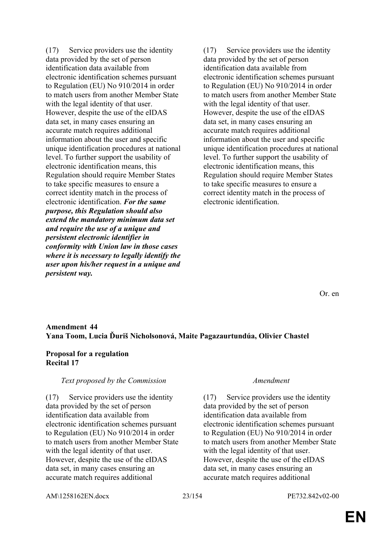(17) Service providers use the identity data provided by the set of person identification data available from electronic identification schemes pursuant to Regulation (EU) No 910/2014 in order to match users from another Member State with the legal identity of that user. However, despite the use of the eIDAS data set, in many cases ensuring an accurate match requires additional information about the user and specific unique identification procedures at national level. To further support the usability of electronic identification means, this Regulation should require Member States to take specific measures to ensure a correct identity match in the process of electronic identification. *For the same purpose, this Regulation should also extend the mandatory minimum data set and require the use of a unique and persistent electronic identifier in conformity with Union law in those cases where it is necessary to legally identify the user upon his/her request in a unique and persistent way.*

(17) Service providers use the identity data provided by the set of person identification data available from electronic identification schemes pursuant to Regulation (EU) No 910/2014 in order to match users from another Member State with the legal identity of that user. However, despite the use of the eIDAS data set, in many cases ensuring an accurate match requires additional information about the user and specific unique identification procedures at national level. To further support the usability of electronic identification means, this Regulation should require Member States to take specific measures to ensure a correct identity match in the process of electronic identification.

Or. en

### **Amendment 44 Yana Toom, Lucia Ďuriš Nicholsonová, Maite Pagazaurtundúa, Olivier Chastel**

#### **Proposal for a regulation Recital 17**

#### *Text proposed by the Commission Amendment*

(17) Service providers use the identity data provided by the set of person identification data available from electronic identification schemes pursuant to Regulation (EU) No 910/2014 in order to match users from another Member State with the legal identity of that user. However, despite the use of the eIDAS data set, in many cases ensuring an accurate match requires additional

(17) Service providers use the identity data provided by the set of person identification data available from electronic identification schemes pursuant to Regulation (EU) No 910/2014 in order to match users from another Member State with the legal identity of that user. However, despite the use of the eIDAS data set, in many cases ensuring an accurate match requires additional

AM\1258162EN.docx 23/154 PE732.842v02-00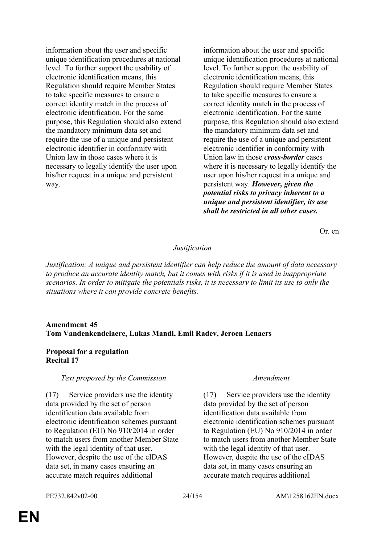information about the user and specific unique identification procedures at national level. To further support the usability of electronic identification means, this Regulation should require Member States to take specific measures to ensure a correct identity match in the process of electronic identification. For the same purpose, this Regulation should also extend the mandatory minimum data set and require the use of a unique and persistent electronic identifier in conformity with Union law in those cases where it is necessary to legally identify the user upon his/her request in a unique and persistent way.

information about the user and specific unique identification procedures at national level. To further support the usability of electronic identification means, this Regulation should require Member States to take specific measures to ensure a correct identity match in the process of electronic identification. For the same purpose, this Regulation should also extend the mandatory minimum data set and require the use of a unique and persistent electronic identifier in conformity with Union law in those *cross-border* cases where it is necessary to legally identify the user upon his/her request in a unique and persistent way. *However, given the potential risks to privacy inherent to a unique and persistent identifier, its use shall be restricted in all other cases.*

Or. en

### *Justification*

*Justification: A unique and persistent identifier can help reduce the amount of data necessary to produce an accurate identity match, but it comes with risks if it is used in inappropriate scenarios. In order to mitigate the potentials risks, it is necessary to limit its use to only the situations where it can provide concrete benefits.*

### **Amendment 45 Tom Vandenkendelaere, Lukas Mandl, Emil Radev, Jeroen Lenaers**

#### **Proposal for a regulation Recital 17**

#### *Text proposed by the Commission Amendment*

(17) Service providers use the identity data provided by the set of person identification data available from electronic identification schemes pursuant to Regulation (EU) No 910/2014 in order to match users from another Member State with the legal identity of that user. However, despite the use of the eIDAS data set, in many cases ensuring an accurate match requires additional

(17) Service providers use the identity data provided by the set of person identification data available from electronic identification schemes pursuant to Regulation (EU) No 910/2014 in order to match users from another Member State with the legal identity of that user. However, despite the use of the eIDAS data set, in many cases ensuring an accurate match requires additional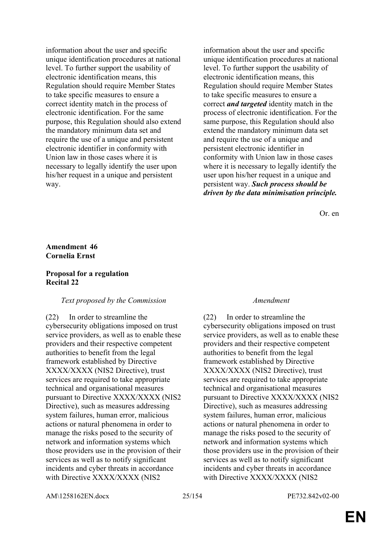information about the user and specific unique identification procedures at national level. To further support the usability of electronic identification means, this Regulation should require Member States to take specific measures to ensure a correct identity match in the process of electronic identification. For the same purpose, this Regulation should also extend the mandatory minimum data set and require the use of a unique and persistent electronic identifier in conformity with Union law in those cases where it is necessary to legally identify the user upon his/her request in a unique and persistent way.

information about the user and specific unique identification procedures at national level. To further support the usability of electronic identification means, this Regulation should require Member States to take specific measures to ensure a correct *and targeted* identity match in the process of electronic identification. For the same purpose, this Regulation should also extend the mandatory minimum data set and require the use of a unique and persistent electronic identifier in conformity with Union law in those cases where it is necessary to legally identify the user upon his/her request in a unique and persistent way. *Such process should be driven by the data minimisation principle.*

Or. en

### **Amendment 46 Cornelia Ernst**

#### **Proposal for a regulation Recital 22**

### *Text proposed by the Commission Amendment*

(22) In order to streamline the cybersecurity obligations imposed on trust service providers, as well as to enable these providers and their respective competent authorities to benefit from the legal framework established by Directive XXXX/XXXX (NIS2 Directive), trust services are required to take appropriate technical and organisational measures pursuant to Directive XXXX/XXXX (NIS2 Directive), such as measures addressing system failures, human error, malicious actions or natural phenomena in order to manage the risks posed to the security of network and information systems which those providers use in the provision of their services as well as to notify significant incidents and cyber threats in accordance with Directive XXXX/XXXX (NIS2

(22) In order to streamline the cybersecurity obligations imposed on trust service providers, as well as to enable these providers and their respective competent authorities to benefit from the legal framework established by Directive XXXX/XXXX (NIS2 Directive), trust services are required to take appropriate technical and organisational measures pursuant to Directive XXXX/XXXX (NIS2 Directive), such as measures addressing system failures, human error, malicious actions or natural phenomena in order to manage the risks posed to the security of network and information systems which those providers use in the provision of their services as well as to notify significant incidents and cyber threats in accordance with Directive XXXX/XXXX (NIS2

AM\1258162EN.docx 25/154 PE732.842v02-00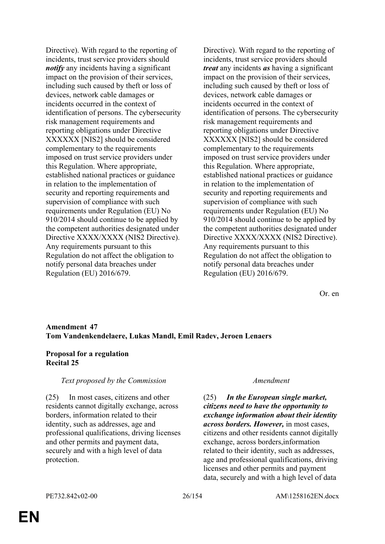Directive). With regard to the reporting of incidents, trust service providers should *notify* any incidents having a significant impact on the provision of their services, including such caused by theft or loss of devices, network cable damages or incidents occurred in the context of identification of persons. The cybersecurity risk management requirements and reporting obligations under Directive XXXXXX [NIS2] should be considered complementary to the requirements imposed on trust service providers under this Regulation. Where appropriate, established national practices or guidance in relation to the implementation of security and reporting requirements and supervision of compliance with such requirements under Regulation (EU) No 910/2014 should continue to be applied by the competent authorities designated under Directive XXXX/XXXX (NIS2 Directive). Any requirements pursuant to this Regulation do not affect the obligation to notify personal data breaches under Regulation (EU) 2016/679.

Directive). With regard to the reporting of incidents, trust service providers should *treat* any incidents *as* having a significant impact on the provision of their services, including such caused by theft or loss of devices, network cable damages or incidents occurred in the context of identification of persons. The cybersecurity risk management requirements and reporting obligations under Directive XXXXXX [NIS2] should be considered complementary to the requirements imposed on trust service providers under this Regulation. Where appropriate, established national practices or guidance in relation to the implementation of security and reporting requirements and supervision of compliance with such requirements under Regulation (EU) No 910/2014 should continue to be applied by the competent authorities designated under Directive XXXX/XXXX (NIS2 Directive). Any requirements pursuant to this Regulation do not affect the obligation to notify personal data breaches under Regulation (EU) 2016/679.

Or. en

### **Amendment 47 Tom Vandenkendelaere, Lukas Mandl, Emil Radev, Jeroen Lenaers**

#### **Proposal for a regulation Recital 25**

### *Text proposed by the Commission Amendment*

(25) In most cases, citizens and other residents cannot digitally exchange, across borders, information related to their identity, such as addresses, age and professional qualifications, driving licenses and other permits and payment data, securely and with a high level of data protection.

(25) *In the European single market, citizens need to have the opportunity to exchange information about their identity across borders. However,* in most cases, citizens and other residents cannot digitally exchange, across borders,information related to their identity, such as addresses, age and professional qualifications, driving licenses and other permits and payment data, securely and with a high level of data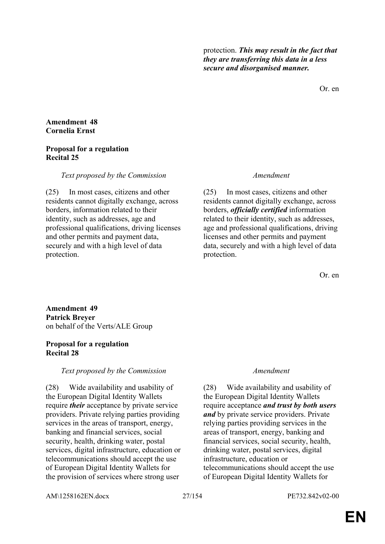protection. *This may result in the fact that they are transferring this data in a less secure and disorganised manner.*

Or. en

#### **Amendment 48 Cornelia Ernst**

### **Proposal for a regulation Recital 25**

### *Text proposed by the Commission Amendment*

(25) In most cases, citizens and other residents cannot digitally exchange, across borders, information related to their identity, such as addresses, age and professional qualifications, driving licenses and other permits and payment data, securely and with a high level of data protection.

(25) In most cases, citizens and other residents cannot digitally exchange, across borders, *officially certified* information related to their identity, such as addresses, age and professional qualifications, driving licenses and other permits and payment data, securely and with a high level of data protection.

Or. en

**Amendment 49 Patrick Breyer** on behalf of the Verts/ALE Group

### **Proposal for a regulation Recital 28**

### *Text proposed by the Commission Amendment*

(28) Wide availability and usability of the European Digital Identity Wallets require *their* acceptance by private service providers. Private relying parties providing services in the areas of transport, energy, banking and financial services, social security, health, drinking water, postal services, digital infrastructure, education or telecommunications should accept the use of European Digital Identity Wallets for the provision of services where strong user

(28) Wide availability and usability of the European Digital Identity Wallets require acceptance *and trust by both users and* by private service providers. Private relying parties providing services in the areas of transport, energy, banking and financial services, social security, health, drinking water, postal services, digital infrastructure, education or telecommunications should accept the use of European Digital Identity Wallets for

AM\1258162EN.docx 27/154 PE732.842v02-00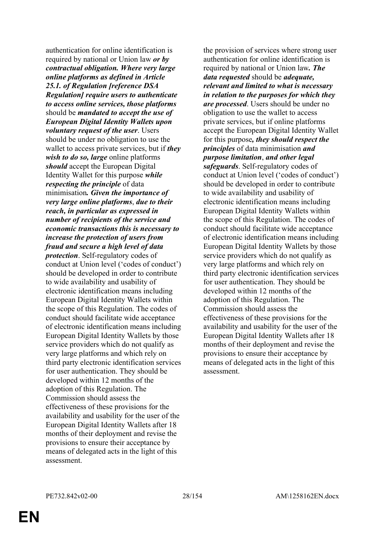authentication for online identification is required by national or Union law *or by contractual obligation. Where very large online platforms as defined in Article 25.1. of Regulation [reference DSA Regulation] require users to authenticate to access online services, those platforms* should be *mandated to accept the use of European Digital Identity Wallets upon voluntary request of the user*. Users should be under no obligation to use the wallet to access private services, but if *they wish to do so, large* online platforms *should* accept the European Digital Identity Wallet for this purpose *while respecting the principle* of data minimisation*. Given the importance of very large online platforms*, *due to their reach, in particular as expressed in number of recipients of the service and economic transactions this is necessary to increase the protection of users from fraud and secure a high level of data protection*. Self-regulatory codes of conduct at Union level ('codes of conduct') should be developed in order to contribute to wide availability and usability of electronic identification means including European Digital Identity Wallets within the scope of this Regulation. The codes of conduct should facilitate wide acceptance of electronic identification means including European Digital Identity Wallets by those service providers which do not qualify as very large platforms and which rely on third party electronic identification services for user authentication. They should be developed within 12 months of the adoption of this Regulation. The Commission should assess the effectiveness of these provisions for the availability and usability for the user of the European Digital Identity Wallets after 18 months of their deployment and revise the provisions to ensure their acceptance by means of delegated acts in the light of this assessment.

the provision of services where strong user authentication for online identification is required by national or Union law*. The data requested* should be *adequate, relevant and limited to what is necessary in relation to the purposes for which they are processed*. Users should be under no obligation to use the wallet to access private services, but if online platforms accept the European Digital Identity Wallet for this purpose*, they should respect the principles* of data minimisation *and purpose limitation*, *and other legal safeguards*. Self-regulatory codes of conduct at Union level ('codes of conduct') should be developed in order to contribute to wide availability and usability of electronic identification means including European Digital Identity Wallets within the scope of this Regulation. The codes of conduct should facilitate wide acceptance of electronic identification means including European Digital Identity Wallets by those service providers which do not qualify as very large platforms and which rely on third party electronic identification services for user authentication. They should be developed within 12 months of the adoption of this Regulation. The Commission should assess the effectiveness of these provisions for the availability and usability for the user of the European Digital Identity Wallets after 18 months of their deployment and revise the provisions to ensure their acceptance by means of delegated acts in the light of this assessment.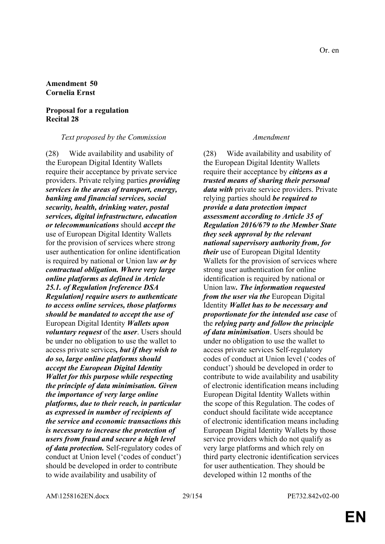#### **Amendment 50 Cornelia Ernst**

#### **Proposal for a regulation Recital 28**

#### *Text proposed by the Commission Amendment*

(28) Wide availability and usability of the European Digital Identity Wallets require their acceptance by private service providers. Private relying parties *providing services in the areas of transport, energy, banking and financial services, social security, health, drinking water, postal services, digital infrastructure, education or telecommunications* should *accept the* use of European Digital Identity Wallets for the provision of services where strong user authentication for online identification is required by national or Union law *or by contractual obligation. Where very large online platforms as defined in Article 25.1. of Regulation [reference DSA Regulation] require users to authenticate to access online services, those platforms should be mandated to accept the use of* European Digital Identity *Wallets upon voluntary request* of the *user*. Users should be under no obligation to use the wallet to access private services*, but if they wish to do so, large online platforms should accept the European Digital Identity Wallet for this purpose while respecting the principle of data minimisation. Given the importance of very large online platforms, due to their reach, in particular as expressed in number of recipients of the service and economic transactions this is necessary to increase the protection of users from fraud and secure a high level of data protection.* Self-regulatory codes of conduct at Union level ('codes of conduct') should be developed in order to contribute to wide availability and usability of

(28) Wide availability and usability of the European Digital Identity Wallets require their acceptance by *citizens as a trusted means of sharing their personal data with* private service providers. Private relying parties should *be required to provide a data protection impact assessment according to Article 35 of Regulation 2016/679 to the Member State they seek approval by the relevant national supervisory authority from, for their* use of European Digital Identity Wallets for the provision of services where strong user authentication for online identification is required by national or Union law*. The information requested from the user via the* European Digital Identity *Wallet has to be necessary and proportionate for the intended use case* of the *relying party and follow the principle of data minimisation*. Users should be under no obligation to use the wallet to access private services Self-regulatory codes of conduct at Union level ('codes of conduct') should be developed in order to contribute to wide availability and usability of electronic identification means including European Digital Identity Wallets within the scope of this Regulation. The codes of conduct should facilitate wide acceptance of electronic identification means including European Digital Identity Wallets by those service providers which do not qualify as very large platforms and which rely on third party electronic identification services for user authentication. They should be developed within 12 months of the

AM\1258162EN.docx 29/154 PE732.842v02-00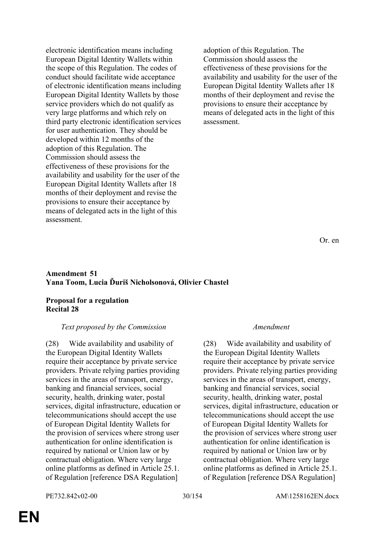electronic identification means including European Digital Identity Wallets within the scope of this Regulation. The codes of conduct should facilitate wide acceptance of electronic identification means including European Digital Identity Wallets by those service providers which do not qualify as very large platforms and which rely on third party electronic identification services for user authentication. They should be developed within 12 months of the adoption of this Regulation. The Commission should assess the effectiveness of these provisions for the availability and usability for the user of the European Digital Identity Wallets after 18 months of their deployment and revise the provisions to ensure their acceptance by means of delegated acts in the light of this assessment.

adoption of this Regulation. The Commission should assess the effectiveness of these provisions for the availability and usability for the user of the European Digital Identity Wallets after 18 months of their deployment and revise the provisions to ensure their acceptance by means of delegated acts in the light of this assessment.

Or. en

#### **Amendment 51 Yana Toom, Lucia Ďuriš Nicholsonová, Olivier Chastel**

### **Proposal for a regulation Recital 28**

#### *Text proposed by the Commission Amendment*

(28) Wide availability and usability of the European Digital Identity Wallets require their acceptance by private service providers. Private relying parties providing services in the areas of transport, energy, banking and financial services, social security, health, drinking water, postal services, digital infrastructure, education or telecommunications should accept the use of European Digital Identity Wallets for the provision of services where strong user authentication for online identification is required by national or Union law or by contractual obligation. Where very large online platforms as defined in Article 25.1. of Regulation [reference DSA Regulation]

(28) Wide availability and usability of the European Digital Identity Wallets require their acceptance by private service providers. Private relying parties providing services in the areas of transport, energy, banking and financial services, social security, health, drinking water, postal services, digital infrastructure, education or telecommunications should accept the use of European Digital Identity Wallets for the provision of services where strong user authentication for online identification is required by national or Union law or by contractual obligation. Where very large online platforms as defined in Article 25.1. of Regulation [reference DSA Regulation]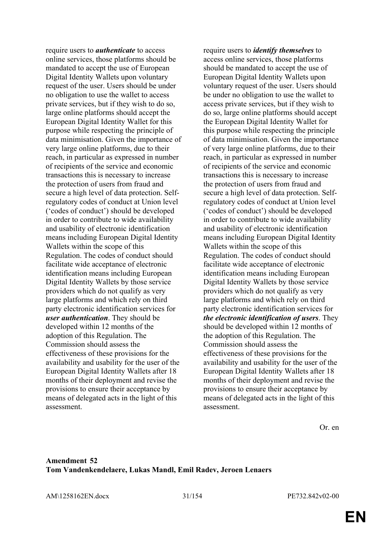require users to *authenticate* to access online services, those platforms should be mandated to accept the use of European Digital Identity Wallets upon voluntary request of the user. Users should be under no obligation to use the wallet to access private services, but if they wish to do so, large online platforms should accept the European Digital Identity Wallet for this purpose while respecting the principle of data minimisation. Given the importance of very large online platforms, due to their reach, in particular as expressed in number of recipients of the service and economic transactions this is necessary to increase the protection of users from fraud and secure a high level of data protection. Selfregulatory codes of conduct at Union level ('codes of conduct') should be developed in order to contribute to wide availability and usability of electronic identification means including European Digital Identity Wallets within the scope of this Regulation. The codes of conduct should facilitate wide acceptance of electronic identification means including European Digital Identity Wallets by those service providers which do not qualify as very large platforms and which rely on third party electronic identification services for *user authentication*. They should be developed within 12 months of the adoption of this Regulation. The Commission should assess the effectiveness of these provisions for the availability and usability for the user of the European Digital Identity Wallets after 18 months of their deployment and revise the provisions to ensure their acceptance by means of delegated acts in the light of this assessment.

require users to *identify themselves* to access online services, those platforms should be mandated to accept the use of European Digital Identity Wallets upon voluntary request of the user. Users should be under no obligation to use the wallet to access private services, but if they wish to do so, large online platforms should accept the European Digital Identity Wallet for this purpose while respecting the principle of data minimisation. Given the importance of very large online platforms, due to their reach, in particular as expressed in number of recipients of the service and economic transactions this is necessary to increase the protection of users from fraud and secure a high level of data protection. Selfregulatory codes of conduct at Union level ('codes of conduct') should be developed in order to contribute to wide availability and usability of electronic identification means including European Digital Identity Wallets within the scope of this Regulation. The codes of conduct should facilitate wide acceptance of electronic identification means including European Digital Identity Wallets by those service providers which do not qualify as very large platforms and which rely on third party electronic identification services for *the electronic identification of users*. They should be developed within 12 months of the adoption of this Regulation. The Commission should assess the effectiveness of these provisions for the availability and usability for the user of the European Digital Identity Wallets after 18 months of their deployment and revise the provisions to ensure their acceptance by means of delegated acts in the light of this assessment.

Or. en

### **Amendment 52 Tom Vandenkendelaere, Lukas Mandl, Emil Radev, Jeroen Lenaers**

AM\1258162EN.docx 31/154 PE732.842v02-00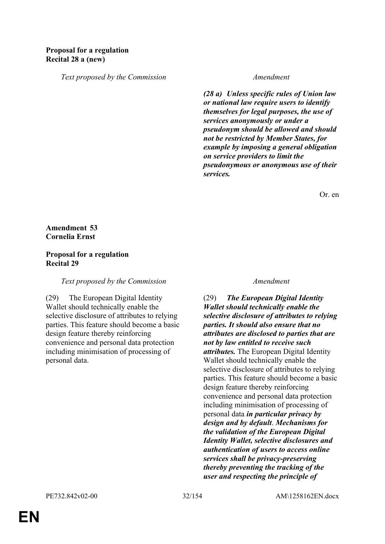*Text proposed by the Commission Amendment*

*(28 a) Unless specific rules of Union law or national law require users to identify themselves for legal purposes, the use of services anonymously or under a pseudonym should be allowed and should not be restricted by Member States, for example by imposing a general obligation on service providers to limit the pseudonymous or anonymous use of their services.*

Or. en

### **Amendment 53 Cornelia Ernst**

#### **Proposal for a regulation Recital 29**

*Text proposed by the Commission Amendment*

(29) The European Digital Identity Wallet should technically enable the selective disclosure of attributes to relying parties. This feature should become a basic design feature thereby reinforcing convenience and personal data protection including minimisation of processing of personal data.

(29) *The European Digital Identity Wallet should technically enable the selective disclosure of attributes to relying parties. It should also ensure that no attributes are disclosed to parties that are not by law entitled to receive such attributes.* The European Digital Identity Wallet should technically enable the selective disclosure of attributes to relying parties. This feature should become a basic design feature thereby reinforcing convenience and personal data protection including minimisation of processing of personal data *in particular privacy by design and by default*. *Mechanisms for the validation of the European Digital Identity Wallet, selective disclosures and authentication of users to access online services shall be privacy-preserving thereby preventing the tracking of the user and respecting the principle of*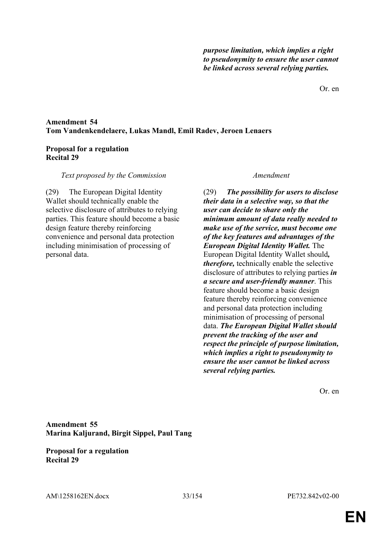Or. en

### **Amendment 54 Tom Vandenkendelaere, Lukas Mandl, Emil Radev, Jeroen Lenaers**

### **Proposal for a regulation Recital 29**

#### *Text proposed by the Commission Amendment*

(29) The European Digital Identity Wallet should technically enable the selective disclosure of attributes to relying parties. This feature should become a basic design feature thereby reinforcing convenience and personal data protection including minimisation of processing of personal data.

(29) *The possibility for users to disclose their data in a selective way, so that the user can decide to share only the minimum amount of data really needed to make use of the service, must become one of the key features and advantages of the European Digital Identity Wallet.* The European Digital Identity Wallet should*, therefore,* technically enable the selective disclosure of attributes to relying parties *in a secure and user-friendly manner*. This feature should become a basic design feature thereby reinforcing convenience and personal data protection including minimisation of processing of personal data. *The European Digital Wallet should prevent the tracking of the user and respect the principle of purpose limitation, which implies a right to pseudonymity to ensure the user cannot be linked across several relying parties.*

Or. en

**Amendment 55 Marina Kaljurand, Birgit Sippel, Paul Tang**

**Proposal for a regulation Recital 29**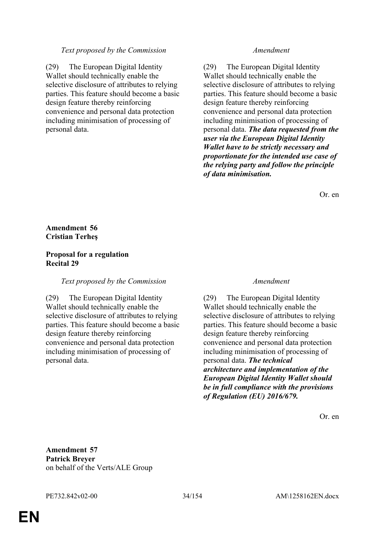#### *Text proposed by the Commission Amendment*

(29) The European Digital Identity Wallet should technically enable the selective disclosure of attributes to relying parties. This feature should become a basic design feature thereby reinforcing convenience and personal data protection including minimisation of processing of personal data.

(29) The European Digital Identity Wallet should technically enable the selective disclosure of attributes to relying parties. This feature should become a basic design feature thereby reinforcing convenience and personal data protection including minimisation of processing of personal data. *The data requested from the user via the European Digital Identity Wallet have to be strictly necessary and proportionate for the intended use case of the relying party and follow the principle of data minimisation.*

Or. en

### **Amendment 56 Cristian Terheş**

#### **Proposal for a regulation Recital 29**

#### *Text proposed by the Commission Amendment*

(29) The European Digital Identity Wallet should technically enable the selective disclosure of attributes to relying parties. This feature should become a basic design feature thereby reinforcing convenience and personal data protection including minimisation of processing of personal data.

(29) The European Digital Identity Wallet should technically enable the selective disclosure of attributes to relying parties. This feature should become a basic design feature thereby reinforcing convenience and personal data protection including minimisation of processing of personal data. *The technical architecture and implementation of the European Digital Identity Wallet should be in full compliance with the provisions of Regulation (EU) 2016/679.*

Or. en

**Amendment 57 Patrick Breyer** on behalf of the Verts/ALE Group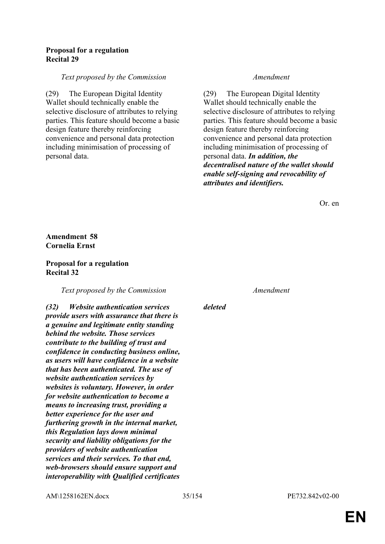#### **Proposal for a regulation Recital 29**

#### *Text proposed by the Commission Amendment*

(29) The European Digital Identity Wallet should technically enable the selective disclosure of attributes to relying parties. This feature should become a basic design feature thereby reinforcing convenience and personal data protection including minimisation of processing of personal data.

(29) The European Digital Identity Wallet should technically enable the selective disclosure of attributes to relying parties. This feature should become a basic design feature thereby reinforcing convenience and personal data protection including minimisation of processing of personal data. *In addition, the decentralised nature of the wallet should enable self-signing and revocability of attributes and identifiers.*

Or. en

#### **Amendment 58 Cornelia Ernst**

#### **Proposal for a regulation Recital 32**

*Text proposed by the Commission Amendment*

*(32) Website authentication services provide users with assurance that there is a genuine and legitimate entity standing behind the website. Those services contribute to the building of trust and confidence in conducting business online, as users will have confidence in a website that has been authenticated. The use of website authentication services by websites is voluntary. However, in order for website authentication to become a means to increasing trust, providing a better experience for the user and furthering growth in the internal market, this Regulation lays down minimal security and liability obligations for the providers of website authentication services and their services. To that end, web-browsers should ensure support and interoperability with Qualified certificates* 

*deleted*

AM\1258162EN.docx 35/154 PE732.842v02-00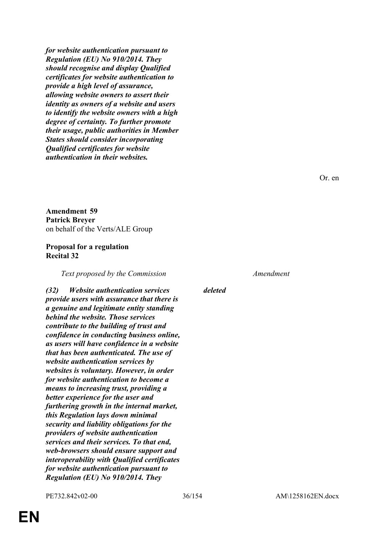*for website authentication pursuant to Regulation (EU) No 910/2014. They should recognise and display Qualified certificates for website authentication to provide a high level of assurance, allowing website owners to assert their identity as owners of a website and users to identify the website owners with a high degree of certainty. To further promote their usage, public authorities in Member States should consider incorporating Qualified certificates for website authentication in their websites.*

Or. en

**Amendment 59 Patrick Breyer** on behalf of the Verts/ALE Group

#### **Proposal for a regulation Recital 32**

*Text proposed by the Commission Amendment*

*(32) Website authentication services provide users with assurance that there is a genuine and legitimate entity standing behind the website. Those services contribute to the building of trust and confidence in conducting business online, as users will have confidence in a website that has been authenticated. The use of website authentication services by websites is voluntary. However, in order for website authentication to become a means to increasing trust, providing a better experience for the user and furthering growth in the internal market, this Regulation lays down minimal security and liability obligations for the providers of website authentication services and their services. To that end, web-browsers should ensure support and interoperability with Qualified certificates for website authentication pursuant to Regulation (EU) No 910/2014. They* 

*deleted*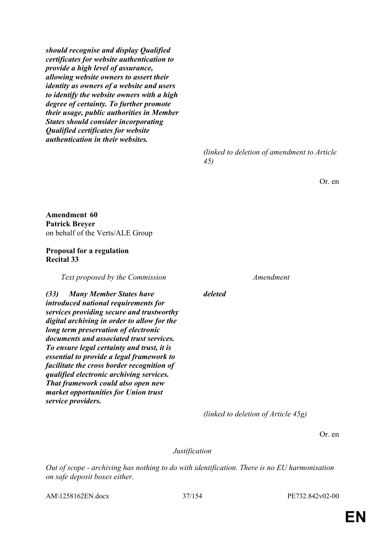*should recognise and display Qualified certificates for website authentication to provide a high level of assurance, allowing website owners to assert their identity as owners of a website and users to identify the website owners with a high degree of certainty. To further promote their usage, public authorities in Member States should consider incorporating Qualified certificates for website authentication in their websites.*

> *(linked to deletion of amendment to Article 45)*

> > Or. en

**Amendment 60 Patrick Breyer** on behalf of the Verts/ALE Group

#### **Proposal for a regulation Recital 33**

*Text proposed by the Commission Amendment*

*(33) Many Member States have introduced national requirements for services providing secure and trustworthy digital archiving in order to allow for the long term preservation of electronic documents and associated trust services. To ensure legal certainty and trust, it is essential to provide a legal framework to facilitate the cross border recognition of qualified electronic archiving services. That framework could also open new market opportunities for Union trust service providers.*

*deleted*

*(linked to deletion of Article 45g)*

Or. en

*Justification*

*Out of scope - archiving has nothing to do with identification. There is no EU harmonisation on safe deposit boxes either.*

AM\1258162EN.docx 37/154 PE732.842v02-00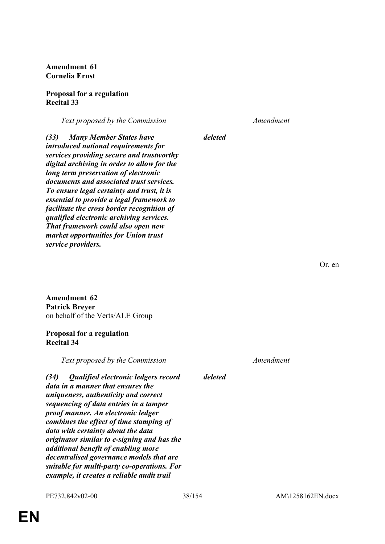**Amendment 61 Cornelia Ernst**

#### **Proposal for a regulation Recital 33**

*Text proposed by the Commission Amendment*

*deleted*

*(33) Many Member States have introduced national requirements for services providing secure and trustworthy digital archiving in order to allow for the long term preservation of electronic documents and associated trust services. To ensure legal certainty and trust, it is essential to provide a legal framework to facilitate the cross border recognition of qualified electronic archiving services. That framework could also open new market opportunities for Union trust service providers.*

**Amendment 62 Patrick Breyer** on behalf of the Verts/ALE Group

#### **Proposal for a regulation Recital 34**

*Text proposed by the Commission Amendment*

*(34) Qualified electronic ledgers record data in a manner that ensures the uniqueness, authenticity and correct sequencing of data entries in a tamper proof manner. An electronic ledger combines the effect of time stamping of data with certainty about the data originator similar to e-signing and has the additional benefit of enabling more decentralised governance models that are suitable for multi-party co-operations. For example, it creates a reliable audit trail* 

**EN**

*deleted*

PE732.842v02-00 38/154 AM\1258162EN.docx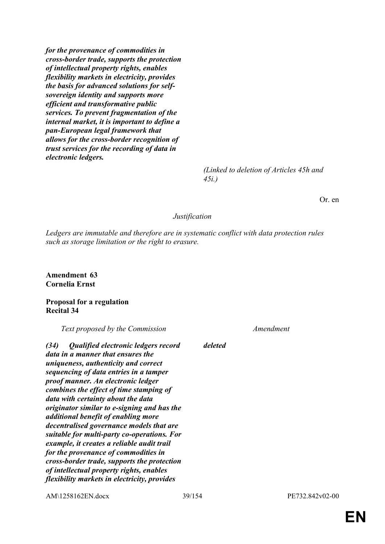*for the provenance of commodities in cross-border trade, supports the protection of intellectual property rights, enables flexibility markets in electricity, provides the basis for advanced solutions for selfsovereign identity and supports more efficient and transformative public services. To prevent fragmentation of the internal market, it is important to define a pan-European legal framework that allows for the cross-border recognition of trust services for the recording of data in electronic ledgers.*

> *(Linked to deletion of Articles 45h and 45i.)*

> > Or. en

#### *Justification*

*deleted*

*Ledgers are immutable and therefore are in systematic conflict with data protection rules such as storage limitation or the right to erasure.*

**Amendment 63 Cornelia Ernst**

### **Proposal for a regulation Recital 34**

*Text proposed by the Commission Amendment*

*(34) Qualified electronic ledgers record data in a manner that ensures the uniqueness, authenticity and correct sequencing of data entries in a tamper proof manner. An electronic ledger combines the effect of time stamping of data with certainty about the data originator similar to e-signing and has the additional benefit of enabling more decentralised governance models that are suitable for multi-party co-operations. For example, it creates a reliable audit trail for the provenance of commodities in cross-border trade, supports the protection of intellectual property rights, enables flexibility markets in electricity, provides* 

AM\1258162EN.docx 39/154 PE732.842v02-00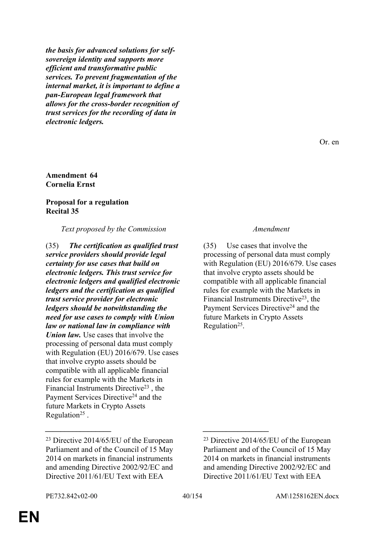*the basis for advanced solutions for selfsovereign identity and supports more efficient and transformative public services. To prevent fragmentation of the internal market, it is important to define a pan-European legal framework that allows for the cross-border recognition of trust services for the recording of data in electronic ledgers.*

### **Amendment 64 Cornelia Ernst**

#### **Proposal for a regulation Recital 35**

*Text proposed by the Commission Amendment*

(35) *The certification as qualified trust service providers should provide legal certainty for use cases that build on electronic ledgers. This trust service for electronic ledgers and qualified electronic ledgers and the certification as qualified trust service provider for electronic ledgers should be notwithstanding the need for use cases to comply with Union law or national law in compliance with Union law.* Use cases that involve the processing of personal data must comply with Regulation (EU) 2016/679. Use cases that involve crypto assets should be compatible with all applicable financial rules for example with the Markets in Financial Instruments Directive<sup>23</sup> , the Payment Services Directive<sup>24</sup> and the future Markets in Crypto Assets Regulation<sup>25</sup>.

Or. en

(35) Use cases that involve the processing of personal data must comply with Regulation (EU) 2016/679. Use cases that involve crypto assets should be compatible with all applicable financial rules for example with the Markets in Financial Instruments Directive<sup>23</sup>, the Payment Services Directive<sup>24</sup> and the future Markets in Crypto Assets Regulation<sup>25</sup>.

*\_\_\_\_\_\_\_\_\_\_\_\_\_\_\_\_\_ \_\_\_\_\_\_\_\_\_\_\_\_\_\_\_\_\_*

<sup>23</sup> Directive 2014/65/EU of the European Parliament and of the Council of 15 May 2014 on markets in financial instruments and amending Directive 2002/92/EC and Directive 2011/61/EU Text with EEA

<sup>23</sup> Directive 2014/65/EU of the European Parliament and of the Council of 15 May 2014 on markets in financial instruments and amending Directive 2002/92/EC and Directive 2011/61/EU Text with EEA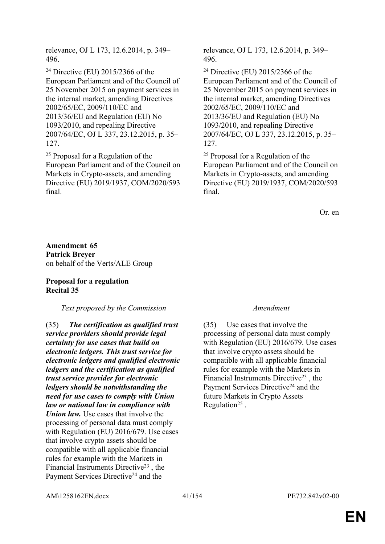relevance, OJ L 173, 12.6.2014, p. 349– 496.

<sup>24</sup> Directive (EU) 2015/2366 of the European Parliament and of the Council of 25 November 2015 on payment services in the internal market, amending Directives 2002/65/EC, 2009/110/EC and 2013/36/EU and Regulation (EU) No 1093/2010, and repealing Directive 2007/64/EC, OJ L 337, 23.12.2015, p. 35– 127.

<sup>25</sup> Proposal for a Regulation of the European Parliament and of the Council on Markets in Crypto-assets, and amending Directive (EU) 2019/1937, COM/2020/593 final.

relevance, OJ L 173, 12.6.2014, p. 349– 496.

<sup>24</sup> Directive (EU) 2015/2366 of the European Parliament and of the Council of 25 November 2015 on payment services in the internal market, amending Directives 2002/65/EC, 2009/110/EC and 2013/36/EU and Regulation (EU) No 1093/2010, and repealing Directive 2007/64/EC, OJ L 337, 23.12.2015, p. 35– 127.

<sup>25</sup> Proposal for a Regulation of the European Parliament and of the Council on Markets in Crypto-assets, and amending Directive (EU) 2019/1937, COM/2020/593 final.

Or. en

**Amendment 65 Patrick Breyer** on behalf of the Verts/ALE Group

### **Proposal for a regulation Recital 35**

#### *Text proposed by the Commission Amendment*

(35) *The certification as qualified trust service providers should provide legal certainty for use cases that build on electronic ledgers. This trust service for electronic ledgers and qualified electronic ledgers and the certification as qualified trust service provider for electronic ledgers should be notwithstanding the need for use cases to comply with Union law or national law in compliance with Union law.* Use cases that involve the processing of personal data must comply with Regulation (EU) 2016/679. Use cases that involve crypto assets should be compatible with all applicable financial rules for example with the Markets in Financial Instruments Directive<sup>23</sup> , the Payment Services Directive<sup>24</sup> and the

(35) Use cases that involve the processing of personal data must comply with Regulation (EU) 2016/679. Use cases that involve crypto assets should be compatible with all applicable financial rules for example with the Markets in Financial Instruments Directive<sup>23</sup> , the Payment Services Directive<sup>24</sup> and the future Markets in Crypto Assets Regulation<sup>25</sup>.

AM\1258162EN.docx 41/154 PE732.842v02-00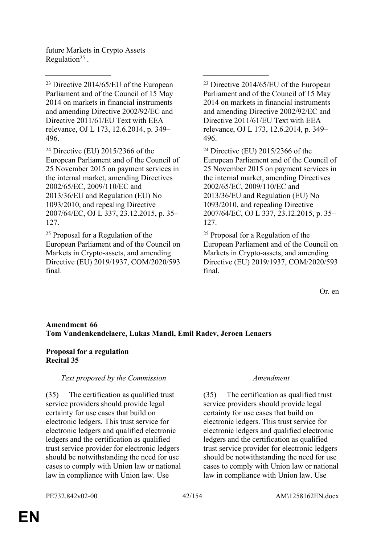future Markets in Crypto Assets Regulation<sup>25</sup>.

<sup>23</sup> Directive 2014/65/EU of the European Parliament and of the Council of 15 May 2014 on markets in financial instruments and amending Directive 2002/92/EC and Directive 2011/61/EU Text with EEA relevance, OJ L 173, 12.6.2014, p. 349– 496.

<sup>24</sup> Directive (EU) 2015/2366 of the European Parliament and of the Council of 25 November 2015 on payment services in the internal market, amending Directives 2002/65/EC, 2009/110/EC and 2013/36/EU and Regulation (EU) No 1093/2010, and repealing Directive 2007/64/EC, OJ L 337, 23.12.2015, p. 35– 127.

<sup>25</sup> Proposal for a Regulation of the European Parliament and of the Council on Markets in Crypto-assets, and amending Directive (EU) 2019/1937, COM/2020/593 final.

<sup>23</sup> Directive 2014/65/EU of the European Parliament and of the Council of 15 May 2014 on markets in financial instruments and amending Directive 2002/92/EC and Directive 2011/61/EU Text with EEA relevance, OJ L 173, 12.6.2014, p. 349– 496.

<sup>24</sup> Directive (EU) 2015/2366 of the European Parliament and of the Council of 25 November 2015 on payment services in the internal market, amending Directives 2002/65/EC, 2009/110/EC and 2013/36/EU and Regulation (EU) No 1093/2010, and repealing Directive 2007/64/EC, OJ L 337, 23.12.2015, p. 35– 127.

<sup>25</sup> Proposal for a Regulation of the European Parliament and of the Council on Markets in Crypto-assets, and amending Directive (EU) 2019/1937, COM/2020/593 final.

Or. en

### **Amendment 66 Tom Vandenkendelaere, Lukas Mandl, Emil Radev, Jeroen Lenaers**

*\_\_\_\_\_\_\_\_\_\_\_\_\_\_\_\_\_ \_\_\_\_\_\_\_\_\_\_\_\_\_\_\_\_\_*

### **Proposal for a regulation Recital 35**

### *Text proposed by the Commission Amendment*

(35) The certification as qualified trust service providers should provide legal certainty for use cases that build on electronic ledgers. This trust service for electronic ledgers and qualified electronic ledgers and the certification as qualified trust service provider for electronic ledgers should be notwithstanding the need for use cases to comply with Union law or national law in compliance with Union law. Use

(35) The certification as qualified trust service providers should provide legal certainty for use cases that build on electronic ledgers. This trust service for electronic ledgers and qualified electronic ledgers and the certification as qualified trust service provider for electronic ledgers should be notwithstanding the need for use cases to comply with Union law or national law in compliance with Union law. Use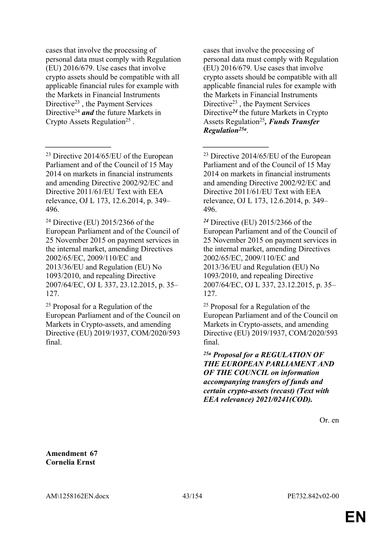cases that involve the processing of personal data must comply with Regulation (EU) 2016/679. Use cases that involve crypto assets should be compatible with all applicable financial rules for example with the Markets in Financial Instruments Directive<sup>23</sup>, the Payment Services Directive<sup>24</sup> *and* the future Markets in Crypto Assets Regulation<sup>25</sup>.

<sup>23</sup> Directive 2014/65/EU of the European Parliament and of the Council of 15 May 2014 on markets in financial instruments and amending Directive 2002/92/EC and Directive 2011/61/EU Text with EEA relevance, OJ L 173, 12.6.2014, p. 349– 496.

*\_\_\_\_\_\_\_\_\_\_\_\_\_\_\_\_\_ \_\_\_\_\_\_\_\_\_\_\_\_\_\_\_\_\_*

<sup>24</sup> Directive (EU) 2015/2366 of the European Parliament and of the Council of 25 November 2015 on payment services in the internal market, amending Directives 2002/65/EC, 2009/110/EC and 2013/36/EU and Regulation (EU) No 1093/2010, and repealing Directive 2007/64/EC, OJ L 337, 23.12.2015, p. 35– 127.

<sup>25</sup> Proposal for a Regulation of the European Parliament and of the Council on Markets in Crypto-assets, and amending Directive (EU) 2019/1937, COM/2020/593 final.

cases that involve the processing of personal data must comply with Regulation (EU) 2016/679. Use cases that involve crypto assets should be compatible with all applicable financial rules for example with the Markets in Financial Instruments Directive<sup>23</sup> , the Payment Services Directive*<sup>24</sup>* the future Markets in Crypto Assets Regulation<sup>25</sup>, *Funds Transfer Regulation25a* .

<sup>23</sup> Directive 2014/65/EU of the European Parliament and of the Council of 15 May 2014 on markets in financial instruments and amending Directive 2002/92/EC and Directive 2011/61/EU Text with EEA relevance, OJ L 173, 12.6.2014, p. 349– 496.

*<sup>24</sup>* Directive (EU) 2015/2366 of the European Parliament and of the Council of 25 November 2015 on payment services in the internal market, amending Directives 2002/65/EC, 2009/110/EC and 2013/36/EU and Regulation (EU) No 1093/2010, and repealing Directive 2007/64/EC, OJ L 337, 23.12.2015, p. 35– 127.

<sup>25</sup> Proposal for a Regulation of the European Parliament and of the Council on Markets in Crypto-assets, and amending Directive (EU) 2019/1937, COM/2020/593 final.

*25a Proposal for a REGULATION OF THE EUROPEAN PARLIAMENT AND OF THE COUNCIL on information accompanying transfers of funds and certain crypto-assets (recast) (Text with EEA relevance) 2021/0241(COD).*

Or. en

**Amendment 67 Cornelia Ernst**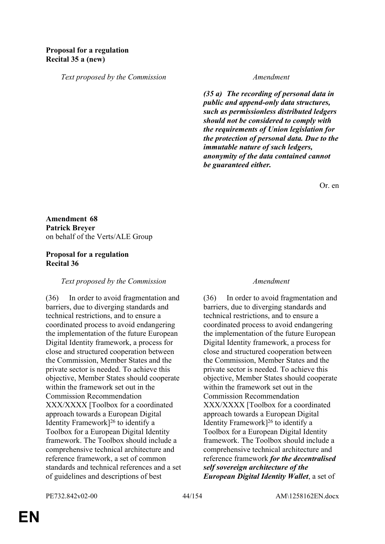*Text proposed by the Commission Amendment*

*(35 a) The recording of personal data in public and append-only data structures, such as permissionless distributed ledgers should not be considered to comply with the requirements of Union legislation for the protection of personal data. Due to the immutable nature of such ledgers, anonymity of the data contained cannot be guaranteed either.*

Or. en

**Amendment 68 Patrick Breyer** on behalf of the Verts/ALE Group

### **Proposal for a regulation Recital 36**

#### *Text proposed by the Commission Amendment*

(36) In order to avoid fragmentation and barriers, due to diverging standards and technical restrictions, and to ensure a coordinated process to avoid endangering the implementation of the future European Digital Identity framework, a process for close and structured cooperation between the Commission, Member States and the private sector is needed. To achieve this objective, Member States should cooperate within the framework set out in the Commission Recommendation XXX/XXXX [Toolbox for a coordinated approach towards a European Digital Identity Framework]<sup>26</sup> to identify a Toolbox for a European Digital Identity framework. The Toolbox should include a comprehensive technical architecture and reference framework, a set of common standards and technical references and a set of guidelines and descriptions of best

(36) In order to avoid fragmentation and barriers, due to diverging standards and technical restrictions, and to ensure a coordinated process to avoid endangering the implementation of the future European Digital Identity framework, a process for close and structured cooperation between the Commission, Member States and the private sector is needed. To achieve this objective, Member States should cooperate within the framework set out in the Commission Recommendation XXX/XXXX [Toolbox for a coordinated approach towards a European Digital Identity Framework]<sup>26</sup> to identify a Toolbox for a European Digital Identity framework. The Toolbox should include a comprehensive technical architecture and reference framework *for the decentralised self sovereign architecture of the European Digital Identity Wallet*, a set of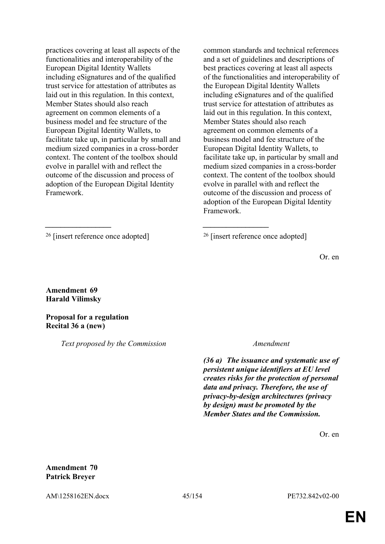practices covering at least all aspects of the functionalities and interoperability of the European Digital Identity Wallets including eSignatures and of the qualified trust service for attestation of attributes as laid out in this regulation. In this context, Member States should also reach agreement on common elements of a business model and fee structure of the European Digital Identity Wallets, to facilitate take up, in particular by small and medium sized companies in a cross-border context. The content of the toolbox should evolve in parallel with and reflect the outcome of the discussion and process of adoption of the European Digital Identity Framework.

common standards and technical references and a set of guidelines and descriptions of best practices covering at least all aspects of the functionalities and interoperability of the European Digital Identity Wallets including eSignatures and of the qualified trust service for attestation of attributes as laid out in this regulation. In this context, Member States should also reach agreement on common elements of a business model and fee structure of the European Digital Identity Wallets, to facilitate take up, in particular by small and medium sized companies in a cross-border context. The content of the toolbox should evolve in parallel with and reflect the outcome of the discussion and process of adoption of the European Digital Identity Framework.

*\_\_\_\_\_\_\_\_\_\_\_\_\_\_\_\_\_ \_\_\_\_\_\_\_\_\_\_\_\_\_\_\_\_\_*

Or. en

**Amendment 69 Harald Vilimsky**

**Proposal for a regulation Recital 36 a (new)**

*Text proposed by the Commission Amendment*

*(36 a) The issuance and systematic use of persistent unique identifiers at EU level creates risks for the protection of personal data and privacy. Therefore, the use of privacy-by-design architectures (privacy by design) must be promoted by the Member States and the Commission.*

Or. en

**Amendment 70 Patrick Breyer**

AM\1258162EN.docx 45/154 PE732.842v02-00

<sup>&</sup>lt;sup>26</sup> [insert reference once adopted]  $^{26}$  [insert reference once adopted]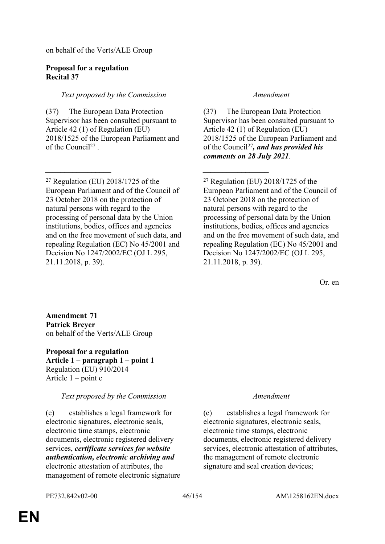on behalf of the Verts/ALE Group

#### **Proposal for a regulation Recital 37**

### *Text proposed by the Commission Amendment*

(37) The European Data Protection Supervisor has been consulted pursuant to Article 42 (1) of Regulation (EU) 2018/1525 of the European Parliament and of the Council<sup>27</sup>.

*\_\_\_\_\_\_\_\_\_\_\_\_\_\_\_\_\_ \_\_\_\_\_\_\_\_\_\_\_\_\_\_\_\_\_*

(37) The European Data Protection Supervisor has been consulted pursuant to Article 42 (1) of Regulation (EU) 2018/1525 of the European Parliament and of the Council<sup>27</sup>*, and has provided his comments on 28 July 2021*.

 $27$  Regulation (EU)  $2018/1725$  of the European Parliament and of the Council of 23 October 2018 on the protection of natural persons with regard to the processing of personal data by the Union institutions, bodies, offices and agencies and on the free movement of such data, and repealing Regulation (EC) No 45/2001 and Decision No 1247/2002/EC (OJ L 295, 21.11.2018, p. 39).

Or. en

**Amendment 71 Patrick Breyer** on behalf of the Verts/ALE Group

**Proposal for a regulation Article 1 – paragraph 1 – point 1** Regulation (EU) 910/2014 Article 1 – point c

### *Text proposed by the Commission Amendment*

(c) establishes a legal framework for electronic signatures, electronic seals, electronic time stamps, electronic documents, electronic registered delivery services, *certificate services for website authentication, electronic archiving and* electronic attestation of attributes, the management of remote electronic signature

(c) establishes a legal framework for electronic signatures, electronic seals, electronic time stamps, electronic documents, electronic registered delivery services, electronic attestation of attributes, the management of remote electronic signature and seal creation devices;

 $27$  Regulation (EU)  $2018/1725$  of the European Parliament and of the Council of 23 October 2018 on the protection of natural persons with regard to the processing of personal data by the Union institutions, bodies, offices and agencies and on the free movement of such data, and repealing Regulation (EC) No 45/2001 and Decision No 1247/2002/EC (OJ L 295, 21.11.2018, p. 39).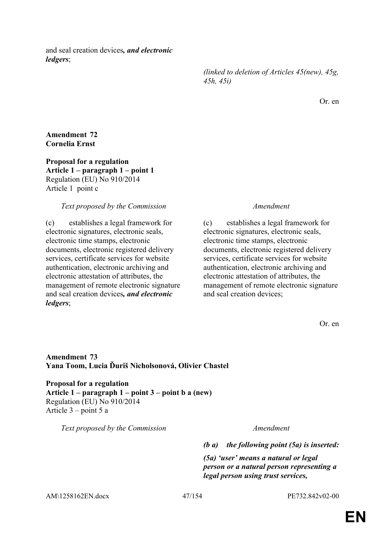and seal creation devices*, and electronic ledgers*;

> *(linked to deletion of Articles 45(new), 45g, 45h, 45i)*

> > Or. en

### **Amendment 72 Cornelia Ernst**

**Proposal for a regulation Article 1 – paragraph 1 – point 1** Regulation (EU) No 910/2014 Article 1 point c

#### *Text proposed by the Commission Amendment*

(c) establishes a legal framework for electronic signatures, electronic seals, electronic time stamps, electronic documents, electronic registered delivery services, certificate services for website authentication, electronic archiving and electronic attestation of attributes, the management of remote electronic signature and seal creation devices*, and electronic ledgers*;

(c) establishes a legal framework for electronic signatures, electronic seals, electronic time stamps, electronic documents, electronic registered delivery services, certificate services for website authentication, electronic archiving and electronic attestation of attributes, the management of remote electronic signature and seal creation devices;

Or. en

### **Amendment 73 Yana Toom, Lucia Ďuriš Nicholsonová, Olivier Chastel**

**Proposal for a regulation Article 1 – paragraph 1 – point 3 – point b a (new)** Regulation (EU) No 910/2014 Article 3 – point 5 a

*Text proposed by the Commission Amendment*

*(b a) the following point (5a) is inserted:*

*(5a) 'user' means a natural or legal person or a natural person representing a legal person using trust services,* 

AM\1258162EN.docx 47/154 PE732.842v02-00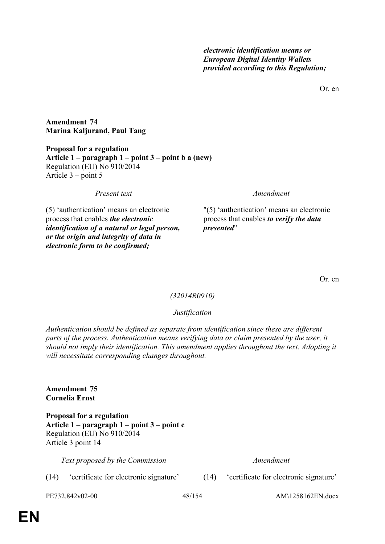Or. en

**Amendment 74 Marina Kaljurand, Paul Tang**

**Proposal for a regulation Article 1 – paragraph 1 – point 3 – point b a (new)** Regulation (EU) No 910/2014 Article 3 – point 5

*Present text Amendment*

(5) 'authentication' means an electronic process that enables *the electronic identification of a natural or legal person, or the origin and integrity of data in electronic form to be confirmed;*

"(5) 'authentication' means an electronic process that enables *to verify the data presented*"

Or. en

#### *(32014R0910)*

#### *Justification*

*Authentication should be defined as separate from identification since these are different parts of the process. Authentication means verifying data or claim presented by the user, it should not imply their identification. This amendment applies throughout the text. Adopting it will necessitate corresponding changes throughout.*

**Amendment 75 Cornelia Ernst**

**Proposal for a regulation Article 1 – paragraph 1 – point 3 – point c** Regulation (EU) No 910/2014 Article 3 point 14

*Text proposed by the Commission Amendment*

(14) 'certificate for electronic signature' (14) 'certificate for electronic signature'

PE732.842v02-00 48/154 AM\1258162EN.docx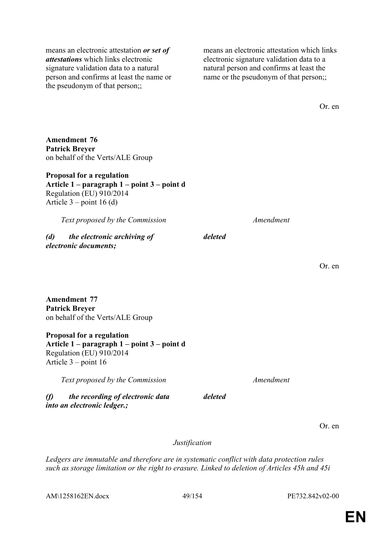means an electronic attestation *or set of attestations* which links electronic signature validation data to a natural person and confirms at least the name or the pseudonym of that person;;

means an electronic attestation which links electronic signature validation data to a natural person and confirms at least the name or the pseudonym of that person;;

Or. en

**Amendment 76 Patrick Breyer** on behalf of the Verts/ALE Group

### **Proposal for a regulation Article 1 – paragraph 1 – point 3 – point d** Regulation (EU) 910/2014 Article  $3$  – point 16 (d)

*Text proposed by the Commission Amendment*

*(d) the electronic archiving of electronic documents;*

Or. en

**Amendment 77 Patrick Breyer** on behalf of the Verts/ALE Group

**Proposal for a regulation Article 1 – paragraph 1 – point 3 – point d** Regulation (EU) 910/2014 Article 3 – point 16

*Text proposed by the Commission Amendment*

*(f) the recording of electronic data into an electronic ledger.;*

*deleted*

*deleted*

Or. en

*Justification*

*Ledgers are immutable and therefore are in systematic conflict with data protection rules such as storage limitation or the right to erasure. Linked to deletion of Articles 45h and 45i*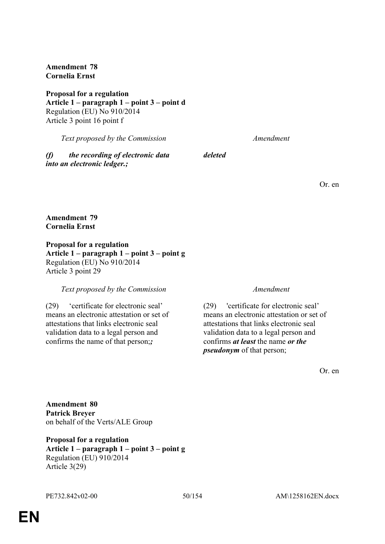**Amendment 78 Cornelia Ernst**

**Proposal for a regulation Article 1 – paragraph 1 – point 3 – point d** Regulation (EU) No 910/2014 Article 3 point 16 point f

*Text proposed by the Commission Amendment*

*(f) the recording of electronic data into an electronic ledger.;*

*deleted*

Or. en

#### **Amendment 79 Cornelia Ernst**

**Proposal for a regulation Article 1 – paragraph 1 – point 3 – point g** Regulation (EU) No 910/2014 Article 3 point 29

#### *Text proposed by the Commission Amendment*

(29) 'certificate for electronic seal' means an electronic attestation or set of attestations that links electronic seal validation data to a legal person and confirms the name of that person;*;*

(29) 'certificate for electronic seal' means an electronic attestation or set of attestations that links electronic seal validation data to a legal person and confirms *at least* the name *or the pseudonym* of that person;

Or. en

**Amendment 80 Patrick Breyer** on behalf of the Verts/ALE Group

**Proposal for a regulation Article 1 – paragraph 1 – point 3 – point g** Regulation (EU) 910/2014 Article 3(29)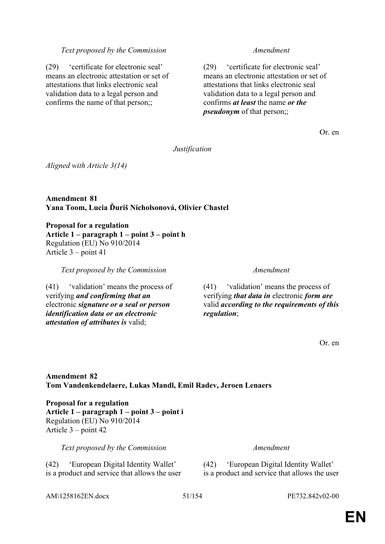#### *Text proposed by the Commission Amendment*

(29) 'certificate for electronic seal' means an electronic attestation or set of attestations that links electronic seal validation data to a legal person and confirms the name of that person;;

(29) 'certificate for electronic seal' means an electronic attestation or set of attestations that links electronic seal validation data to a legal person and confirms *at least* the name *or the pseudonym* of that person::

Or. en

*Justification*

*Aligned with Article 3(14)*

**Amendment 81 Yana Toom, Lucia Ďuriš Nicholsonová, Olivier Chastel**

**Proposal for a regulation Article 1 – paragraph 1 – point 3 – point h** Regulation (EU) No 910/2014 Article 3 – point 41

*Text proposed by the Commission Amendment*

(41) 'validation' means the process of verifying *and confirming that an* electronic *signature or a seal or person identification data or an electronic attestation of attributes is* valid;

(41) 'validation' means the process of verifying *that data in* electronic *form are* valid *according to the requirements of this regulation*;

Or. en

### **Amendment 82 Tom Vandenkendelaere, Lukas Mandl, Emil Radev, Jeroen Lenaers**

**Proposal for a regulation Article 1 – paragraph 1 – point 3 – point i** Regulation (EU) No 910/2014 Article 3 – point 42

*Text proposed by the Commission Amendment*

(42) 'European Digital Identity Wallet' is a product and service that allows the user (42) 'European Digital Identity Wallet' is a product and service that allows the user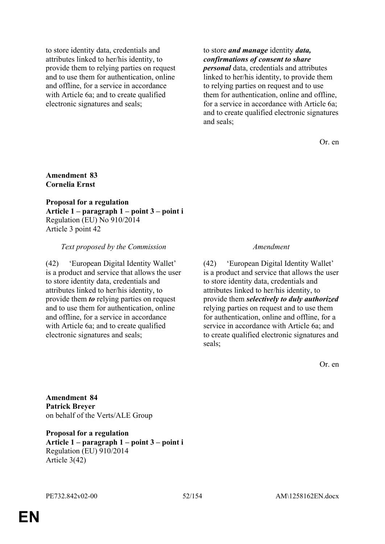to store identity data, credentials and attributes linked to her/his identity, to provide them to relying parties on request and to use them for authentication, online and offline, for a service in accordance with Article 6a; and to create qualified electronic signatures and seals;

to store *and manage* identity *data, confirmations of consent to share personal* data, credentials and attributes linked to her/his identity, to provide them to relying parties on request and to use them for authentication, online and offline, for a service in accordance with Article 6a; and to create qualified electronic signatures and seals;

Or. en

### **Amendment 83 Cornelia Ernst**

**Proposal for a regulation Article 1 – paragraph 1 – point 3 – point i** Regulation (EU) No 910/2014 Article 3 point 42

#### *Text proposed by the Commission Amendment*

(42) 'European Digital Identity Wallet' is a product and service that allows the user to store identity data, credentials and attributes linked to her/his identity, to provide them *to* relying parties on request and to use them for authentication, online and offline, for a service in accordance with Article 6a; and to create qualified electronic signatures and seals;

(42) 'European Digital Identity Wallet' is a product and service that allows the user to store identity data, credentials and attributes linked to her/his identity, to provide them *selectively to duly authorized* relying parties on request and to use them for authentication, online and offline, for a service in accordance with Article 6a; and to create qualified electronic signatures and seals;

Or. en

**Amendment 84 Patrick Breyer** on behalf of the Verts/ALE Group

**Proposal for a regulation Article 1 – paragraph 1 – point 3 – point i** Regulation (EU) 910/2014 Article 3(42)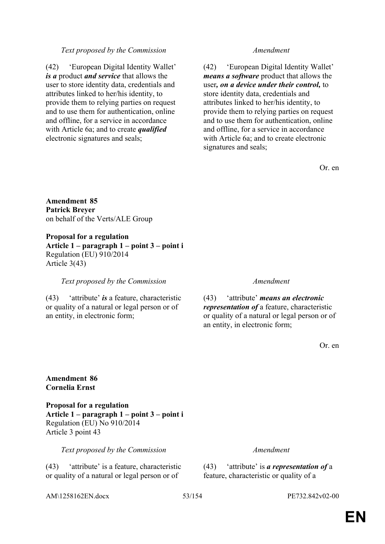## *Text proposed by the Commission Amendment*

(42) 'European Digital Identity Wallet' *is a* product *and service* that allows the user to store identity data, credentials and attributes linked to her/his identity, to provide them to relying parties on request and to use them for authentication, online and offline, for a service in accordance with Article 6a; and to create *qualified* electronic signatures and seals;

(42) 'European Digital Identity Wallet' *means a software* product that allows the user*, on a device under their control,* to store identity data, credentials and attributes linked to her/his identity, to provide them to relying parties on request and to use them for authentication, online and offline, for a service in accordance with Article 6a; and to create electronic signatures and seals;

Or. en

**Amendment 85 Patrick Breyer** on behalf of the Verts/ALE Group

**Proposal for a regulation Article 1 – paragraph 1 – point 3 – point i** Regulation (EU) 910/2014 Article 3(43)

#### *Text proposed by the Commission Amendment*

(43) 'attribute' *is* a feature, characteristic or quality of a natural or legal person or of an entity, in electronic form;

(43) 'attribute' *means an electronic representation of* a feature, characteristic or quality of a natural or legal person or of an entity, in electronic form;

Or. en

#### **Amendment 86 Cornelia Ernst**

**Proposal for a regulation Article 1 – paragraph 1 – point 3 – point i** Regulation (EU) No 910/2014 Article 3 point 43

*Text proposed by the Commission Amendment*

(43) 'attribute' is a feature, characteristic or quality of a natural or legal person or of

AM\1258162EN.docx 53/154 PE732.842v02-00

(43) 'attribute' is *a representation of* a feature, characteristic or quality of a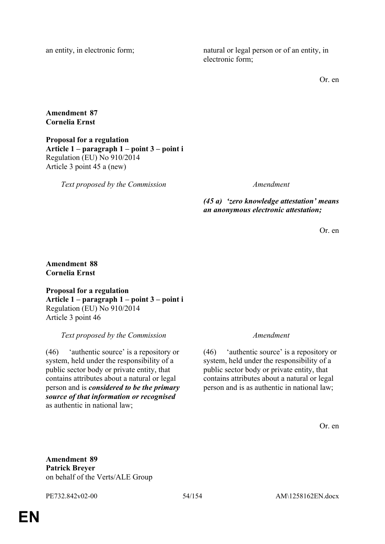an entity, in electronic form; natural or legal person or of an entity, in electronic form;

Or. en

### **Amendment 87 Cornelia Ernst**

**Proposal for a regulation Article 1 – paragraph 1 – point 3 – point i** Regulation (EU) No 910/2014 Article 3 point 45 a (new)

*Text proposed by the Commission Amendment*

*(45 a) 'zero knowledge attestation' means an anonymous electronic attestation;*

Or. en

### **Amendment 88 Cornelia Ernst**

**Proposal for a regulation Article 1 – paragraph 1 – point 3 – point i** Regulation (EU) No 910/2014 Article 3 point 46

*Text proposed by the Commission Amendment*

(46) 'authentic source' is a repository or system, held under the responsibility of a public sector body or private entity, that contains attributes about a natural or legal person and is *considered to be the primary source of that information or recognised* as authentic in national law;

(46) 'authentic source' is a repository or system, held under the responsibility of a public sector body or private entity, that contains attributes about a natural or legal person and is as authentic in national law;

Or. en

**Amendment 89 Patrick Breyer** on behalf of the Verts/ALE Group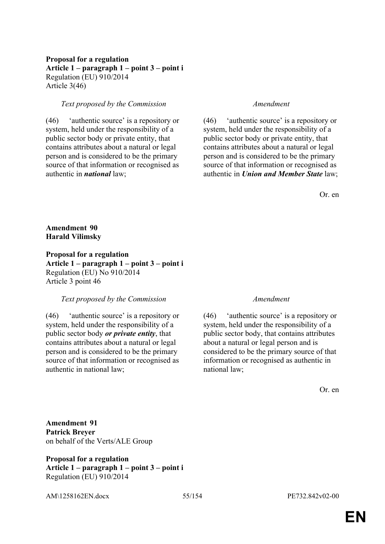### **Proposal for a regulation Article 1 – paragraph 1 – point 3 – point i** Regulation (EU) 910/2014 Article 3(46)

### *Text proposed by the Commission Amendment*

(46) 'authentic source' is a repository or system, held under the responsibility of a public sector body or private entity, that contains attributes about a natural or legal person and is considered to be the primary source of that information or recognised as authentic in *national* law;

(46) 'authentic source' is a repository or system, held under the responsibility of a public sector body or private entity, that contains attributes about a natural or legal person and is considered to be the primary source of that information or recognised as authentic in *Union and Member State* law;

Or. en

### **Amendment 90 Harald Vilimsky**

**Proposal for a regulation Article 1 – paragraph 1 – point 3 – point i** Regulation (EU) No 910/2014 Article 3 point 46

#### *Text proposed by the Commission Amendment*

(46) 'authentic source' is a repository or system, held under the responsibility of a public sector body *or private entity*, that contains attributes about a natural or legal person and is considered to be the primary source of that information or recognised as authentic in national law;

(46) 'authentic source' is a repository or system, held under the responsibility of a public sector body, that contains attributes about a natural or legal person and is considered to be the primary source of that information or recognised as authentic in national law;

Or. en

**Amendment 91 Patrick Breyer** on behalf of the Verts/ALE Group

**Proposal for a regulation Article 1 – paragraph 1 – point 3 – point i** Regulation (EU) 910/2014

AM\1258162EN.docx 55/154 PE732.842v02-00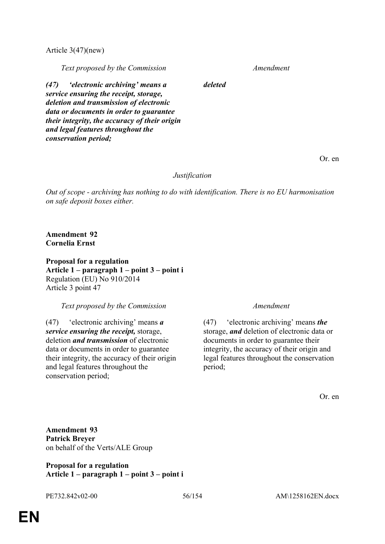Article 3(47)(new)

*Text proposed by the Commission Amendment*

*(47) 'electronic archiving' means a service ensuring the receipt, storage, deletion and transmission of electronic data or documents in order to guarantee their integrity, the accuracy of their origin and legal features throughout the conservation period;*

Or. en

#### *Justification*

*deleted*

*Out of scope - archiving has nothing to do with identification. There is no EU harmonisation on safe deposit boxes either.*

### **Amendment 92 Cornelia Ernst**

**Proposal for a regulation Article 1 – paragraph 1 – point 3 – point i** Regulation (EU) No 910/2014 Article 3 point 47

#### *Text proposed by the Commission Amendment*

(47) 'electronic archiving' means *a service ensuring the receipt,* storage, deletion *and transmission* of electronic data or documents in order to guarantee their integrity, the accuracy of their origin and legal features throughout the conservation period;

(47) 'electronic archiving' means *the* storage, *and* deletion of electronic data or documents in order to guarantee their integrity, the accuracy of their origin and legal features throughout the conservation period;

Or. en

**Amendment 93 Patrick Breyer** on behalf of the Verts/ALE Group

**Proposal for a regulation Article 1 – paragraph 1 – point 3 – point i**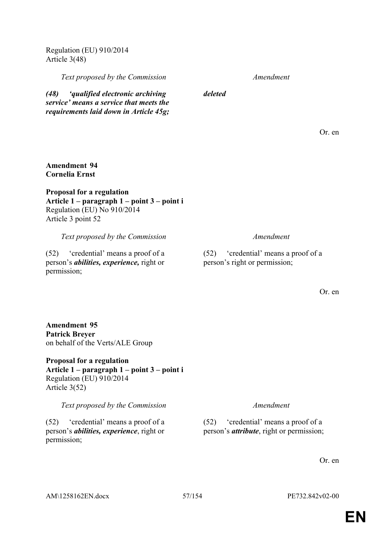AM\1258162EN.docx 57/154 PE732.842v02-00

permission;

# **EN**

**Article 1 – paragraph 1 – point 3 – point i** Regulation (EU) 910/2014 Article 3(52)

*Text proposed by the Commission Amendment*

(52) 'credential' means a proof of a person's *abilities, experience*, right or

**Patrick Breyer** on behalf of the Verts/ALE Group **Proposal for a regulation**

Regulation (EU) No 910/2014 Article 3 point 52 *Text proposed by the Commission Amendment* (52) 'credential' means a proof of a

**Article 1 – paragraph 1 – point 3 – point i**

person's *abilities, experience,* right or

(52) 'credential' means a proof of a person's right or permission;

*deleted*

*(48) 'qualified electronic archiving service' means a service that meets the requirements laid down in Article 45g;*

Regulation (EU) 910/2014 Article 3(48)

**Amendment 94 Cornelia Ernst**

permission;

**Amendment 95**

**Proposal for a regulation**

*Text proposed by the Commission Amendment*

(52) 'credential' means a proof of a person's *attribute*, right or permission;

Or. en

Or. en

Or. en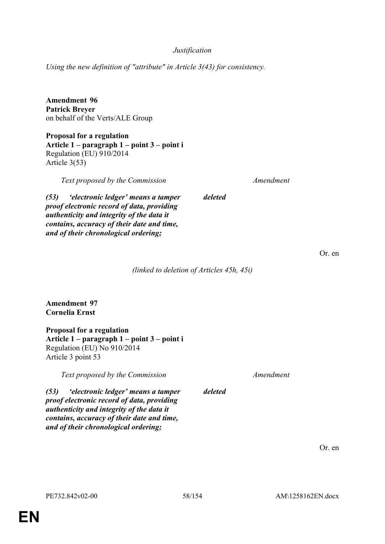### *Justification*

*Using the new definition of "attribute" in Article 3(43) for consistency.*

**Amendment 96 Patrick Breyer** on behalf of the Verts/ALE Group

**Proposal for a regulation Article 1 – paragraph 1 – point 3 – point i** Regulation (EU) 910/2014 Article 3(53)

*Text proposed by the Commission Amendment*

*(53) 'electronic ledger' means a tamper proof electronic record of data, providing authenticity and integrity of the data it contains, accuracy of their date and time, and of their chronological ordering;*

Or. en

*(linked to deletion of Articles 45h, 45i)*

*deleted*

**Amendment 97 Cornelia Ernst**

**Proposal for a regulation Article 1 – paragraph 1 – point 3 – point i** Regulation (EU) No 910/2014 Article 3 point 53

*Text proposed by the Commission Amendment*

*(53) 'electronic ledger' means a tamper proof electronic record of data, providing authenticity and integrity of the data it contains, accuracy of their date and time, and of their chronological ordering;*

*deleted*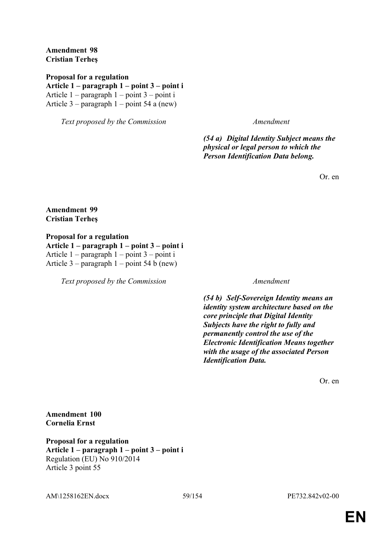**Amendment 98 Cristian Terheş**

**Proposal for a regulation Article 1 – paragraph 1 – point 3 – point i** Article 1 – paragraph 1 – point 3 – point i Article 3 – paragraph 1 – point 54 a (new)

*Text proposed by the Commission Amendment*

*(54 a) Digital Identity Subject means the physical or legal person to which the Person Identification Data belong.*

Or. en

**Amendment 99 Cristian Terheş**

**Proposal for a regulation Article 1 – paragraph 1 – point 3 – point i** Article 1 – paragraph 1 – point 3 – point i Article 3 – paragraph 1 – point 54 b (new)

*Text proposed by the Commission Amendment*

*(54 b) Self-Sovereign Identity means an identity system architecture based on the core principle that Digital Identity Subjects have the right to fully and permanently control the use of the Electronic Identification Means together with the usage of the associated Person Identification Data.*

Or. en

**Amendment 100 Cornelia Ernst**

**Proposal for a regulation Article 1 – paragraph 1 – point 3 – point i** Regulation (EU) No 910/2014 Article 3 point 55

AM\1258162EN.docx 59/154 PE732.842v02-00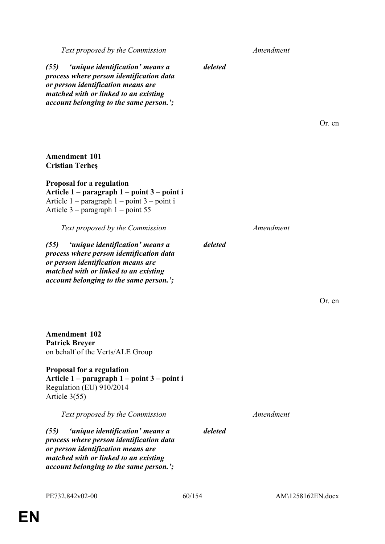**Amendment 101 Cristian Terheş**

**Proposal for a regulation**

Article 3 – paragraph 1 – point 55

*(55) 'unique identification' means a process where person identification data or person identification means are matched with or linked to an existing account belonging to the same person.';*

**Amendment 102 Patrick Breyer** on behalf of the Verts/ALE Group

**Proposal for a regulation Article 1 – paragraph 1 – point 3 – point i** Regulation (EU) 910/2014 Article 3(55)

*Text proposed by the Commission Amendment*

*(55) 'unique identification' means a process where person identification data or person identification means are matched with or linked to an existing account belonging to the same person.';*

PE732.842v02-00 60/154 AM\1258162EN.docx

*Text proposed by the Commission Amendment*

*deleted*

*deleted*

*(55) 'unique identification' means a process where person identification data or person identification means are matched with or linked to an existing account belonging to the same person.';*

**Article 1 – paragraph 1 – point 3 – point i** Article 1 – paragraph 1 – point 3 – point i

Or. en

*Text proposed by the Commission Amendment*

Or. en

*deleted*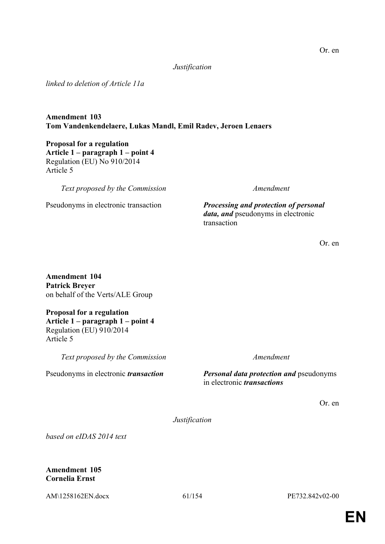### *Justification*

*linked to deletion of Article 11a*

### **Amendment 103 Tom Vandenkendelaere, Lukas Mandl, Emil Radev, Jeroen Lenaers**

**Proposal for a regulation Article 1 – paragraph 1 – point 4** Regulation (EU) No 910/2014 Article 5

*Text proposed by the Commission Amendment*

Pseudonyms in electronic transaction *Processing and protection of personal data, and* pseudonyms in electronic transaction

Or. en

**Amendment 104 Patrick Breyer** on behalf of the Verts/ALE Group

**Proposal for a regulation Article 1 – paragraph 1 – point 4** Regulation (EU) 910/2014 Article 5

*Text proposed by the Commission Amendment*

Pseudonyms in electronic *transaction Personal data protection and* pseudonyms in electronic *transactions*

Or. en

*Justification*

*based on eIDAS 2014 text*

### **Amendment 105 Cornelia Ernst**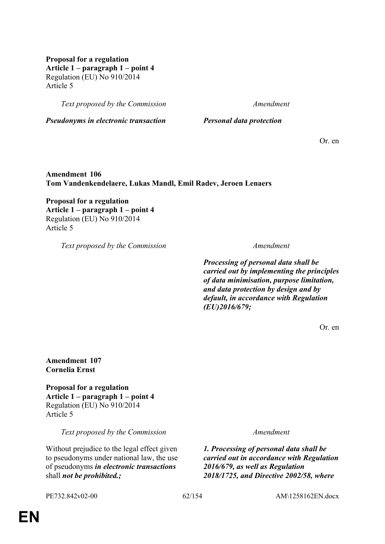**Proposal for a regulation Article 1 – paragraph 1 – point 4** Regulation (EU) No 910/2014 Article 5

*Text proposed by the Commission Amendment*

*Pseudonyms in electronic transaction Personal data protection*

Or. en

**Amendment 106 Tom Vandenkendelaere, Lukas Mandl, Emil Radev, Jeroen Lenaers**

**Proposal for a regulation Article 1 – paragraph 1 – point 4** Regulation (EU) No 910/2014 Article 5

*Text proposed by the Commission Amendment*

*Processing of personal data shall be carried out by implementing the principles of data minimisation, purpose limitation, and data protection by design and by default, in accordance with Regulation (EU)2016/679;*

Or. en

**Amendment 107 Cornelia Ernst**

**Proposal for a regulation Article 1 – paragraph 1 – point 4** Regulation (EU) No 910/2014 Article 5

*Text proposed by the Commission Amendment*

Without prejudice to the legal effect given to pseudonyms under national law, the use of pseudonyms *in electronic transactions* shall *not be prohibited.;*

*1. Processing of personal data shall be carried out in accordance with Regulation 2016/679, as well as Regulation 2018/1725, and Directive 2002/58, where* 

PE732.842v02-00 62/154 AM\1258162EN.docx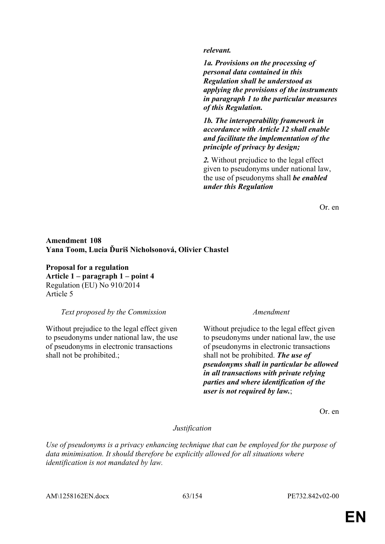#### *relevant.*

*1a. Provisions on the processing of personal data contained in this Regulation shall be understood as applying the provisions of the instruments in paragraph 1 to the particular measures of this Regulation.*

*1b. The interoperability framework in accordance with Article 12 shall enable and facilitate the implementation of the principle of privacy by design;*

*2.* Without prejudice to the legal effect given to pseudonyms under national law, the use of pseudonyms shall *be enabled under this Regulation*

Or. en

### **Amendment 108 Yana Toom, Lucia Ďuriš Nicholsonová, Olivier Chastel**

**Proposal for a regulation Article 1 – paragraph 1 – point 4** Regulation (EU) No 910/2014 Article 5

*Text proposed by the Commission Amendment*

Without prejudice to the legal effect given to pseudonyms under national law, the use of pseudonyms in electronic transactions shall not be prohibited.;

Without prejudice to the legal effect given to pseudonyms under national law, the use of pseudonyms in electronic transactions shall not be prohibited. *The use of pseudonyms shall in particular be allowed in all transactions with private relying parties and where identification of the user is not required by law.*;

Or. en

#### *Justification*

*Use of pseudonyms is a privacy enhancing technique that can be employed for the purpose of data minimisation. It should therefore be explicitly allowed for all situations where identification is not mandated by law.*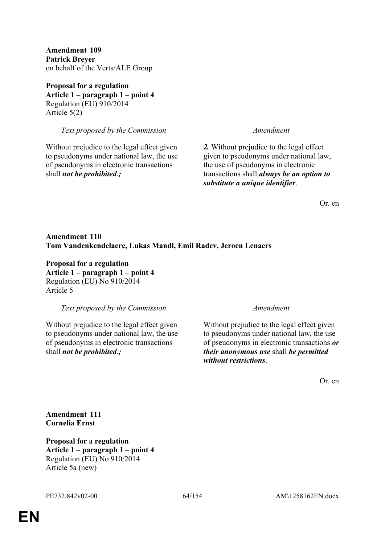**Amendment 109 Patrick Breyer** on behalf of the Verts/ALE Group

**Proposal for a regulation Article 1 – paragraph 1 – point 4** Regulation (EU) 910/2014 Article 5(2)

*Text proposed by the Commission Amendment*

Without prejudice to the legal effect given to pseudonyms under national law, the use of pseudonyms in electronic transactions shall *not be prohibited*.*;*

*2.* Without prejudice to the legal effect given to pseudonyms under national law, the use of pseudonyms in electronic transactions shall *always be an option to substitute a unique identifier*.

Or. en

### **Amendment 110 Tom Vandenkendelaere, Lukas Mandl, Emil Radev, Jeroen Lenaers**

**Proposal for a regulation Article 1 – paragraph 1 – point 4** Regulation (EU) No 910/2014 Article 5

*Text proposed by the Commission Amendment*

Without prejudice to the legal effect given to pseudonyms under national law, the use of pseudonyms in electronic transactions shall *not be prohibited*.*;*

Without prejudice to the legal effect given to pseudonyms under national law, the use of pseudonyms in electronic transactions *or their anonymous use* shall *be permitted without restrictions*.

Or. en

**Amendment 111 Cornelia Ernst**

**Proposal for a regulation Article 1 – paragraph 1 – point 4** Regulation (EU) No 910/2014 Article 5a (new)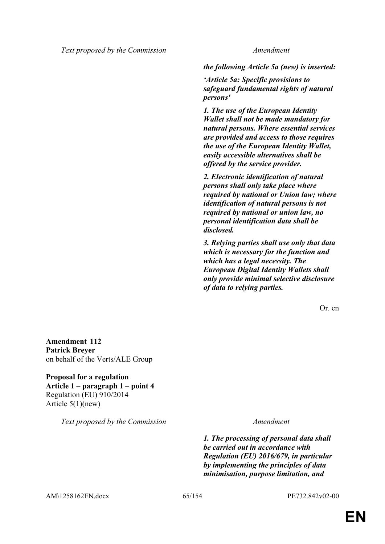*Text proposed by the Commission Amendment*

*the following Article 5a (new) is inserted:*

*'Article 5a: Specific provisions to safeguard fundamental rights of natural persons'*

*1. The use of the European Identity Wallet shall not be made mandatory for natural persons. Where essential services are provided and access to those requires the use of the European Identity Wallet, easily accessible alternatives shall be offered by the service provider.*

*2. Electronic identification of natural persons shall only take place where required by national or Union law; where identification of natural persons is not required by national or union law, no personal identification data shall be disclosed.*

*3. Relying parties shall use only that data which is necessary for the function and which has a legal necessity. The European Digital Identity Wallets shall only provide minimal selective disclosure of data to relying parties.*

Or. en

**Amendment 112 Patrick Breyer** on behalf of the Verts/ALE Group

**Proposal for a regulation Article 1 – paragraph 1 – point 4** Regulation (EU) 910/2014 Article 5(1)(new)

*Text proposed by the Commission Amendment*

*1. The processing of personal data shall be carried out in accordance with Regulation (EU) 2016/679, in particular by implementing the principles of data minimisation, purpose limitation, and* 

AM\1258162EN.docx 65/154 PE732.842v02-00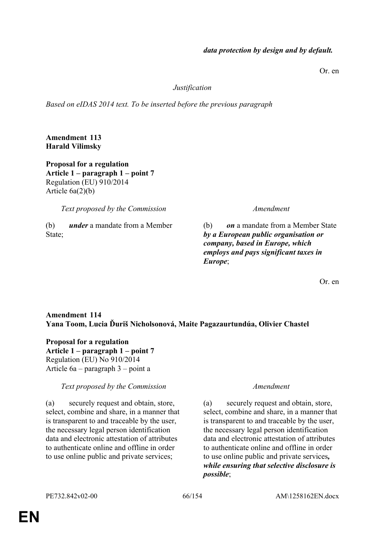# *data protection by design and by default.*

Or. en

#### *Justification*

*Based on eIDAS 2014 text. To be inserted before the previous paragraph*

**Amendment 113 Harald Vilimsky**

**Proposal for a regulation Article 1 – paragraph 1 – point 7** Regulation (EU) 910/2014 Article 6a(2)(b)

*Text proposed by the Commission Amendment*

(b) *under* a mandate from a Member State;

(b) *on* a mandate from a Member State *by a European public organisation or company, based in Europe, which employs and pays significant taxes in Europe*;

Or. en

### **Amendment 114 Yana Toom, Lucia Ďuriš Nicholsonová, Maite Pagazaurtundúa, Olivier Chastel**

**Proposal for a regulation Article 1 – paragraph 1 – point 7** Regulation (EU) No 910/2014 Article 6a – paragraph 3 – point a

#### *Text proposed by the Commission Amendment*

(a) securely request and obtain, store, select, combine and share, in a manner that is transparent to and traceable by the user, the necessary legal person identification data and electronic attestation of attributes to authenticate online and offline in order to use online public and private services;

(a) securely request and obtain, store, select, combine and share, in a manner that is transparent to and traceable by the user, the necessary legal person identification data and electronic attestation of attributes to authenticate online and offline in order to use online public and private services*, while ensuring that selective disclosure is possible*;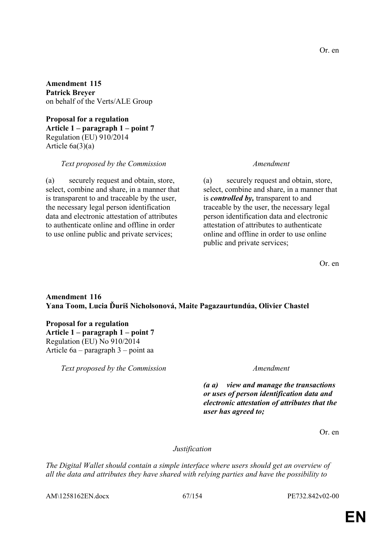**Amendment 115 Patrick Breyer** on behalf of the Verts/ALE Group

**Proposal for a regulation Article 1 – paragraph 1 – point 7** Regulation (EU) 910/2014 Article 6a(3)(a)

#### *Text proposed by the Commission Amendment*

(a) securely request and obtain, store, select, combine and share, in a manner that is transparent to and traceable by the user, the necessary legal person identification data and electronic attestation of attributes to authenticate online and offline in order to use online public and private services;

(a) securely request and obtain, store, select, combine and share, in a manner that is *controlled by,* transparent to and traceable by the user, the necessary legal person identification data and electronic attestation of attributes to authenticate online and offline in order to use online public and private services;

Or. en

### **Amendment 116 Yana Toom, Lucia Ďuriš Nicholsonová, Maite Pagazaurtundúa, Olivier Chastel**

### **Proposal for a regulation Article 1 – paragraph 1 – point 7** Regulation (EU) No 910/2014 Article 6a – paragraph 3 – point aa

*Text proposed by the Commission Amendment*

*(a a) view and manage the transactions or uses of person identification data and electronic attestation of attributes that the user has agreed to;*

Or. en

#### *Justification*

*The Digital Wallet should contain a simple interface where users should get an overview of all the data and attributes they have shared with relying parties and have the possibility to* 

AM\1258162EN.docx 67/154 PE732.842v02-00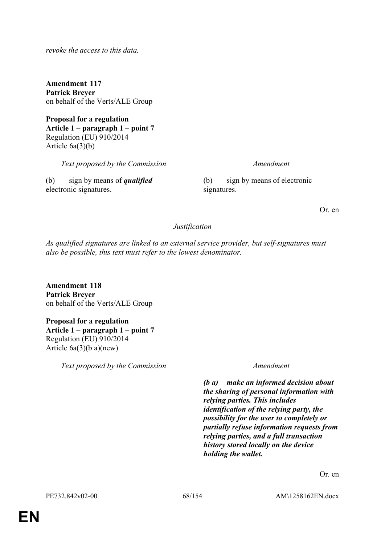*revoke the access to this data.*

**Amendment 117 Patrick Breyer** on behalf of the Verts/ALE Group

**Proposal for a regulation Article 1 – paragraph 1 – point 7** Regulation (EU) 910/2014 Article 6a(3)(b)

*Text proposed by the Commission Amendment*

(b) sign by means of *qualified* electronic signatures.

(b) sign by means of electronic signatures.

Or. en

#### *Justification*

*As qualified signatures are linked to an external service provider, but self-signatures must also be possible, this text must refer to the lowest denominator.*

**Amendment 118 Patrick Breyer** on behalf of the Verts/ALE Group

**Proposal for a regulation Article 1 – paragraph 1 – point 7** Regulation (EU) 910/2014 Article 6a(3)(b a)(new)

*Text proposed by the Commission Amendment*

*(b a) make an informed decision about the sharing of personal information with relying parties. This includes identification of the relying party, the possibility for the user to completely or partially refuse information requests from relying parties, and a full transaction history stored locally on the device holding the wallet.*

Or. en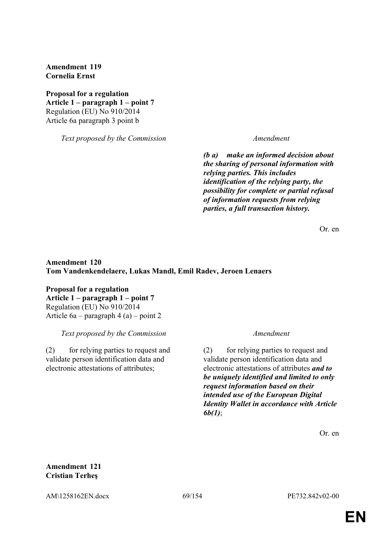**Amendment 119 Cornelia Ernst**

**Proposal for a regulation Article 1 – paragraph 1 – point 7** Regulation (EU) No 910/2014 Article 6a paragraph 3 point b

*Text proposed by the Commission Amendment*

*(b a) make an informed decision about the sharing of personal information with relying parties. This includes identification of the relying party, the possibility for complete or partial refusal of information requests from relying parties, a full transaction history.*

Or. en

### **Amendment 120 Tom Vandenkendelaere, Lukas Mandl, Emil Radev, Jeroen Lenaers**

**Proposal for a regulation Article 1 – paragraph 1 – point 7** Regulation (EU) No 910/2014 Article 6a – paragraph 4 (a) – point 2

*Text proposed by the Commission Amendment*

(2) for relying parties to request and validate person identification data and electronic attestations of attributes;

(2) for relying parties to request and validate person identification data and electronic attestations of attributes *and to be uniquely identified and limited to only request information based on their intended use of the European Digital Identity Wallet in accordance with Article 6b(1)*;

Or. en

**Amendment 121 Cristian Terheş**

AM\1258162EN.docx 69/154 PE732.842v02-00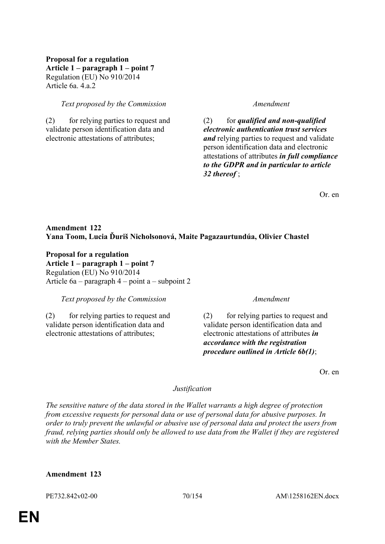### **Proposal for a regulation Article 1 – paragraph 1 – point 7** Regulation (EU) No 910/2014 Article 6a. 4.a.2

### *Text proposed by the Commission Amendment*

(2) for relying parties to request and validate person identification data and electronic attestations of attributes;

(2) for *qualified and non-qualified electronic authentication trust services and* relying parties to request and validate person identification data and electronic attestations of attributes *in full compliance to the GDPR and in particular to article 32 thereof* ;

Or. en

### **Amendment 122 Yana Toom, Lucia Ďuriš Nicholsonová, Maite Pagazaurtundúa, Olivier Chastel**

**Proposal for a regulation Article 1 – paragraph 1 – point 7** Regulation (EU) No 910/2014 Article 6a – paragraph 4 – point a – subpoint 2

*Text proposed by the Commission Amendment*

(2) for relying parties to request and validate person identification data and electronic attestations of attributes;

(2) for relying parties to request and validate person identification data and electronic attestations of attributes *in accordance with the registration procedure outlined in Article 6b(1)*;

Or. en

#### *Justification*

*The sensitive nature of the data stored in the Wallet warrants a high degree of protection from excessive requests for personal data or use of personal data for abusive purposes. In order to truly prevent the unlawful or abusive use of personal data and protect the users from fraud, relying parties should only be allowed to use data from the Wallet if they are registered with the Member States.*

#### **Amendment 123**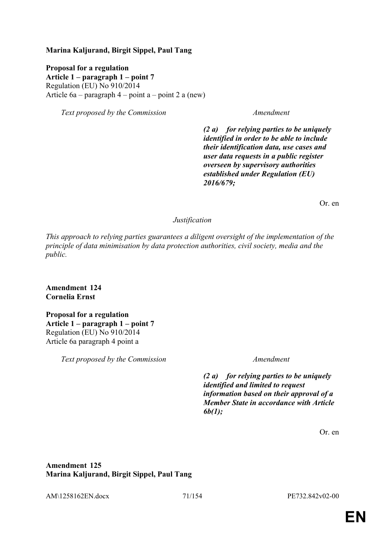### **Marina Kaljurand, Birgit Sippel, Paul Tang**

**Proposal for a regulation Article 1 – paragraph 1 – point 7** Regulation (EU) No 910/2014 Article 6a – paragraph 4 – point a – point 2 a (new)

*Text proposed by the Commission Amendment*

*(2 a) for relying parties to be uniquely identified in order to be able to include their identification data, use cases and user data requests in a public register overseen by supervisory authorities established under Regulation (EU) 2016/679;*

Or. en

### *Justification*

*This approach to relying parties guarantees a diligent oversight of the implementation of the principle of data minimisation by data protection authorities, civil society, media and the public.*

**Amendment 124 Cornelia Ernst**

**Proposal for a regulation Article 1 – paragraph 1 – point 7** Regulation (EU) No 910/2014 Article 6a paragraph 4 point a

*Text proposed by the Commission Amendment*

*(2 a) for relying parties to be uniquely identified and limited to request information based on their approval of a Member State in accordance with Article 6b(1);*

Or. en

**Amendment 125 Marina Kaljurand, Birgit Sippel, Paul Tang**

AM\1258162EN.docx 71/154 PE732.842v02-00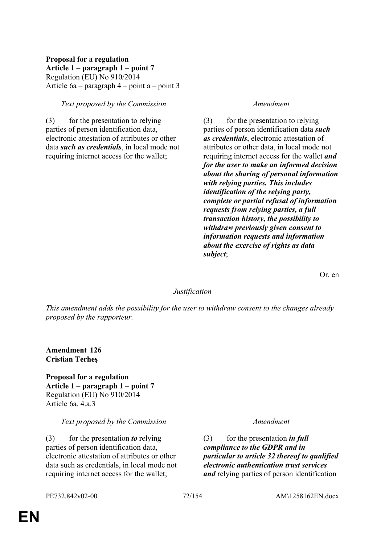### **Proposal for a regulation Article 1 – paragraph 1 – point 7** Regulation (EU) No 910/2014 Article 6a – paragraph 4 – point a – point 3

### *Text proposed by the Commission Amendment*

(3) for the presentation to relying parties of person identification data, electronic attestation of attributes or other data *such as credentials*, in local mode not requiring internet access for the wallet;

(3) for the presentation to relying parties of person identification data *such as credentials*, electronic attestation of attributes or other data, in local mode not requiring internet access for the wallet *and for the user to make an informed decision about the sharing of personal information with relying parties. This includes identification of the relying party, complete or partial refusal of information requests from relying parties, a full transaction history, the possibility to withdraw previously given consent to information requests and information about the exercise of rights as data subject*;

Or. en

#### *Justification*

*This amendment adds the possibility for the user to withdraw consent to the changes already proposed by the rapporteur.*

**Amendment 126 Cristian Terheş**

**Proposal for a regulation Article 1 – paragraph 1 – point 7** Regulation (EU) No 910/2014 Article 6a. 4.a.3

#### *Text proposed by the Commission Amendment*

(3) for the presentation *to* relying parties of person identification data, electronic attestation of attributes or other data such as credentials, in local mode not requiring internet access for the wallet;

(3) for the presentation *in full compliance to the GDPR and in particular to article 32 thereof to qualified electronic authentication trust services and* relying parties of person identification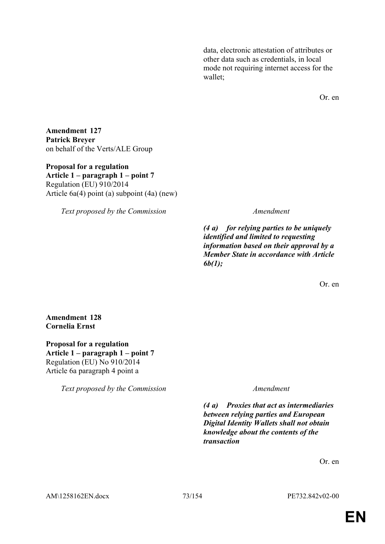data, electronic attestation of attributes or other data such as credentials, in local mode not requiring internet access for the wallet;

Or. en

**Amendment 127 Patrick Breyer** on behalf of the Verts/ALE Group

**Proposal for a regulation Article 1 – paragraph 1 – point 7** Regulation (EU) 910/2014 Article 6a(4) point (a) subpoint (4a) (new)

*Text proposed by the Commission Amendment*

*(4 a) for relying parties to be uniquely identified and limited to requesting information based on their approval by a Member State in accordance with Article 6b(1);*

Or. en

**Amendment 128 Cornelia Ernst**

**Proposal for a regulation Article 1 – paragraph 1 – point 7** Regulation (EU) No 910/2014 Article 6a paragraph 4 point a

*Text proposed by the Commission Amendment*

*(4 a) Proxies that act as intermediaries between relying parties and European Digital Identity Wallets shall not obtain knowledge about the contents of the transaction*

Or. en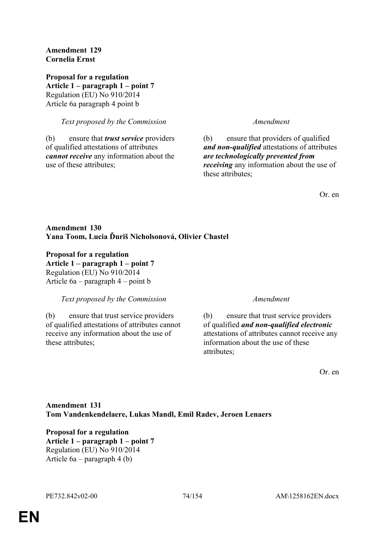## **Amendment 129 Cornelia Ernst**

**Proposal for a regulation Article 1 – paragraph 1 – point 7** Regulation (EU) No 910/2014 Article 6a paragraph 4 point b

## *Text proposed by the Commission Amendment*

(b) ensure that *trust service* providers of qualified attestations of attributes *cannot receive* any information about the use of these attributes;

(b) ensure that providers of qualified *and non-qualified* attestations of attributes *are technologically prevented from receiving* any information about the use of these attributes:

Or. en

# **Amendment 130 Yana Toom, Lucia Ďuriš Nicholsonová, Olivier Chastel**

**Proposal for a regulation Article 1 – paragraph 1 – point 7** Regulation (EU) No 910/2014 Article 6a – paragraph 4 – point b

*Text proposed by the Commission Amendment*

(b) ensure that trust service providers of qualified attestations of attributes cannot receive any information about the use of these attributes;

(b) ensure that trust service providers of qualified *and non-qualified electronic* attestations of attributes cannot receive any information about the use of these attributes;

Or. en

# **Amendment 131 Tom Vandenkendelaere, Lukas Mandl, Emil Radev, Jeroen Lenaers**

**Proposal for a regulation Article 1 – paragraph 1 – point 7** Regulation (EU) No 910/2014 Article 6a – paragraph 4 (b)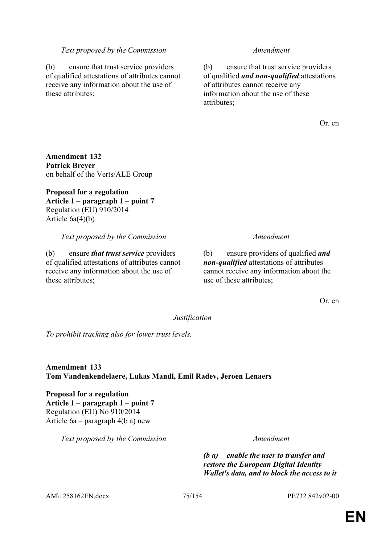### *Text proposed by the Commission Amendment*

(b) ensure that trust service providers of qualified attestations of attributes cannot receive any information about the use of these attributes;

(b) ensure that trust service providers of qualified *and non-qualified* attestations of attributes cannot receive any information about the use of these attributes;

Or. en

**Amendment 132 Patrick Breyer** on behalf of the Verts/ALE Group

**Proposal for a regulation Article 1 – paragraph 1 – point 7** Regulation (EU) 910/2014 Article 6a(4)(b)

*Text proposed by the Commission Amendment*

(b) ensure *that trust service* providers of qualified attestations of attributes cannot receive any information about the use of these attributes;

(b) ensure providers of qualified *and non-qualified* attestations of attributes cannot receive any information about the use of these attributes;

Or. en

*Justification*

*To prohibit tracking also for lower trust levels.*

**Amendment 133 Tom Vandenkendelaere, Lukas Mandl, Emil Radev, Jeroen Lenaers**

**Proposal for a regulation Article 1 – paragraph 1 – point 7** Regulation (EU) No 910/2014 Article 6a – paragraph 4(b a) new

*Text proposed by the Commission Amendment*

*(b a) enable the user to transfer and restore the European Digital Identity Wallet's data, and to block the access to it* 

AM\1258162EN.docx 75/154 PE732.842v02-00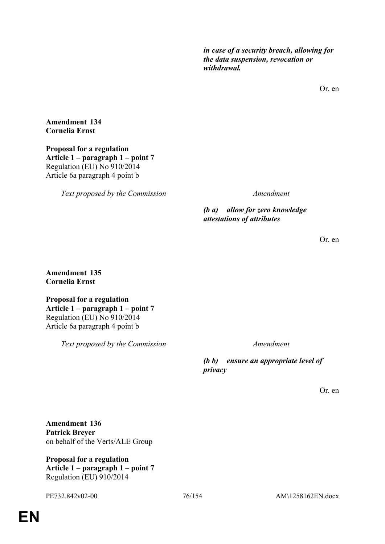*in case of a security breach, allowing for the data suspension, revocation or withdrawal.*

Or. en

**Amendment 134 Cornelia Ernst**

**Proposal for a regulation Article 1 – paragraph 1 – point 7** Regulation (EU) No 910/2014 Article 6a paragraph 4 point b

*Text proposed by the Commission Amendment*

*(b a) allow for zero knowledge attestations of attributes*

Or. en

**Amendment 135 Cornelia Ernst**

**Proposal for a regulation Article 1 – paragraph 1 – point 7** Regulation (EU) No 910/2014 Article 6a paragraph 4 point b

*Text proposed by the Commission Amendment*

*(b b) ensure an appropriate level of privacy*

Or. en

**Amendment 136 Patrick Breyer** on behalf of the Verts/ALE Group

**Proposal for a regulation Article 1 – paragraph 1 – point 7** Regulation (EU) 910/2014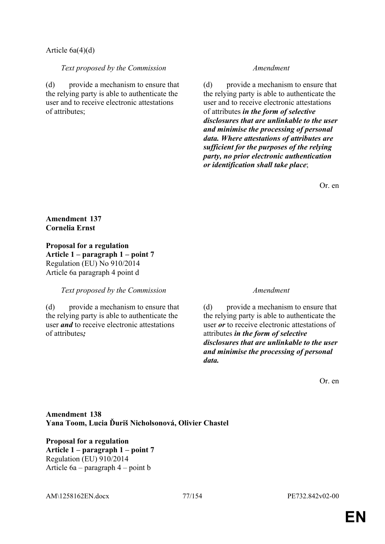## Article 6a(4)(d)

*Text proposed by the Commission Amendment*

(d) provide a mechanism to ensure that the relying party is able to authenticate the user and to receive electronic attestations of attributes;

(d) provide a mechanism to ensure that the relying party is able to authenticate the user and to receive electronic attestations of attributes *in the form of selective disclosures that are unlinkable to the user and minimise the processing of personal data. Where attestations of attributes are sufficient for the purposes of the relying party, no prior electronic authentication or identification shall take place*;

Or. en

# **Amendment 137 Cornelia Ernst**

**Proposal for a regulation Article 1 – paragraph 1 – point 7** Regulation (EU) No 910/2014 Article 6a paragraph 4 point d

## *Text proposed by the Commission Amendment*

(d) provide a mechanism to ensure that the relying party is able to authenticate the user *and* to receive electronic attestations of attributes*;*

(d) provide a mechanism to ensure that the relying party is able to authenticate the user *or* to receive electronic attestations of attributes *in the form of selective disclosures that are unlinkable to the user and minimise the processing of personal data.*

Or. en

# **Amendment 138 Yana Toom, Lucia Ďuriš Nicholsonová, Olivier Chastel**

**Proposal for a regulation Article 1 – paragraph 1 – point 7** Regulation (EU) 910/2014 Article 6a – paragraph 4 – point b

AM\1258162EN.docx 77/154 PE732.842v02-00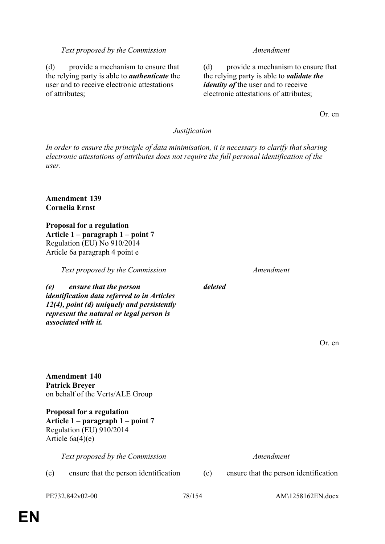### *Text proposed by the Commission Amendment*

(d) provide a mechanism to ensure that the relying party is able to *authenticate* the user and to receive electronic attestations of attributes;

(d) provide a mechanism to ensure that the relying party is able to *validate the identity of the user and to receive* electronic attestations of attributes;

Or. en

### *Justification*

*In order to ensure the principle of data minimisation, it is necessary to clarify that sharing electronic attestations of attributes does not require the full personal identification of the user.*

*deleted*

## **Amendment 139 Cornelia Ernst**

**Proposal for a regulation Article 1 – paragraph 1 – point 7** Regulation (EU) No 910/2014 Article 6a paragraph 4 point e

*Text proposed by the Commission Amendment*

*(e) ensure that the person identification data referred to in Articles 12(4), point (d) uniquely and persistently represent the natural or legal person is associated with it.*

**Amendment 140 Patrick Breyer** on behalf of the Verts/ALE Group

**Proposal for a regulation Article 1 – paragraph 1 – point 7** Regulation (EU) 910/2014 Article 6a(4)(e)

*Text proposed by the Commission Amendment*

(e) ensure that the person identification (e) ensure that the person identification

Or. en

PE732.842v02-00 78/154 AM\1258162EN.docx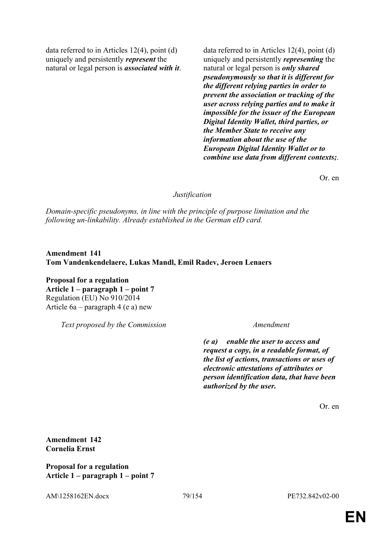data referred to in Articles 12(4), point (d) uniquely and persistently *represent* the natural or legal person is *associated with it*. data referred to in Articles 12(4), point (d) uniquely and persistently *representing* the natural or legal person is *only shared pseudonymously so that it is different for the different relying parties in order to prevent the association or tracking of the user across relying parties and to make it impossible for the issuer of the European Digital Identity Wallet, third parties, or the Member State to receive any information about the use of the European Digital Identity Wallet or to combine use data from different contexts;*.

Or. en

### *Justification*

*Domain-specific pseudonyms, in line with the principle of purpose limitation and the following un-linkability. Already established in the German eID card.*

**Amendment 141 Tom Vandenkendelaere, Lukas Mandl, Emil Radev, Jeroen Lenaers**

**Proposal for a regulation Article 1 – paragraph 1 – point 7** Regulation (EU) No 910/2014 Article 6a – paragraph 4 (e a) new

*Text proposed by the Commission Amendment*

*(e a) enable the user to access and request a copy, in a readable format, of the list of actions, transactions or uses of electronic attestations of attributes or person identification data, that have been authorized by the user.*

Or. en

**Amendment 142 Cornelia Ernst**

**Proposal for a regulation Article 1 – paragraph 1 – point 7**

AM\1258162EN.docx 79/154 PE732.842v02-00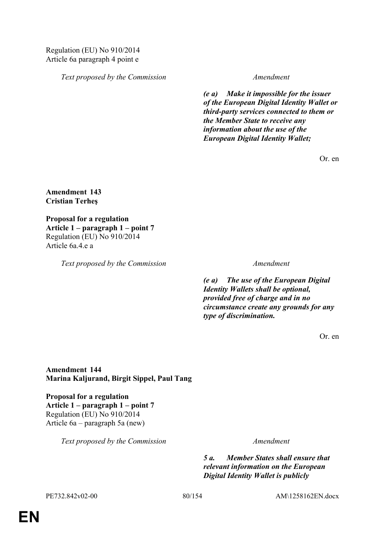*Text proposed by the Commission Amendment*

*(e a) Make it impossible for the issuer of the European Digital Identity Wallet or third-party services connected to them or the Member State to receive any information about the use of the European Digital Identity Wallet;*

Or. en

**Amendment 143 Cristian Terheş**

**Proposal for a regulation Article 1 – paragraph 1 – point 7** Regulation (EU) No 910/2014 Article 6a.4.e a

*Text proposed by the Commission Amendment*

*(e a) The use of the European Digital Identity Wallets shall be optional, provided free of charge and in no circumstance create any grounds for any type of discrimination.*

Or. en

**Amendment 144 Marina Kaljurand, Birgit Sippel, Paul Tang**

**Proposal for a regulation Article 1 – paragraph 1 – point 7** Regulation (EU) No 910/2014 Article 6a – paragraph 5a (new)

*Text proposed by the Commission Amendment*

*5 a. Member States shall ensure that relevant information on the European Digital Identity Wallet is publicly* 

PE732.842v02-00 80/154 AM\1258162EN.docx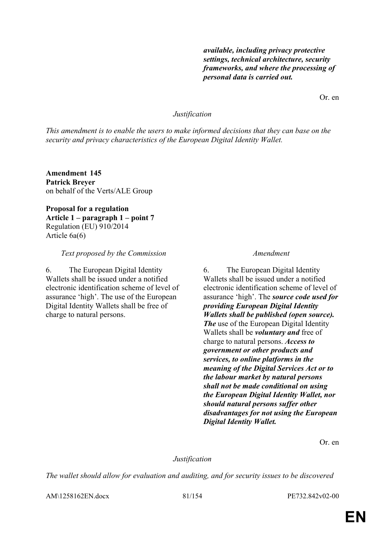*available, including privacy protective settings, technical architecture, security frameworks, and where the processing of personal data is carried out.*

Or. en

## *Justification*

*This amendment is to enable the users to make informed decisions that they can base on the security and privacy characteristics of the European Digital Identity Wallet.*

**Amendment 145 Patrick Breyer** on behalf of the Verts/ALE Group

**Proposal for a regulation Article 1 – paragraph 1 – point 7** Regulation (EU) 910/2014 Article 6a(6)

### *Text proposed by the Commission Amendment*

6. The European Digital Identity Wallets shall be issued under a notified electronic identification scheme of level of assurance 'high'. The use of the European Digital Identity Wallets shall be free of charge to natural persons.

6. The European Digital Identity Wallets shall be issued under a notified electronic identification scheme of level of assurance 'high'. The *source code used for providing European Digital Identity Wallets shall be published (open source). The* use of the European Digital Identity Wallets shall be *voluntary and* free of charge to natural persons. *Access to government or other products and services, to online platforms in the meaning of the Digital Services Act or to the labour market by natural persons shall not be made conditional on using the European Digital Identity Wallet, nor should natural persons suffer other disadvantages for not using the European Digital Identity Wallet.*

Or. en

## *Justification*

*The wallet should allow for evaluation and auditing, and for security issues to be discovered* 

AM\1258162EN.docx 81/154 PE732.842v02-00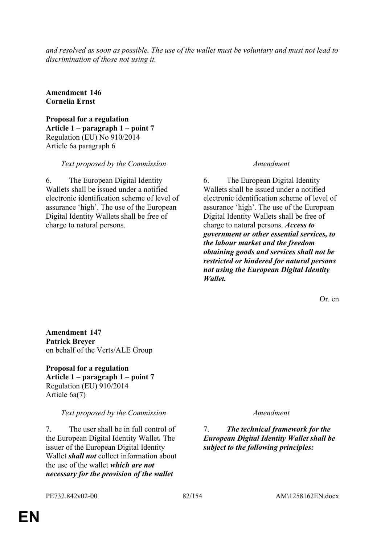*and resolved as soon as possible. The use of the wallet must be voluntary and must not lead to discrimination of those not using it.*

**Amendment 146 Cornelia Ernst**

**Proposal for a regulation Article 1 – paragraph 1 – point 7** Regulation (EU) No 910/2014 Article 6a paragraph 6

*Text proposed by the Commission Amendment*

6. The European Digital Identity Wallets shall be issued under a notified electronic identification scheme of level of assurance 'high'. The use of the European Digital Identity Wallets shall be free of charge to natural persons.

6. The European Digital Identity Wallets shall be issued under a notified electronic identification scheme of level of assurance 'high'. The use of the European Digital Identity Wallets shall be free of charge to natural persons. *Access to government or other essential services, to the labour market and the freedom obtaining goods and services shall not be restricted or hindered for natural persons not using the European Digital Identity Wallet.*

Or. en

**Amendment 147 Patrick Breyer** on behalf of the Verts/ALE Group

**Proposal for a regulation Article 1 – paragraph 1 – point 7** Regulation (EU) 910/2014 Article 6a(7)

*Text proposed by the Commission Amendment*

7. The user shall be in full control of the European Digital Identity Wallet*.* The issuer of the European Digital Identity Wallet *shall not* collect information about the use of the wallet *which are not necessary for the provision of the wallet* 

7. *The technical framework for the European Digital Identity Wallet shall be subject to the following principles:*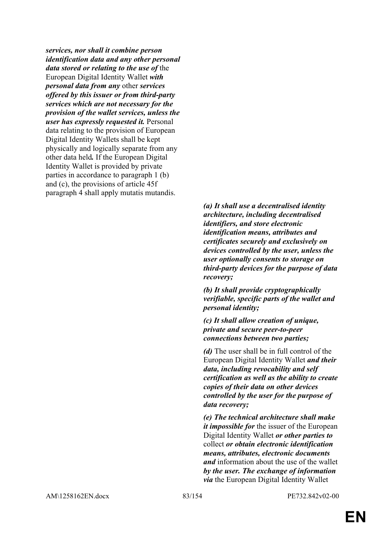*services, nor shall it combine person identification data and any other personal data stored or relating to the use of* the European Digital Identity Wallet *with personal data from any* other *services offered by this issuer or from third-party services which are not necessary for the provision of the wallet services, unless the user has expressly requested it.* Personal data relating to the provision of European Digital Identity Wallets shall be kept physically and logically separate from any other data held*.* If the European Digital Identity Wallet is provided by private parties in accordance to paragraph 1 (b) and (c), the provisions of article 45f paragraph 4 shall apply mutatis mutandis.

> *(a) It shall use a decentralised identity architecture, including decentralised identifiers, and store electronic identification means, attributes and certificates securely and exclusively on devices controlled by the user, unless the user optionally consents to storage on third-party devices for the purpose of data recovery;*

*(b) It shall provide cryptographically verifiable, specific parts of the wallet and personal identity;*

*(c) It shall allow creation of unique, private and secure peer-to-peer connections between two parties;*

*(d)* The user shall be in full control of the European Digital Identity Wallet *and their data, including revocability and self certification as well as the ability to create copies of their data on other devices controlled by the user for the purpose of data recovery;*

*(e) The technical architecture shall make it impossible for* the issuer of the European Digital Identity Wallet *or other parties to* collect *or obtain electronic identification means, attributes, electronic documents and* information about the use of the wallet *by the user. The exchange of information via* the European Digital Identity Wallet

AM\1258162EN.docx 83/154 PE732.842v02-00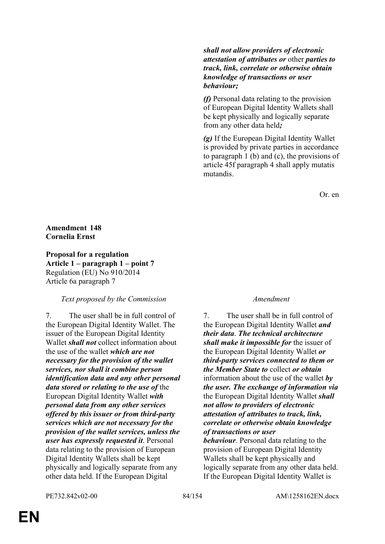*shall not allow providers of electronic attestation of attributes or* other *parties to track, link, correlate or otherwise obtain knowledge of transactions or user behaviour;*

*(f)* Personal data relating to the provision of European Digital Identity Wallets shall be kept physically and logically separate from any other data held*;*

*(g)* If the European Digital Identity Wallet is provided by private parties in accordance to paragraph 1 (b) and (c), the provisions of article 45f paragraph 4 shall apply mutatis mutandis.

Or. en

# **Amendment 148 Cornelia Ernst**

**Proposal for a regulation Article 1 – paragraph 1 – point 7** Regulation (EU) No 910/2014 Article 6a paragraph 7

# *Text proposed by the Commission Amendment*

7. The user shall be in full control of the European Digital Identity Wallet. The issuer of the European Digital Identity Wallet *shall not* collect information about the use of the wallet *which are not necessary for the provision of the wallet services, nor shall it combine person identification data and any other personal data stored or relating to the use of* the European Digital Identity Wallet *with personal data from any other services offered by this issuer or from third-party services which are not necessary for the provision of the wallet services, unless the user has expressly requested it*. Personal data relating to the provision of European Digital Identity Wallets shall be kept physically and logically separate from any other data held. If the European Digital

7. The user shall be in full control of the European Digital Identity Wallet *and their data*. *The technical architecture shall make it impossible for* the issuer of the European Digital Identity Wallet *or third-party services connected to them or the Member State to* collect *or obtain* information about the use of the wallet *by the user. The exchange of information via* the European Digital Identity Wallet *shall not allow to providers of electronic attestation of attributes to track, link, correlate or otherwise obtain knowledge of transactions or user* 

*behaviour*. Personal data relating to the provision of European Digital Identity Wallets shall be kept physically and logically separate from any other data held. If the European Digital Identity Wallet is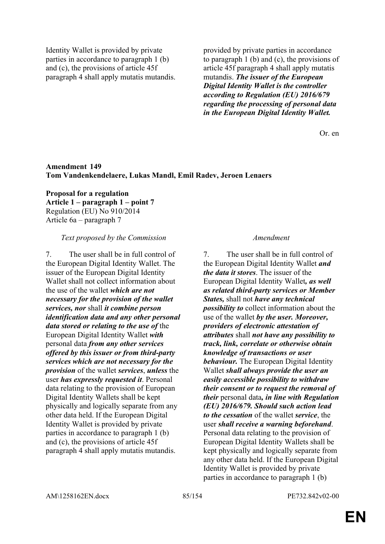Identity Wallet is provided by private parties in accordance to paragraph 1 (b) and (c), the provisions of article 45f paragraph 4 shall apply mutatis mutandis. provided by private parties in accordance to paragraph 1 (b) and (c), the provisions of article 45f paragraph 4 shall apply mutatis mutandis. *The issuer of the European Digital Identity Wallet is the controller according to Regulation (EU) 2016/679 regarding the processing of personal data in the European Digital Identity Wallet.*

Or. en

## **Amendment 149 Tom Vandenkendelaere, Lukas Mandl, Emil Radev, Jeroen Lenaers**

**Proposal for a regulation Article 1 – paragraph 1 – point 7** Regulation (EU) No 910/2014 Article 6a – paragraph 7

### *Text proposed by the Commission Amendment*

7. The user shall be in full control of the European Digital Identity Wallet. The issuer of the European Digital Identity Wallet shall not collect information about the use of the wallet *which are not necessary for the provision of the wallet services, nor* shall *it combine person identification data and any other personal data stored or relating to the use of* the European Digital Identity Wallet *with* personal data *from any other services offered by this issuer or from third-party services which are not necessary for the provision* of the wallet *services*, *unless* the user *has expressly requested it*. Personal data relating to the provision of European Digital Identity Wallets shall be kept physically and logically separate from any other data held. If the European Digital Identity Wallet is provided by private parties in accordance to paragraph 1 (b) and (c), the provisions of article 45f paragraph 4 shall apply mutatis mutandis.

7. The user shall be in full control of the European Digital Identity Wallet *and the data it stores*. The issuer of the European Digital Identity Wallet*, as well as related third-party services or Member States,* shall not *have any technical possibility to* collect information about the use of the wallet *by the user. Moreover, providers of electronic attestation of attributes* shall *not have any possibility to track, link, correlate or otherwise obtain knowledge of transactions or user behaviour.* The European Digital Identity Wallet *shall always provide the user an easily accessible possibility to withdraw their consent or to request the removal of their* personal data*, in line with Regulation (EU) 2016/679. Should such action lead to the cessation* of the wallet *service*, the user *shall receive a warning beforehand*. Personal data relating to the provision of European Digital Identity Wallets shall be kept physically and logically separate from any other data held. If the European Digital Identity Wallet is provided by private parties in accordance to paragraph 1 (b)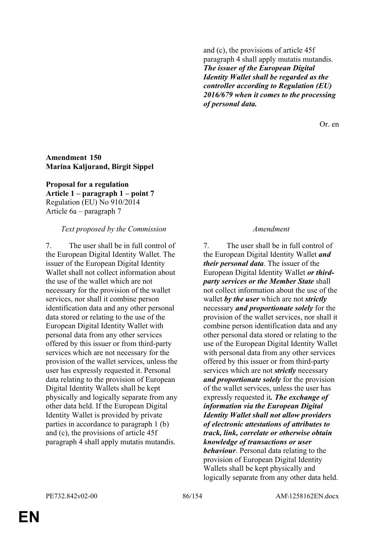and (c), the provisions of article 45f paragraph 4 shall apply mutatis mutandis. *The issuer of the European Digital Identity Wallet shall be regarded as the controller according to Regulation (EU) 2016/679 when it comes to the processing of personal data.*

Or. en

## **Amendment 150 Marina Kaljurand, Birgit Sippel**

**Proposal for a regulation Article 1 – paragraph 1 – point 7** Regulation (EU) No 910/2014 Article 6a – paragraph 7

## *Text proposed by the Commission Amendment*

7. The user shall be in full control of the European Digital Identity Wallet. The issuer of the European Digital Identity Wallet shall not collect information about the use of the wallet which are not necessary for the provision of the wallet services, nor shall it combine person identification data and any other personal data stored or relating to the use of the European Digital Identity Wallet with personal data from any other services offered by this issuer or from third-party services which are not necessary for the provision of the wallet services, unless the user has expressly requested it. Personal data relating to the provision of European Digital Identity Wallets shall be kept physically and logically separate from any other data held. If the European Digital Identity Wallet is provided by private parties in accordance to paragraph 1 (b) and (c), the provisions of article 45f paragraph 4 shall apply mutatis mutandis.

7. The user shall be in full control of the European Digital Identity Wallet *and their personal data*. The issuer of the European Digital Identity Wallet *or thirdparty services or the Member State* shall not collect information about the use of the wallet *by the user* which are not *strictly* necessary *and proportionate solely* for the provision of the wallet services, nor shall it combine person identification data and any other personal data stored or relating to the use of the European Digital Identity Wallet with personal data from any other services offered by this issuer or from third-party services which are not *strictly* necessary *and proportionate solely* for the provision of the wallet services, unless the user has expressly requested it*. The exchange of information via the European Digital Identity Wallet shall not allow providers of electronic attestations of attributes to track, link, correlate or otherwise obtain knowledge of transactions or user behaviour*. Personal data relating to the provision of European Digital Identity Wallets shall be kept physically and logically separate from any other data held.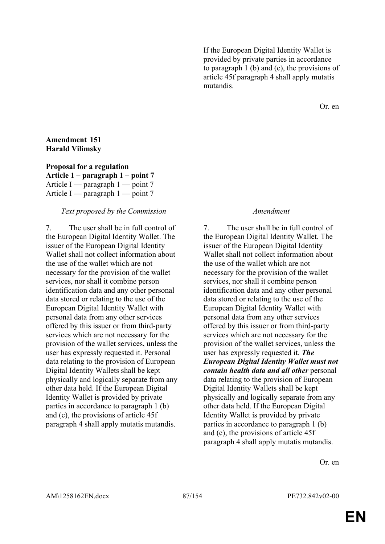If the European Digital Identity Wallet is provided by private parties in accordance to paragraph 1 (b) and (c), the provisions of article 45f paragraph 4 shall apply mutatis mutandis.

Or. en

## **Amendment 151 Harald Vilimsky**

**Proposal for a regulation Article 1 – paragraph 1 – point 7** Article I — paragraph 1 — point 7 Article I — paragraph  $1$  — point 7

### *Text proposed by the Commission Amendment*

7. The user shall be in full control of the European Digital Identity Wallet. The issuer of the European Digital Identity Wallet shall not collect information about the use of the wallet which are not necessary for the provision of the wallet services, nor shall it combine person identification data and any other personal data stored or relating to the use of the European Digital Identity Wallet with personal data from any other services offered by this issuer or from third-party services which are not necessary for the provision of the wallet services, unless the user has expressly requested it. Personal data relating to the provision of European Digital Identity Wallets shall be kept physically and logically separate from any other data held. If the European Digital Identity Wallet is provided by private parties in accordance to paragraph 1 (b) and (c), the provisions of article 45f paragraph 4 shall apply mutatis mutandis.

7. The user shall be in full control of the European Digital Identity Wallet. The issuer of the European Digital Identity Wallet shall not collect information about the use of the wallet which are not necessary for the provision of the wallet services, nor shall it combine person identification data and any other personal data stored or relating to the use of the European Digital Identity Wallet with personal data from any other services offered by this issuer or from third-party services which are not necessary for the provision of the wallet services, unless the user has expressly requested it. *The European Digital Identity Wallet must not contain health data and all other* personal data relating to the provision of European Digital Identity Wallets shall be kept physically and logically separate from any other data held. If the European Digital Identity Wallet is provided by private parties in accordance to paragraph 1 (b) and (c), the provisions of article 45f paragraph 4 shall apply mutatis mutandis.

Or. en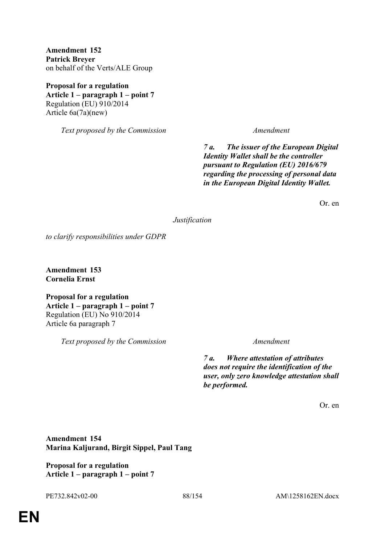**Amendment 152 Patrick Breyer** on behalf of the Verts/ALE Group

**Proposal for a regulation Article 1 – paragraph 1 – point 7** Regulation (EU) 910/2014 Article 6a(7a)(new)

*Text proposed by the Commission Amendment*

*7 a. The issuer of the European Digital Identity Wallet shall be the controller pursuant to Regulation (EU) 2016/679 regarding the processing of personal data in the European Digital Identity Wallet.*

Or. en

*Justification*

*to clarify responsibilities under GDPR*

**Amendment 153 Cornelia Ernst**

**Proposal for a regulation Article 1 – paragraph 1 – point 7** Regulation (EU) No 910/2014 Article 6a paragraph 7

*Text proposed by the Commission Amendment*

*7 a. Where attestation of attributes does not require the identification of the user, only zero knowledge attestation shall be performed.*

Or. en

**Amendment 154 Marina Kaljurand, Birgit Sippel, Paul Tang**

**Proposal for a regulation Article 1 – paragraph 1 – point 7**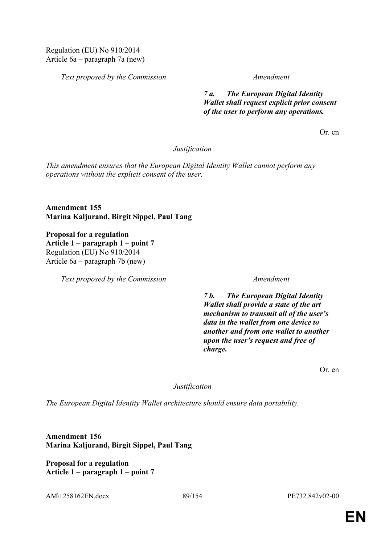*Text proposed by the Commission Amendment*

*7 a. The European Digital Identity Wallet shall request explicit prior consent of the user to perform any operations.*

Or. en

*Justification*

*This amendment ensures that the European Digital Identity Wallet cannot perform any operations without the explicit consent of the user.*

**Amendment 155 Marina Kaljurand, Birgit Sippel, Paul Tang**

**Proposal for a regulation Article 1 – paragraph 1 – point 7** Regulation (EU) No 910/2014 Article 6a – paragraph 7b (new)

*Text proposed by the Commission Amendment*

*7 b. The European Digital Identity Wallet shall provide a state of the art mechanism to transmit all of the user's data in the wallet from one device to another and from one wallet to another upon the user's request and free of charge.*

Or. en

## *Justification*

*The European Digital Identity Wallet architecture should ensure data portability.*

**Amendment 156 Marina Kaljurand, Birgit Sippel, Paul Tang**

**Proposal for a regulation Article 1 – paragraph 1 – point 7**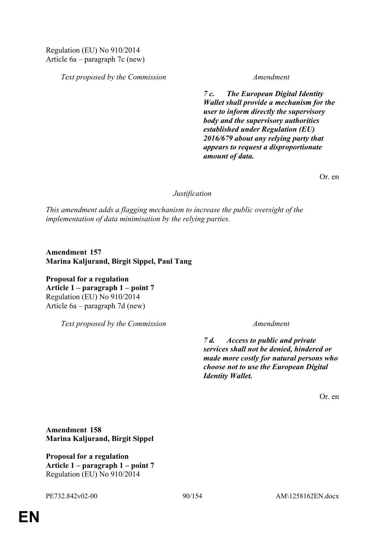Regulation (EU) No 910/2014 Article 6a – paragraph 7c (new)

*Text proposed by the Commission Amendment*

*7 c. The European Digital Identity Wallet shall provide a mechanism for the user to inform directly the supervisory body and the supervisory authorities established under Regulation (EU) 2016/679 about any relying party that appears to request a disproportionate amount of data.*

Or. en

## *Justification*

*This amendment adds a flagging mechanism to increase the public oversight of the implementation of data minimisation by the relying parties.*

**Amendment 157 Marina Kaljurand, Birgit Sippel, Paul Tang**

**Proposal for a regulation Article 1 – paragraph 1 – point 7** Regulation (EU) No 910/2014 Article 6a – paragraph 7d (new)

*Text proposed by the Commission Amendment*

*7 d. Access to public and private services shall not be denied, hindered or made more costly for natural persons who choose not to use the European Digital Identity Wallet.*

Or. en

**Amendment 158 Marina Kaljurand, Birgit Sippel**

**Proposal for a regulation Article 1 – paragraph 1 – point 7** Regulation (EU) No 910/2014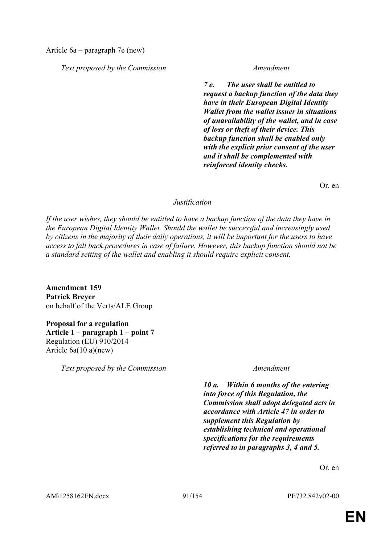Article 6a – paragraph 7e (new)

*Text proposed by the Commission Amendment*

*7 e. The user shall be entitled to request a backup function of the data they have in their European Digital Identity Wallet from the wallet issuer in situations of unavailability of the wallet, and in case of loss or theft of their device. This backup function shall be enabled only with the explicit prior consent of the user and it shall be complemented with reinforced identity checks.*

Or. en

## *Justification*

*If the user wishes, they should be entitled to have a backup function of the data they have in the European Digital Identity Wallet. Should the wallet be successful and increasingly used by citizens in the majority of their daily operations, it will be important for the users to have access to fall back procedures in case of failure. However, this backup function should not be a standard setting of the wallet and enabling it should require explicit consent.*

**Amendment 159 Patrick Breyer** on behalf of the Verts/ALE Group

**Proposal for a regulation Article 1 – paragraph 1 – point 7** Regulation (EU) 910/2014 Article 6a(10 a)(new)

*Text proposed by the Commission Amendment*

*10 a. Within 6 months of the entering into force of this Regulation, the Commission shall adopt delegated acts in accordance with Article 47 in order to supplement this Regulation by establishing technical and operational specifications for the requirements referred to in paragraphs 3, 4 and 5.*

Or. en

AM\1258162EN.docx 91/154 PE732.842v02-00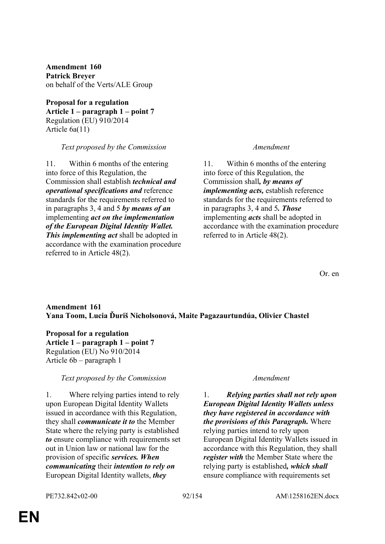**Amendment 160 Patrick Breyer** on behalf of the Verts/ALE Group

**Proposal for a regulation Article 1 – paragraph 1 – point 7** Regulation (EU) 910/2014 Article 6a(11)

### *Text proposed by the Commission Amendment*

11. Within 6 months of the entering into force of this Regulation, the Commission shall establish *technical and operational specifications and* reference standards for the requirements referred to in paragraphs 3, 4 and 5 *by means of an* implementing *act on the implementation of the European Digital Identity Wallet. This implementing act* shall be adopted in accordance with the examination procedure referred to in Article 48(2).

11. Within 6 months of the entering into force of this Regulation, the Commission shall*, by means of implementing acts,* establish reference standards for the requirements referred to in paragraphs 3, 4 and 5*. Those* implementing *acts* shall be adopted in accordance with the examination procedure referred to in Article 48(2).

Or. en

## **Amendment 161 Yana Toom, Lucia Ďuriš Nicholsonová, Maite Pagazaurtundúa, Olivier Chastel**

**Proposal for a regulation Article 1 – paragraph 1 – point 7** Regulation (EU) No 910/2014 Article 6b – paragraph 1

# *Text proposed by the Commission Amendment*

1. Where relying parties intend to rely upon European Digital Identity Wallets issued in accordance with this Regulation, they shall *communicate it to* the Member State where the relying party is established *to* ensure compliance with requirements set out in Union law or national law for the provision of specific *services. When communicating* their *intention to rely on* European Digital Identity wallets, *they*

1. *Relying parties shall not rely upon European Digital Identity Wallets unless they have registered in accordance with the provisions of this Paragraph.* Where relying parties intend to rely upon European Digital Identity Wallets issued in accordance with this Regulation, they shall *register with* the Member State where the relying party is established*, which shall* ensure compliance with requirements set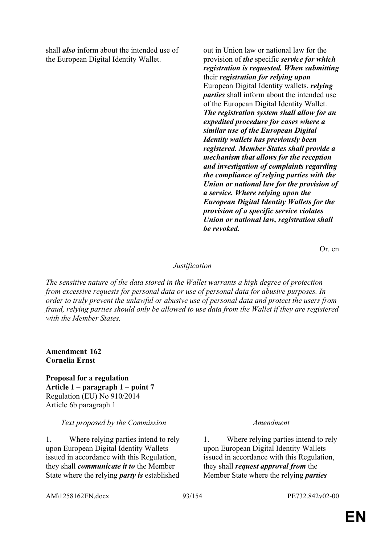shall *also* inform about the intended use of the European Digital Identity Wallet.

out in Union law or national law for the provision of *the* specific *service for which registration is requested. When submitting* their *registration for relying upon* European Digital Identity wallets, *relying parties* shall inform about the intended use of the European Digital Identity Wallet. *The registration system shall allow for an expedited procedure for cases where a similar use of the European Digital Identity wallets has previously been registered. Member States shall provide a mechanism that allows for the reception and investigation of complaints regarding the compliance of relying parties with the Union or national law for the provision of a service. Where relying upon the European Digital Identity Wallets for the provision of a specific service violates Union or national law, registration shall be revoked.*

Or. en

## *Justification*

*The sensitive nature of the data stored in the Wallet warrants a high degree of protection from excessive requests for personal data or use of personal data for abusive purposes. In order to truly prevent the unlawful or abusive use of personal data and protect the users from fraud, relying parties should only be allowed to use data from the Wallet if they are registered with the Member States.*

**Amendment 162 Cornelia Ernst**

**Proposal for a regulation Article 1 – paragraph 1 – point 7** Regulation (EU) No 910/2014 Article 6b paragraph 1

### *Text proposed by the Commission Amendment*

1. Where relying parties intend to rely upon European Digital Identity Wallets issued in accordance with this Regulation, they shall *communicate it to* the Member State where the relying *party is* established

1. Where relying parties intend to rely upon European Digital Identity Wallets issued in accordance with this Regulation, they shall *request approval from* the Member State where the relying *parties* 

AM\1258162EN.docx 93/154 PE732.842v02-00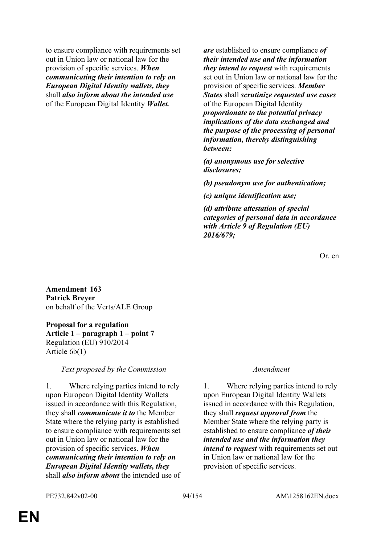to ensure compliance with requirements set out in Union law or national law for the provision of specific services. *When communicating their intention to rely on European Digital Identity wallets, they* shall *also inform about the intended use* of the European Digital Identity *Wallet.*

*are* established to ensure compliance *of their intended use and the information they intend to request* with requirements set out in Union law or national law for the provision of specific services. *Member States* shall *scrutinize requested use cases* of the European Digital Identity *proportionate to the potential privacy implications of the data exchanged and the purpose of the processing of personal information, thereby distinguishing between:*

*(a) anonymous use for selective disclosures;*

*(b) pseudonym use for authentication;*

*(c) unique identification use;*

*(d) attribute attestation of special categories of personal data in accordance with Article 9 of Regulation (EU) 2016/679;*

Or. en

**Amendment 163 Patrick Breyer** on behalf of the Verts/ALE Group

**Proposal for a regulation Article 1 – paragraph 1 – point 7** Regulation (EU) 910/2014 Article 6b(1)

*Text proposed by the Commission Amendment*

1. Where relying parties intend to rely upon European Digital Identity Wallets issued in accordance with this Regulation, they shall *communicate it to* the Member State where the relying party is established to ensure compliance with requirements set out in Union law or national law for the provision of specific services. *When communicating their intention to rely on European Digital Identity wallets, they* shall *also inform about* the intended use of

1. Where relying parties intend to rely upon European Digital Identity Wallets issued in accordance with this Regulation, they shall *request approval from* the Member State where the relying party is established to ensure compliance *of their intended use and the information they intend to request* with requirements set out in Union law or national law for the provision of specific services.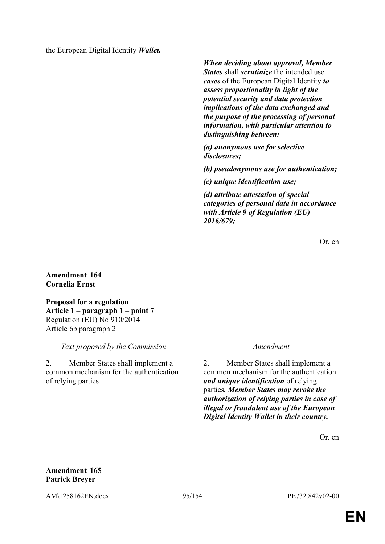the European Digital Identity *Wallet.*

*When deciding about approval, Member States* shall *scrutinize* the intended use *cases* of the European Digital Identity *to assess proportionality in light of the potential security and data protection implications of the data exchanged and the purpose of the processing of personal information, with particular attention to distinguishing between:*

*(a) anonymous use for selective disclosures;*

*(b) pseudonymous use for authentication;*

*(c) unique identification use;*

*(d) attribute attestation of special categories of personal data in accordance with Article 9 of Regulation (EU) 2016/679;*

Or. en

# **Amendment 164 Cornelia Ernst**

**Proposal for a regulation Article 1 – paragraph 1 – point 7** Regulation (EU) No 910/2014 Article 6b paragraph 2

*Text proposed by the Commission Amendment*

2. Member States shall implement a common mechanism for the authentication of relying parties

2. Member States shall implement a common mechanism for the authentication *and unique identification* of relying parties*. Member States may revoke the authorization of relying parties in case of illegal or fraudulent use of the European Digital Identity Wallet in their country.*

Or. en

# **Amendment 165 Patrick Breyer**

AM\1258162EN.docx 95/154 PE732.842v02-00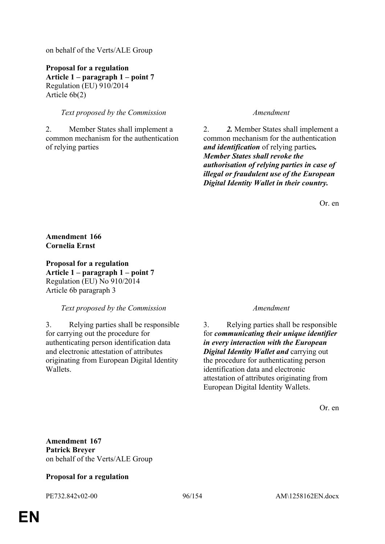on behalf of the Verts/ALE Group

**Proposal for a regulation Article 1 – paragraph 1 – point 7** Regulation (EU) 910/2014 Article 6b(2)

## *Text proposed by the Commission Amendment*

2. Member States shall implement a common mechanism for the authentication of relying parties

2. *2.* Member States shall implement a common mechanism for the authentication *and identification* of relying parties*. Member States shall revoke the authorisation of relying parties in case of illegal or fraudulent use of the European Digital Identity Wallet in their country.*

Or. en

## **Amendment 166 Cornelia Ernst**

**Proposal for a regulation Article 1 – paragraph 1 – point 7** Regulation (EU) No 910/2014 Article 6b paragraph 3

## *Text proposed by the Commission Amendment*

3. Relying parties shall be responsible for carrying out the procedure for authenticating person identification data and electronic attestation of attributes originating from European Digital Identity Wallets.

3. Relying parties shall be responsible for *communicating their unique identifier in every interaction with the European Digital Identity Wallet and* carrying out the procedure for authenticating person identification data and electronic attestation of attributes originating from European Digital Identity Wallets.

Or. en

**Amendment 167 Patrick Breyer** on behalf of the Verts/ALE Group

## **Proposal for a regulation**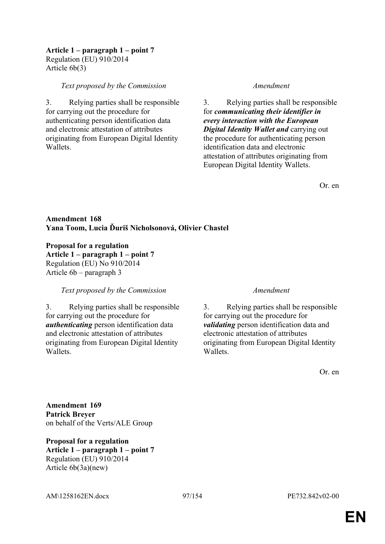### **Article 1 – paragraph 1 – point 7** Regulation (EU) 910/2014 Article 6b(3)

### *Text proposed by the Commission Amendment*

3. Relying parties shall be responsible for carrying out the procedure for authenticating person identification data and electronic attestation of attributes originating from European Digital Identity **Wallets** 

3. Relying parties shall be responsible for *communicating their identifier in every interaction with the European Digital Identity Wallet and* carrying out the procedure for authenticating person identification data and electronic attestation of attributes originating from European Digital Identity Wallets.

Or. en

# **Amendment 168 Yana Toom, Lucia Ďuriš Nicholsonová, Olivier Chastel**

**Proposal for a regulation Article 1 – paragraph 1 – point 7** Regulation (EU) No 910/2014 Article 6b – paragraph 3

## *Text proposed by the Commission Amendment*

3. Relying parties shall be responsible for carrying out the procedure for *authenticating* person identification data and electronic attestation of attributes originating from European Digital Identity Wallets.

3. Relying parties shall be responsible for carrying out the procedure for *validating* person identification data and electronic attestation of attributes originating from European Digital Identity **Wallets** 

Or. en

**Amendment 169 Patrick Breyer** on behalf of the Verts/ALE Group

**Proposal for a regulation Article 1 – paragraph 1 – point 7** Regulation (EU) 910/2014 Article 6b(3a)(new)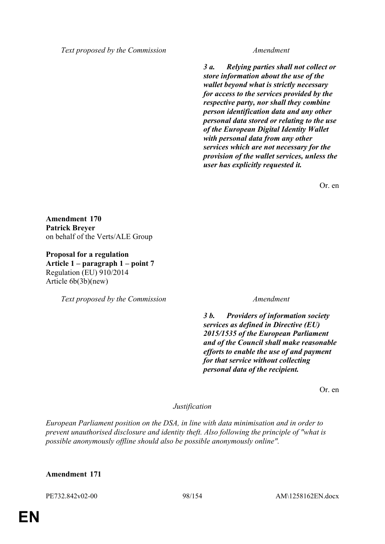*Text proposed by the Commission Amendment*

*3 a. Relying parties shall not collect or store information about the use of the wallet beyond what is strictly necessary for access to the services provided by the respective party, nor shall they combine person identification data and any other personal data stored or relating to the use of the European Digital Identity Wallet with personal data from any other services which are not necessary for the provision of the wallet services, unless the user has explicitly requested it.*

Or. en

**Amendment 170 Patrick Breyer** on behalf of the Verts/ALE Group

**Proposal for a regulation Article 1 – paragraph 1 – point 7** Regulation (EU) 910/2014 Article 6b(3b)(new)

*Text proposed by the Commission Amendment*

*3 b. Providers of information society services as defined in Directive (EU) 2015/1535 of the European Parliament and of the Council shall make reasonable efforts to enable the use of and payment for that service without collecting personal data of the recipient.*

Or. en

*Justification*

*European Parliament position on the DSA, in line with data minimisation and in order to prevent unauthorised disclosure and identity theft. Also following the principle of "what is possible anonymously offline should also be possible anonymously online".*

## **Amendment 171**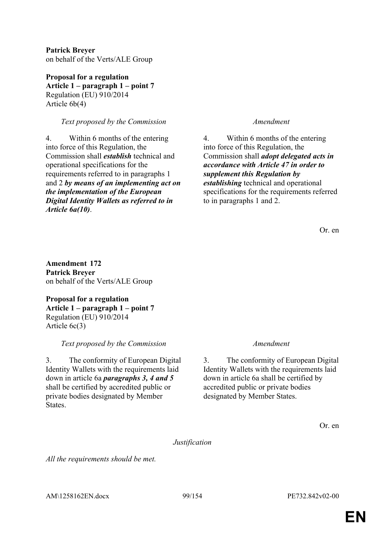**Patrick Breyer** on behalf of the Verts/ALE Group

**Proposal for a regulation Article 1 – paragraph 1 – point 7** Regulation (EU) 910/2014 Article 6b(4)

# *Text proposed by the Commission Amendment*

4. Within 6 months of the entering into force of this Regulation, the Commission shall *establish* technical and operational specifications for the requirements referred to in paragraphs 1 and 2 *by means of an implementing act on the implementation of the European Digital Identity Wallets as referred to in Article 6a(10)*.

4. Within 6 months of the entering into force of this Regulation, the Commission shall *adopt delegated acts in accordance with Article 47 in order to supplement this Regulation by establishing* technical and operational specifications for the requirements referred to in paragraphs 1 and 2.

Or. en

**Amendment 172 Patrick Breyer** on behalf of the Verts/ALE Group

**Proposal for a regulation Article 1 – paragraph 1 – point 7** Regulation (EU) 910/2014 Article 6c(3)

# *Text proposed by the Commission Amendment*

3. The conformity of European Digital Identity Wallets with the requirements laid down in article 6a *paragraphs 3, 4 and 5* shall be certified by accredited public or private bodies designated by Member **States** 

3. The conformity of European Digital Identity Wallets with the requirements laid down in article 6a shall be certified by accredited public or private bodies designated by Member States.

Or. en

*Justification*

*All the requirements should be met.*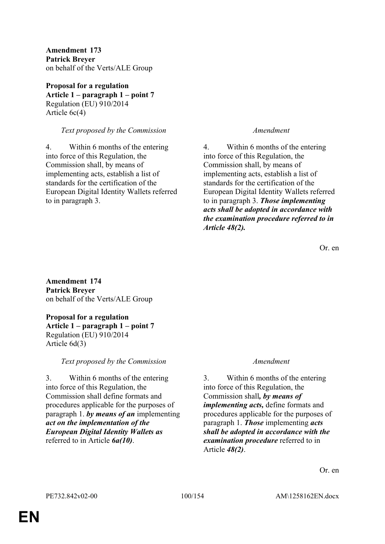**Amendment 173 Patrick Breyer** on behalf of the Verts/ALE Group

**Proposal for a regulation Article 1 – paragraph 1 – point 7** Regulation (EU) 910/2014 Article 6c(4)

## *Text proposed by the Commission Amendment*

4. Within 6 months of the entering into force of this Regulation, the Commission shall, by means of implementing acts, establish a list of standards for the certification of the European Digital Identity Wallets referred to in paragraph 3.

4. Within 6 months of the entering into force of this Regulation, the Commission shall, by means of implementing acts, establish a list of standards for the certification of the European Digital Identity Wallets referred to in paragraph 3. *Those implementing acts shall be adopted in accordance with the examination procedure referred to in Article 48(2).*

Or. en

**Amendment 174 Patrick Breyer** on behalf of the Verts/ALE Group

**Proposal for a regulation Article 1 – paragraph 1 – point 7** Regulation (EU) 910/2014 Article 6d(3)

*Text proposed by the Commission Amendment*

3. Within 6 months of the entering into force of this Regulation, the Commission shall define formats and procedures applicable for the purposes of paragraph 1. *by means of an* implementing *act on the implementation of the European Digital Identity Wallets as* referred to in Article *6a(10)*.

3. Within 6 months of the entering into force of this Regulation, the Commission shall*, by means of implementing acts,* define formats and procedures applicable for the purposes of paragraph 1. *Those* implementing *acts shall be adopted in accordance with the examination procedure* referred to in Article *48(2)*.

Or. en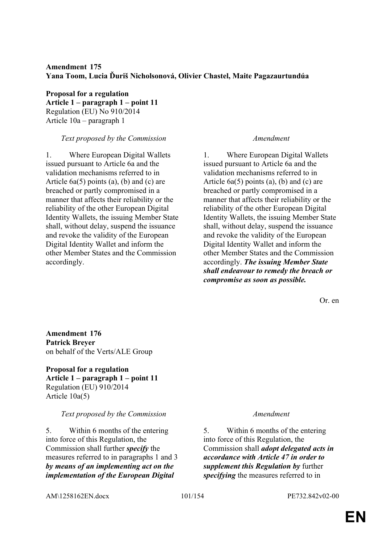# **Amendment 175 Yana Toom, Lucia Ďuriš Nicholsonová, Olivier Chastel, Maite Pagazaurtundúa**

**Proposal for a regulation Article 1 – paragraph 1 – point 11** Regulation (EU) No 910/2014 Article 10a – paragraph 1

## *Text proposed by the Commission Amendment*

1. Where European Digital Wallets issued pursuant to Article 6a and the validation mechanisms referred to in Article 6a(5) points (a), (b) and (c) are breached or partly compromised in a manner that affects their reliability or the reliability of the other European Digital Identity Wallets, the issuing Member State shall, without delay, suspend the issuance and revoke the validity of the European Digital Identity Wallet and inform the other Member States and the Commission accordingly.

1. Where European Digital Wallets issued pursuant to Article 6a and the validation mechanisms referred to in Article 6a(5) points (a), (b) and (c) are breached or partly compromised in a manner that affects their reliability or the reliability of the other European Digital Identity Wallets, the issuing Member State shall, without delay, suspend the issuance and revoke the validity of the European Digital Identity Wallet and inform the other Member States and the Commission accordingly. *The issuing Member State shall endeavour to remedy the breach or compromise as soon as possible.*

Or. en

**Amendment 176 Patrick Breyer** on behalf of the Verts/ALE Group

**Proposal for a regulation Article 1 – paragraph 1 – point 11** Regulation (EU) 910/2014 Article 10a(5)

# *Text proposed by the Commission Amendment*

5. Within 6 months of the entering into force of this Regulation, the Commission shall further *specify* the measures referred to in paragraphs 1 and 3 *by means of an implementing act on the implementation of the European Digital* 

5. Within 6 months of the entering into force of this Regulation, the Commission shall *adopt delegated acts in accordance with Article 47 in order to supplement this Regulation by* further *specifying* the measures referred to in

AM\1258162EN.docx 101/154 PE732.842v02-00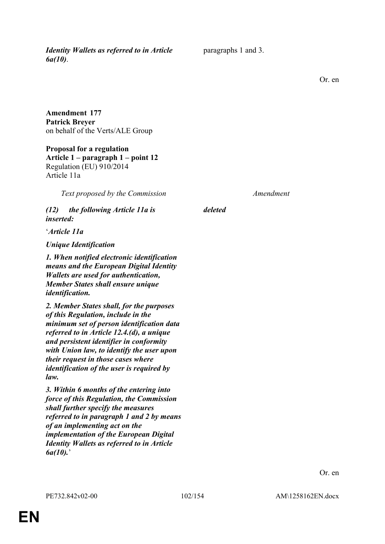*Identity Wallets as referred to in Article 6a(10)*.

paragraphs 1 and 3.

Or. en

**Amendment 177 Patrick Breyer** on behalf of the Verts/ALE Group

**Proposal for a regulation Article 1 – paragraph 1 – point 12** Regulation (EU) 910/2014 Article 11a

*Text proposed by the Commission Amendment*

*(12) the following Article 11a is inserted:*

'*Article 11a*

*Unique Identification*

*1. When notified electronic identification means and the European Digital Identity Wallets are used for authentication, Member States shall ensure unique identification.*

*2. Member States shall, for the purposes of this Regulation, include in the minimum set of person identification data referred to in Article 12.4.(d), a unique and persistent identifier in conformity with Union law, to identify the user upon their request in those cases where identification of the user is required by law.*

*3. Within 6 months of the entering into force of this Regulation, the Commission shall further specify the measures referred to in paragraph 1 and 2 by means of an implementing act on the implementation of the European Digital Identity Wallets as referred to in Article 6a(10).*'

*deleted*

Or. en

**EN**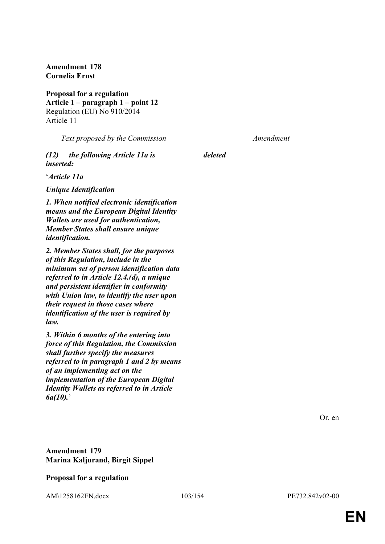**Amendment 178 Cornelia Ernst**

**Proposal for a regulation Article 1 – paragraph 1 – point 12** Regulation (EU) No 910/2014 Article 11

*Text proposed by the Commission Amendment*

*(12) the following Article 11a is inserted:*

'*Article 11a*

*Unique Identification*

*1. When notified electronic identification means and the European Digital Identity Wallets are used for authentication, Member States shall ensure unique identification.*

*2. Member States shall, for the purposes of this Regulation, include in the minimum set of person identification data referred to in Article 12.4.(d), a unique and persistent identifier in conformity with Union law, to identify the user upon their request in those cases where identification of the user is required by law.*

*3. Within 6 months of the entering into force of this Regulation, the Commission shall further specify the measures referred to in paragraph 1 and 2 by means of an implementing act on the implementation of the European Digital Identity Wallets as referred to in Article 6a(10).*'

*deleted*

Or. en

## **Amendment 179 Marina Kaljurand, Birgit Sippel**

## **Proposal for a regulation**

AM\1258162EN.docx 103/154 PE732.842v02-00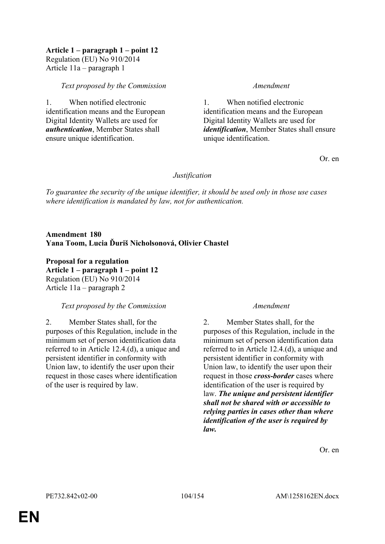## **Article 1 – paragraph 1 – point 12** Regulation (EU) No 910/2014 Article 11a – paragraph 1

## *Text proposed by the Commission Amendment*

1. When notified electronic identification means and the European Digital Identity Wallets are used for *authentication*, Member States shall ensure unique identification.

1. When notified electronic identification means and the European Digital Identity Wallets are used for *identification*, Member States shall ensure unique identification.

Or. en

## *Justification*

*To guarantee the security of the unique identifier, it should be used only in those use cases where identification is mandated by law, not for authentication.*

**Amendment 180 Yana Toom, Lucia Ďuriš Nicholsonová, Olivier Chastel**

**Proposal for a regulation Article 1 – paragraph 1 – point 12** Regulation (EU) No 910/2014 Article 11a – paragraph 2

# *Text proposed by the Commission Amendment*

2. Member States shall, for the purposes of this Regulation, include in the minimum set of person identification data referred to in Article 12.4.(d), a unique and persistent identifier in conformity with Union law, to identify the user upon their request in those cases where identification of the user is required by law.

2. Member States shall, for the purposes of this Regulation, include in the minimum set of person identification data referred to in Article 12.4.(d), a unique and persistent identifier in conformity with Union law, to identify the user upon their request in those *cross-border* cases where identification of the user is required by law. *The unique and persistent identifier shall not be shared with or accessible to relying parties in cases other than where identification of the user is required by law.*

Or. en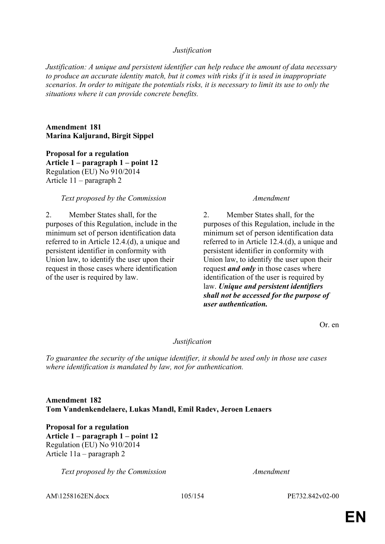## *Justification*

*Justification: A unique and persistent identifier can help reduce the amount of data necessary to produce an accurate identity match, but it comes with risks if it is used in inappropriate scenarios. In order to mitigate the potentials risks, it is necessary to limit its use to only the situations where it can provide concrete benefits.*

**Amendment 181 Marina Kaljurand, Birgit Sippel**

**Proposal for a regulation Article 1 – paragraph 1 – point 12** Regulation (EU) No 910/2014 Article 11 – paragraph 2

### *Text proposed by the Commission Amendment*

2. Member States shall, for the purposes of this Regulation, include in the minimum set of person identification data referred to in Article 12.4.(d), a unique and persistent identifier in conformity with Union law, to identify the user upon their request in those cases where identification of the user is required by law.

2. Member States shall, for the purposes of this Regulation, include in the minimum set of person identification data referred to in Article 12.4.(d), a unique and persistent identifier in conformity with Union law, to identify the user upon their request *and only* in those cases where identification of the user is required by law. *Unique and persistent identifiers shall not be accessed for the purpose of user authentication.*

Or. en

*Justification*

*To guarantee the security of the unique identifier, it should be used only in those use cases where identification is mandated by law, not for authentication.*

## **Amendment 182 Tom Vandenkendelaere, Lukas Mandl, Emil Radev, Jeroen Lenaers**

**Proposal for a regulation Article 1 – paragraph 1 – point 12** Regulation (EU) No 910/2014 Article 11a – paragraph 2

*Text proposed by the Commission Amendment*

AM\1258162EN.docx 105/154 PE732.842v02-00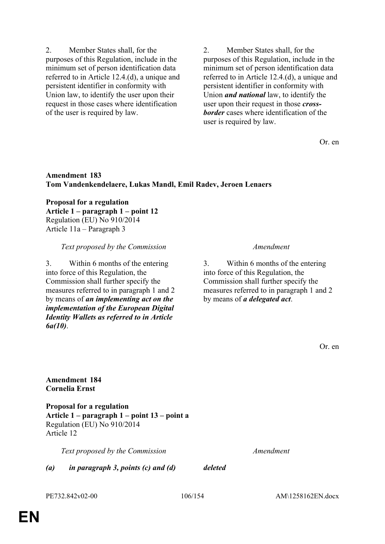purposes of this Regulation, include in the minimum set of person identification data referred to in Article 12.4.(d), a unique and persistent identifier in conformity with Union law, to identify the user upon their request in those cases where identification of the user is required by law.

2. Member States shall, for the

2. Member States shall, for the purposes of this Regulation, include in the minimum set of person identification data referred to in Article 12.4.(d), a unique and persistent identifier in conformity with Union *and national* law, to identify the user upon their request in those *crossborder* cases where identification of the user is required by law.

Or. en

# **Amendment 183 Tom Vandenkendelaere, Lukas Mandl, Emil Radev, Jeroen Lenaers**

**Proposal for a regulation Article 1 – paragraph 1 – point 12** Regulation (EU) No 910/2014 Article 11a – Paragraph 3

*Text proposed by the Commission Amendment*

3. Within 6 months of the entering into force of this Regulation, the Commission shall further specify the measures referred to in paragraph 1 and 2 by means of *an implementing act on the implementation of the European Digital Identity Wallets as referred to in Article 6a(10)*.

3. Within 6 months of the entering into force of this Regulation, the Commission shall further specify the measures referred to in paragraph 1 and 2 by means of *a delegated act*.

# **Amendment 184 Cornelia Ernst**

**Proposal for a regulation Article 1 – paragraph 1 – point 13 – point a** Regulation (EU) No 910/2014 Article 12

*Text proposed by the Commission Amendment*

*(a) in paragraph 3, points (c) and (d) deleted*

PE732.842v02-00 106/154 AM\1258162EN.docx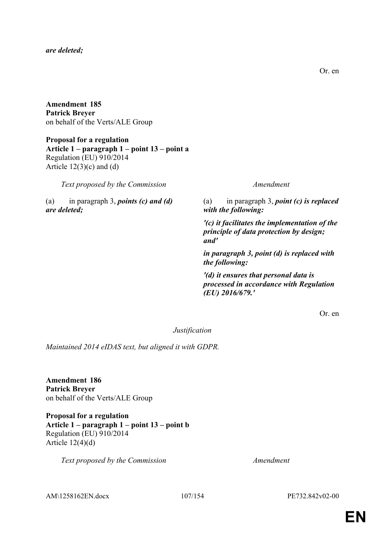### *are deleted;*

**Amendment 185 Patrick Breyer** on behalf of the Verts/ALE Group

**Proposal for a regulation Article 1 – paragraph 1 – point 13 – point a** Regulation (EU) 910/2014 Article  $12(3)(c)$  and  $(d)$ 

*Text proposed by the Commission Amendment*

(a) in paragraph 3, *points (c) and (d) are deleted;*

(a) in paragraph 3, *point (c) is replaced with the following:*

*'(c) it facilitates the implementation of the principle of data protection by design; and'*

*in paragraph 3, point (d) is replaced with the following:*

*'(d) it ensures that personal data is processed in accordance with Regulation (EU) 2016/679.'*

Or. en

*Justification*

*Maintained 2014 eIDAS text, but aligned it with GDPR.*

**Amendment 186 Patrick Breyer** on behalf of the Verts/ALE Group

**Proposal for a regulation Article 1 – paragraph 1 – point 13 – point b** Regulation (EU) 910/2014 Article  $12(4)(d)$ 

*Text proposed by the Commission Amendment*

AM\1258162EN.docx 107/154 PE732.842v02-00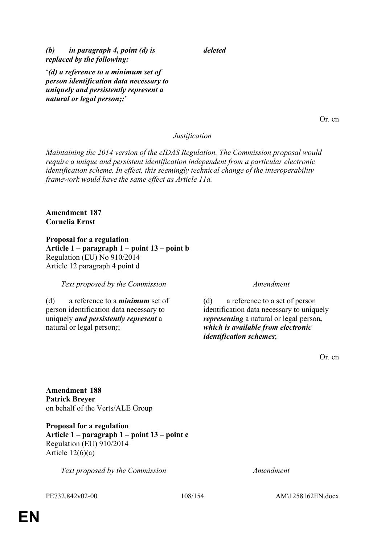*(b) in paragraph 4, point (d) is replaced by the following:*

'*(d) a reference to a minimum set of person identification data necessary to uniquely and persistently represent a natural or legal person;;*'

Or. en

## *Justification*

*deleted*

*Maintaining the 2014 version of the eIDAS Regulation. The Commission proposal would require a unique and persistent identification independent from a particular electronic identification scheme. In effect, this seemingly technical change of the interoperability framework would have the same effect as Article 11a.*

## **Amendment 187 Cornelia Ernst**

**Proposal for a regulation Article 1 – paragraph 1 – point 13 – point b** Regulation (EU) No 910/2014 Article 12 paragraph 4 point d

## *Text proposed by the Commission Amendment*

(d) a reference to a *minimum* set of person identification data necessary to uniquely *and persistently represent* a natural or legal person*;*;

(d) a reference to a set of person identification data necessary to uniquely *representing* a natural or legal person*, which is available from electronic identification schemes*;

Or. en

**Amendment 188 Patrick Breyer** on behalf of the Verts/ALE Group

**Proposal for a regulation Article 1 – paragraph 1 – point 13 – point c** Regulation (EU) 910/2014 Article  $12(6)(a)$ 

*Text proposed by the Commission Amendment*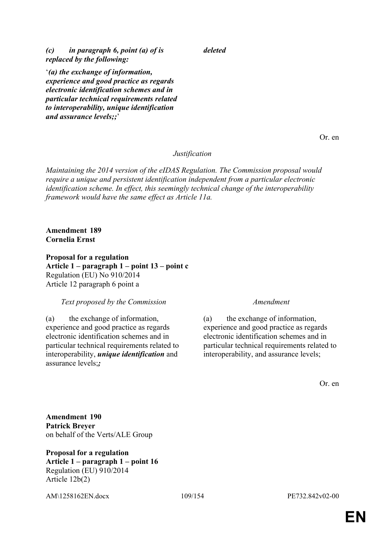*(c) in paragraph 6, point (a) of is replaced by the following:*

'*(a) the exchange of information, experience and good practice as regards electronic identification schemes and in particular technical requirements related to interoperability, unique identification* 

Or. en

# *Justification*

*deleted*

*Maintaining the 2014 version of the eIDAS Regulation. The Commission proposal would require a unique and persistent identification independent from a particular electronic identification scheme. In effect, this seemingly technical change of the interoperability framework would have the same effect as Article 11a.*

**Amendment 189 Cornelia Ernst**

*and assurance levels;;*'

**Proposal for a regulation**

**Article 1 – paragraph 1 – point 13 – point c** Regulation (EU) No 910/2014 Article 12 paragraph 6 point a

# *Text proposed by the Commission Amendment*

(a) the exchange of information, experience and good practice as regards electronic identification schemes and in particular technical requirements related to interoperability, *unique identification* and assurance levels;*;*

(a) the exchange of information, experience and good practice as regards electronic identification schemes and in particular technical requirements related to interoperability, and assurance levels;

Or. en

**Amendment 190 Patrick Breyer** on behalf of the Verts/ALE Group

**Proposal for a regulation Article 1 – paragraph 1 – point 16** Regulation (EU) 910/2014 Article 12b(2)

AM\1258162EN.docx 109/154 PE732.842v02-00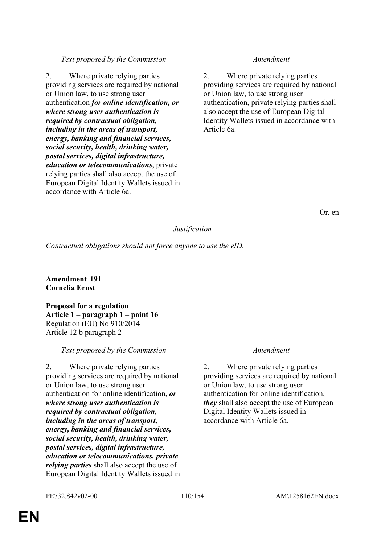# *Text proposed by the Commission Amendment*

2. Where private relying parties providing services are required by national or Union law, to use strong user authentication *for online identification, or where strong user authentication is required by contractual obligation, including in the areas of transport, energy, banking and financial services, social security, health, drinking water, postal services, digital infrastructure, education or telecommunications*, private relying parties shall also accept the use of European Digital Identity Wallets issued in accordance with Article 6a.

2. Where private relying parties providing services are required by national or Union law, to use strong user authentication, private relying parties shall also accept the use of European Digital Identity Wallets issued in accordance with Article 6a.

Or. en

# *Justification*

*Contractual obligations should not force anyone to use the eID.*

**Amendment 191 Cornelia Ernst**

**Proposal for a regulation Article 1 – paragraph 1 – point 16** Regulation (EU) No 910/2014 Article 12 b paragraph 2

# *Text proposed by the Commission Amendment*

2. Where private relying parties providing services are required by national or Union law, to use strong user authentication for online identification, *or where strong user authentication is required by contractual obligation, including in the areas of transport, energy, banking and financial services, social security, health, drinking water, postal services, digital infrastructure, education or telecommunications, private relying parties* shall also accept the use of European Digital Identity Wallets issued in

2. Where private relying parties providing services are required by national or Union law, to use strong user authentication for online identification, *they* shall also accept the use of European Digital Identity Wallets issued in accordance with Article 6a.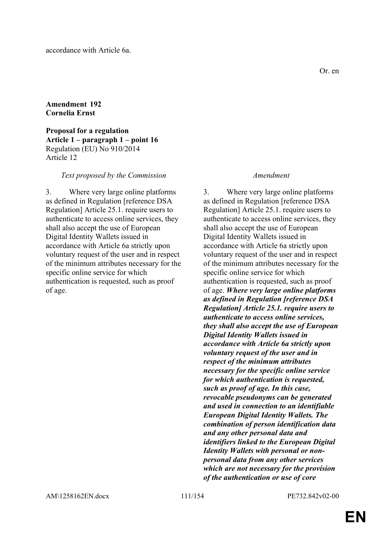# **Amendment 192 Cornelia Ernst**

**Proposal for a regulation Article 1 – paragraph 1 – point 16** Regulation (EU) No 910/2014 Article 12

# *Text proposed by the Commission Amendment*

3. Where very large online platforms as defined in Regulation [reference DSA Regulation] Article 25.1. require users to authenticate to access online services, they shall also accept the use of European Digital Identity Wallets issued in accordance with Article 6a strictly upon voluntary request of the user and in respect of the minimum attributes necessary for the specific online service for which authentication is requested, such as proof of age.

3. Where very large online platforms as defined in Regulation [reference DSA Regulation] Article 25.1. require users to authenticate to access online services, they shall also accept the use of European Digital Identity Wallets issued in accordance with Article 6a strictly upon voluntary request of the user and in respect of the minimum attributes necessary for the specific online service for which authentication is requested, such as proof of age. *Where very large online platforms as defined in Regulation [reference DSA Regulation] Article 25.1. require users to authenticate to access online services, they shall also accept the use of European Digital Identity Wallets issued in accordance with Article 6a strictly upon voluntary request of the user and in respect of the minimum attributes necessary for the specific online service for which authentication is requested, such as proof of age. In this case, revocable pseudonyms can be generated and used in connection to an identifiable European Digital Identity Wallets. The combination of person identification data and any other personal data and identifiers linked to the European Digital Identity Wallets with personal or nonpersonal data from any other services which are not necessary for the provision of the authentication or use of core*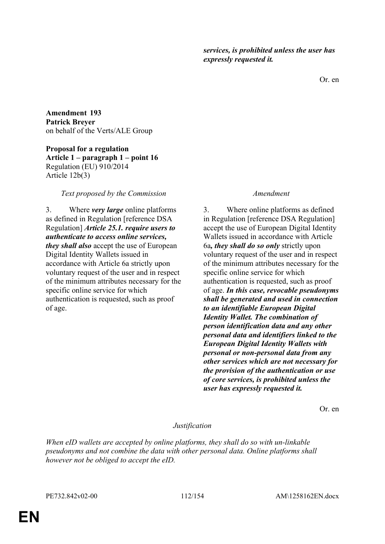Or. en

**Amendment 193 Patrick Breyer** on behalf of the Verts/ALE Group

**Proposal for a regulation Article 1 – paragraph 1 – point 16** Regulation (EU) 910/2014 Article 12b(3)

# *Text proposed by the Commission Amendment*

3. Where *very large* online platforms as defined in Regulation [reference DSA Regulation] *Article 25.1. require users to authenticate to access online services, they shall also* accept the use of European Digital Identity Wallets issued in accordance with Article 6a strictly upon voluntary request of the user and in respect of the minimum attributes necessary for the specific online service for which authentication is requested, such as proof of age.

3. Where online platforms as defined in Regulation [reference DSA Regulation] accept the use of European Digital Identity Wallets issued in accordance with Article 6a*, they shall do so only* strictly upon voluntary request of the user and in respect of the minimum attributes necessary for the specific online service for which authentication is requested, such as proof of age. *In this case, revocable pseudonyms shall be generated and used in connection to an identifiable European Digital Identity Wallet. The combination of person identification data and any other personal data and identifiers linked to the European Digital Identity Wallets with personal or non-personal data from any other services which are not necessary for the provision of the authentication or use of core services, is prohibited unless the user has expressly requested it.*

Or. en

# *Justification*

*When eID wallets are accepted by online platforms, they shall do so with un-linkable pseudonyms and not combine the data with other personal data. Online platforms shall however not be obliged to accept the eID.*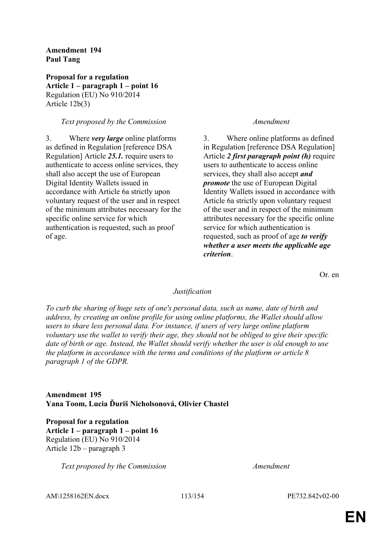# **Amendment 194 Paul Tang**

**Proposal for a regulation Article 1 – paragraph 1 – point 16** Regulation (EU) No 910/2014 Article 12b(3)

# *Text proposed by the Commission Amendment*

3. Where *very large* online platforms as defined in Regulation [reference DSA Regulation] Article *25.1.* require users to authenticate to access online services, they shall also accept the use of European Digital Identity Wallets issued in accordance with Article 6a strictly upon voluntary request of the user and in respect of the minimum attributes necessary for the specific online service for which authentication is requested, such as proof of age.

3. Where online platforms as defined in Regulation [reference DSA Regulation] Article *2 first paragraph point (h)* require users to authenticate to access online services, they shall also accept *and promote* the use of European Digital Identity Wallets issued in accordance with Article 6a strictly upon voluntary request of the user and in respect of the minimum attributes necessary for the specific online service for which authentication is requested, such as proof of age *to verify whether a user meets the applicable age criterion*.

Or. en

# *Justification*

*To curb the sharing of huge sets of one's personal data, such as name, date of birth and address, by creating an online profile for using online platforms, the Wallet should allow users to share less personal data. For instance, if users of very large online platform voluntary use the wallet to verify their age, they should not be obliged to give their specific date of birth or age. Instead, the Wallet should verify whether the user is old enough to use the platform in accordance with the terms and conditions of the platform or article 8 paragraph 1 of the GDPR.*

# **Amendment 195 Yana Toom, Lucia Ďuriš Nicholsonová, Olivier Chastel**

**Proposal for a regulation Article 1 – paragraph 1 – point 16** Regulation (EU) No 910/2014 Article 12b – paragraph 3

*Text proposed by the Commission Amendment*

AM\1258162EN.docx 113/154 PE732.842v02-00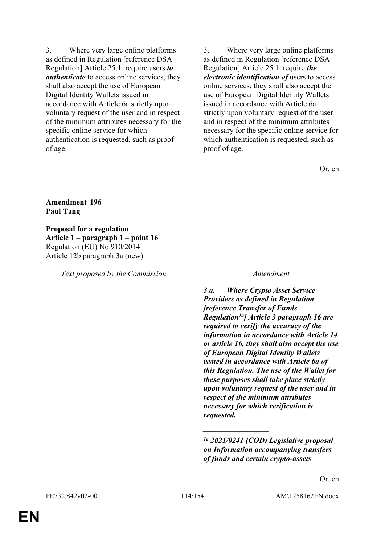3. Where very large online platforms as defined in Regulation [reference DSA Regulation] Article 25.1. require users *to authenticate* to access online services, they shall also accept the use of European Digital Identity Wallets issued in accordance with Article 6a strictly upon voluntary request of the user and in respect of the minimum attributes necessary for the specific online service for which authentication is requested, such as proof of age.

3. Where very large online platforms as defined in Regulation [reference DSA Regulation] Article 25.1. require *the electronic identification of* users to access online services, they shall also accept the use of European Digital Identity Wallets issued in accordance with Article 6a strictly upon voluntary request of the user and in respect of the minimum attributes necessary for the specific online service for which authentication is requested, such as proof of age.

Or. en

### **Amendment 196 Paul Tang**

**Proposal for a regulation Article 1 – paragraph 1 – point 16** Regulation (EU) No 910/2014 Article 12b paragraph 3a (new)

*Text proposed by the Commission Amendment*

*3 a. Where Crypto Asset Service Providers as defined in Regulation [reference Transfer of Funds Regulation1a] Article 3 paragraph 16 are required to verify the accuracy of the information in accordance with Article 14 or article 16, they shall also accept the use of European Digital Identity Wallets issued in accordance with Article 6a of this Regulation. The use of the Wallet for these purposes shall take place strictly upon voluntary request of the user and in respect of the minimum attributes necessary for which verification is requested.*

*\_\_\_\_\_\_\_\_\_\_\_\_\_\_\_\_\_*

*<sup>1</sup>a 2021/0241 (COD) Legislative proposal on Information accompanying transfers of funds and certain crypto-assets*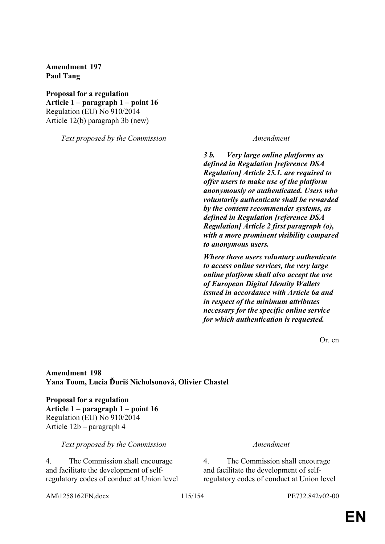**Amendment 197 Paul Tang**

**Proposal for a regulation Article 1 – paragraph 1 – point 16** Regulation (EU) No 910/2014 Article 12(b) paragraph 3b (new)

*Text proposed by the Commission Amendment*

*3 b. Very large online platforms as defined in Regulation [reference DSA Regulation] Article 25.1. are required to offer users to make use of the platform anonymously or authenticated. Users who voluntarily authenticate shall be rewarded by the content recommender systems, as defined in Regulation [reference DSA Regulation] Article 2 first paragraph (o), with a more prominent visibility compared to anonymous users.*

*Where those users voluntary authenticate to access online services, the very large online platform shall also accept the use of European Digital Identity Wallets issued in accordance with Article 6a and in respect of the minimum attributes necessary for the specific online service for which authentication is requested.*

Or. en

**Amendment 198 Yana Toom, Lucia Ďuriš Nicholsonová, Olivier Chastel**

**Proposal for a regulation Article 1 – paragraph 1 – point 16** Regulation (EU) No 910/2014 Article 12b – paragraph 4

### *Text proposed by the Commission Amendment*

4. The Commission shall encourage and facilitate the development of selfregulatory codes of conduct at Union level

4. The Commission shall encourage and facilitate the development of selfregulatory codes of conduct at Union level

AM\1258162EN.docx 115/154 PE732.842v02-00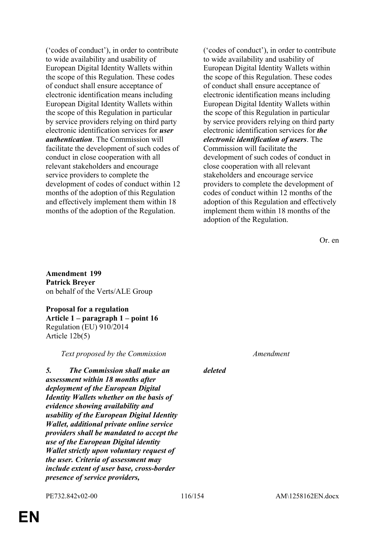('codes of conduct'), in order to contribute to wide availability and usability of European Digital Identity Wallets within the scope of this Regulation. These codes of conduct shall ensure acceptance of electronic identification means including European Digital Identity Wallets within the scope of this Regulation in particular by service providers relying on third party electronic identification services for *user authentication*. The Commission will facilitate the development of such codes of conduct in close cooperation with all relevant stakeholders and encourage service providers to complete the development of codes of conduct within 12 months of the adoption of this Regulation and effectively implement them within 18 months of the adoption of the Regulation.

('codes of conduct'), in order to contribute to wide availability and usability of European Digital Identity Wallets within the scope of this Regulation. These codes of conduct shall ensure acceptance of electronic identification means including European Digital Identity Wallets within the scope of this Regulation in particular by service providers relying on third party electronic identification services for *the electronic identification of users*. The Commission will facilitate the development of such codes of conduct in close cooperation with all relevant stakeholders and encourage service providers to complete the development of codes of conduct within 12 months of the adoption of this Regulation and effectively implement them within 18 months of the adoption of the Regulation.

Or. en

**Amendment 199 Patrick Breyer** on behalf of the Verts/ALE Group

**Proposal for a regulation Article 1 – paragraph 1 – point 16** Regulation (EU) 910/2014 Article 12b(5)

*Text proposed by the Commission Amendment*

*5. The Commission shall make an assessment within 18 months after deployment of the European Digital Identity Wallets whether on the basis of evidence showing availability and usability of the European Digital Identity Wallet, additional private online service providers shall be mandated to accept the use of the European Digital identity Wallet strictly upon voluntary request of the user. Criteria of assessment may include extent of user base, cross-border presence of service providers,* 

*deleted*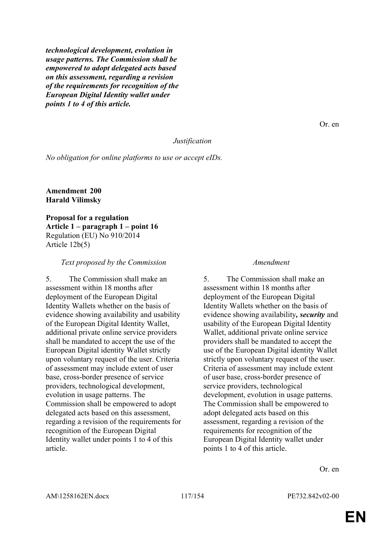*technological development, evolution in usage patterns. The Commission shall be empowered to adopt delegated acts based on this assessment, regarding a revision of the requirements for recognition of the European Digital Identity wallet under points 1 to 4 of this article.*

### *Justification*

*No obligation for online platforms to use or accept eIDs.*

### **Amendment 200 Harald Vilimsky**

**Proposal for a regulation Article 1 – paragraph 1 – point 16** Regulation (EU) No 910/2014 Article 12b(5)

### *Text proposed by the Commission Amendment*

5. The Commission shall make an assessment within 18 months after deployment of the European Digital Identity Wallets whether on the basis of evidence showing availability and usability of the European Digital Identity Wallet, additional private online service providers shall be mandated to accept the use of the European Digital identity Wallet strictly upon voluntary request of the user. Criteria of assessment may include extent of user base, cross-border presence of service providers, technological development, evolution in usage patterns. The Commission shall be empowered to adopt delegated acts based on this assessment, regarding a revision of the requirements for recognition of the European Digital Identity wallet under points 1 to 4 of this article.

5. The Commission shall make an assessment within 18 months after deployment of the European Digital Identity Wallets whether on the basis of evidence showing availability*, security* and usability of the European Digital Identity Wallet, additional private online service providers shall be mandated to accept the use of the European Digital identity Wallet strictly upon voluntary request of the user. Criteria of assessment may include extent of user base, cross-border presence of service providers, technological development, evolution in usage patterns. The Commission shall be empowered to adopt delegated acts based on this assessment, regarding a revision of the requirements for recognition of the European Digital Identity wallet under points 1 to 4 of this article.

Or. en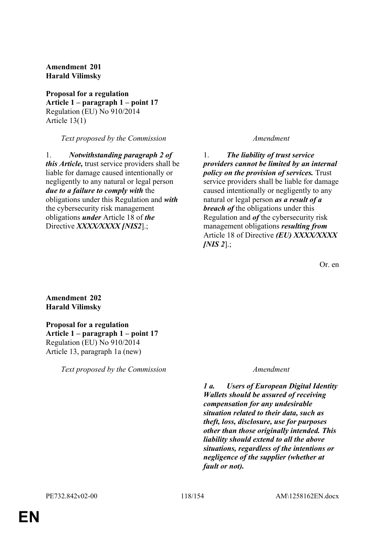# **Amendment 201 Harald Vilimsky**

**Proposal for a regulation Article 1 – paragraph 1 – point 17** Regulation (EU) No 910/2014 Article 13(1)

*Text proposed by the Commission Amendment*

1. *Notwithstanding paragraph 2 of this Article,* trust service providers shall be liable for damage caused intentionally or negligently to any natural or legal person *due to a failure to comply with* the obligations under this Regulation and *with* the cybersecurity risk management obligations *under* Article 18 of *the* Directive *XXXX/XXXX [NIS2*].;

1. *The liability of trust service providers cannot be limited by an internal policy on the provision of services.* Trust service providers shall be liable for damage caused intentionally or negligently to any natural or legal person *as a result of a breach of* the obligations under this Regulation and *of* the cybersecurity risk management obligations *resulting from* Article 18 of Directive *(EU) XXXX/XXXX [NIS 2*].;

Or. en

# **Amendment 202 Harald Vilimsky**

**Proposal for a regulation Article 1 – paragraph 1 – point 17** Regulation (EU) No 910/2014 Article 13, paragraph 1a (new)

*Text proposed by the Commission Amendment*

*1 a. Users of European Digital Identity Wallets should be assured of receiving compensation for any undesirable situation related to their data, such as theft, loss, disclosure, use for purposes other than those originally intended. This liability should extend to all the above situations, regardless of the intentions or negligence of the supplier (whether at fault or not).*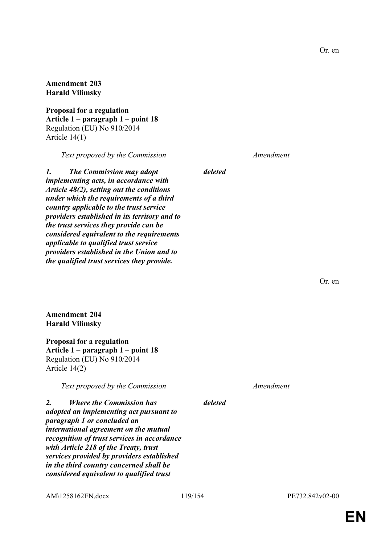### **Amendment 203 Harald Vilimsky**

**Proposal for a regulation Article 1 – paragraph 1 – point 18** Regulation (EU) No 910/2014 Article 14(1)

*Text proposed by the Commission Amendment*

*1. The Commission may adopt implementing acts, in accordance with Article 48(2), setting out the conditions under which the requirements of a third country applicable to the trust service providers established in its territory and to the trust services they provide can be considered equivalent to the requirements applicable to qualified trust service providers established in the Union and to the qualified trust services they provide.*

**Amendment 204 Harald Vilimsky**

**Proposal for a regulation Article 1 – paragraph 1 – point 18** Regulation (EU) No 910/2014 Article 14(2)

*Text proposed by the Commission Amendment*

*deleted*

*2. Where the Commission has adopted an implementing act pursuant to paragraph 1 or concluded an international agreement on the mutual recognition of trust services in accordance with Article 218 of the Treaty, trust services provided by providers established in the third country concerned shall be considered equivalent to qualified trust* 

AM\1258162EN.docx 119/154 PE732.842v02-00

Or. en

*deleted*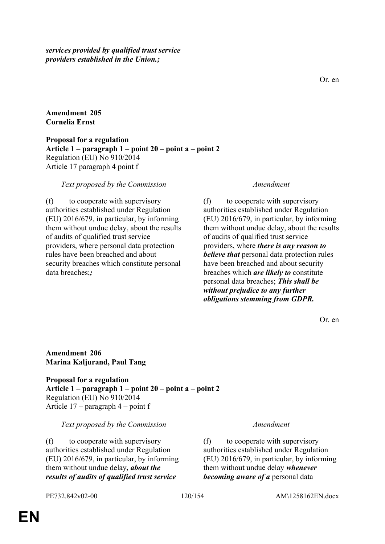*services provided by qualified trust service providers established in the Union.;*

Or. en

# **Amendment 205 Cornelia Ernst**

**Proposal for a regulation Article 1 – paragraph 1 – point 20 – point a – point 2** Regulation (EU) No 910/2014 Article 17 paragraph 4 point f

# *Text proposed by the Commission Amendment*

(f) to cooperate with supervisory authorities established under Regulation (EU) 2016/679, in particular, by informing them without undue delay, about the results of audits of qualified trust service providers, where personal data protection rules have been breached and about security breaches which constitute personal data breaches;*;*

(f) to cooperate with supervisory authorities established under Regulation (EU) 2016/679, in particular, by informing them without undue delay, about the results of audits of qualified trust service providers, where *there is any reason to believe that* personal data protection rules have been breached and about security breaches which *are likely to* constitute personal data breaches; *This shall be without prejudice to any further obligations stemming from GDPR.*

Or. en

# **Amendment 206 Marina Kaljurand, Paul Tang**

**Proposal for a regulation Article 1 – paragraph 1 – point 20 – point a – point 2** Regulation (EU) No 910/2014 Article 17 – paragraph 4 – point f

### *Text proposed by the Commission Amendment*

(f) to cooperate with supervisory authorities established under Regulation (EU) 2016/679, in particular, by informing them without undue delay*, about the results of audits of qualified trust service* 

(f) to cooperate with supervisory authorities established under Regulation (EU) 2016/679, in particular, by informing them without undue delay *whenever becoming aware of a* personal data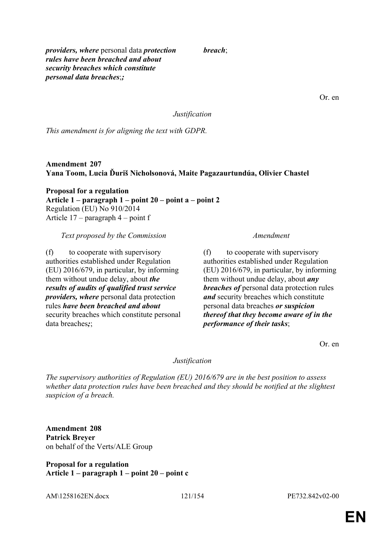*providers, where* personal data *protection rules have been breached and about security breaches which constitute personal data breaches*;*;*

*breach*;

Or. en

*Justification*

*This amendment is for aligning the text with GDPR.*

**Amendment 207 Yana Toom, Lucia Ďuriš Nicholsonová, Maite Pagazaurtundúa, Olivier Chastel**

**Proposal for a regulation Article 1 – paragraph 1 – point 20 – point a – point 2** Regulation (EU) No 910/2014 Article 17 – paragraph 4 – point f

*Text proposed by the Commission Amendment*

(f) to cooperate with supervisory authorities established under Regulation (EU) 2016/679, in particular, by informing them without undue delay, about *the results of audits of qualified trust service providers, where* personal data protection rules *have been breached and about* security breaches which constitute personal data breaches*;*;

(f) to cooperate with supervisory authorities established under Regulation (EU) 2016/679, in particular, by informing them without undue delay, about *any breaches of* personal data protection rules *and* security breaches which constitute personal data breaches *or suspicion thereof that they become aware of in the performance of their tasks*;

Or. en

# *Justification*

*The supervisory authorities of Regulation (EU) 2016/679 are in the best position to assess whether data protection rules have been breached and they should be notified at the slightest suspicion of a breach.*

**Amendment 208 Patrick Breyer** on behalf of the Verts/ALE Group

**Proposal for a regulation Article 1 – paragraph 1 – point 20 – point c**

AM\1258162EN.docx 121/154 PE732.842v02-00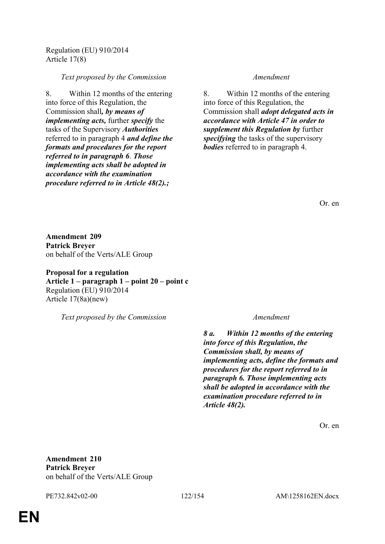Regulation (EU) 910/2014 Article 17(8)

### *Text proposed by the Commission Amendment*

8. Within 12 months of the entering into force of this Regulation, the Commission shall*, by means of implementing acts,* further *specify* the tasks of the Supervisory *Authorities* referred to in paragraph 4 *and define the formats and procedures for the report referred to in paragraph 6*. *Those implementing acts shall be adopted in accordance with the examination procedure referred to in Article 48(2).;*

8. Within 12 months of the entering into force of this Regulation, the Commission shall *adopt delegated acts in accordance with Article 47 in order to supplement this Regulation by* further *specifying* the tasks of the supervisory *bodies* referred to in paragraph 4.

Or. en

**Amendment 209 Patrick Breyer** on behalf of the Verts/ALE Group

**Proposal for a regulation Article 1 – paragraph 1 – point 20 – point c** Regulation (EU) 910/2014 Article 17(8a)(new)

*Text proposed by the Commission Amendment*

*8 a. Within 12 months of the entering into force of this Regulation, the Commission shall, by means of implementing acts, define the formats and procedures for the report referred to in paragraph 6. Those implementing acts shall be adopted in accordance with the examination procedure referred to in Article 48(2).*

Or. en

**Amendment 210 Patrick Breyer** on behalf of the Verts/ALE Group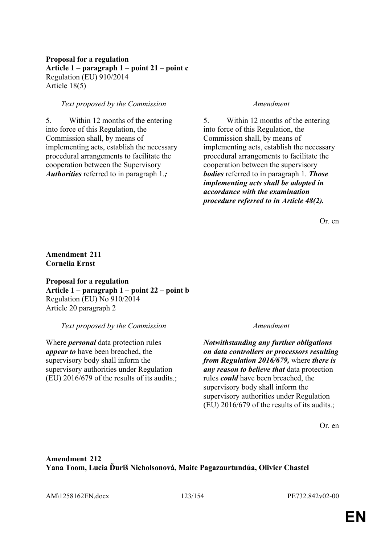# **Proposal for a regulation Article 1 – paragraph 1 – point 21 – point c** Regulation (EU) 910/2014 Article 18(5)

# *Text proposed by the Commission Amendment*

5. Within 12 months of the entering into force of this Regulation, the Commission shall, by means of implementing acts, establish the necessary procedural arrangements to facilitate the cooperation between the Supervisory *Authorities* referred to in paragraph 1.*;*

5. Within 12 months of the entering into force of this Regulation, the Commission shall, by means of implementing acts, establish the necessary procedural arrangements to facilitate the cooperation between the supervisory *bodies* referred to in paragraph 1. *Those implementing acts shall be adopted in accordance with the examination procedure referred to in Article 48(2).*

Or. en

**Amendment 211 Cornelia Ernst**

**Proposal for a regulation Article 1 – paragraph 1 – point 22 – point b** Regulation (EU) No 910/2014 Article 20 paragraph 2

*Text proposed by the Commission Amendment*

Where *personal* data protection rules *appear to* have been breached, the supervisory body shall inform the supervisory authorities under Regulation (EU) 2016/679 of the results of its audits.;

*Notwithstanding any further obligations on data controllers or processors resulting from Regulation 2016/679,* where *there is any reason to believe that* data protection rules *could* have been breached, the supervisory body shall inform the supervisory authorities under Regulation (EU) 2016/679 of the results of its audits.;

Or. en

**Amendment 212 Yana Toom, Lucia Ďuriš Nicholsonová, Maite Pagazaurtundúa, Olivier Chastel**

AM\1258162EN.docx 123/154 PE732.842v02-00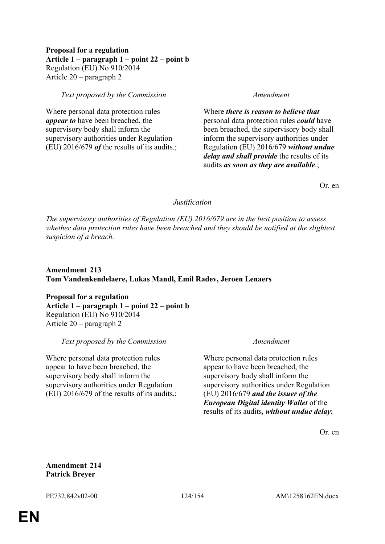# **Proposal for a regulation Article 1 – paragraph 1 – point 22 – point b** Regulation (EU) No 910/2014 Article 20 – paragraph 2

# *Text proposed by the Commission Amendment*

Where personal data protection rules *appear to* have been breached, the supervisory body shall inform the supervisory authorities under Regulation (EU) 2016/679 *of* the results of its audits.;

Where *there is reason to believe that* personal data protection rules *could* have been breached, the supervisory body shall inform the supervisory authorities under Regulation (EU) 2016/679 *without undue delay and shall provide* the results of its audits *as soon as they are available*.;

Or. en

# *Justification*

*The supervisory authorities of Regulation (EU) 2016/679 are in the best position to assess whether data protection rules have been breached and they should be notified at the slightest suspicion of a breach.*

# **Amendment 213 Tom Vandenkendelaere, Lukas Mandl, Emil Radev, Jeroen Lenaers**

**Proposal for a regulation Article 1 – paragraph 1 – point 22 – point b** Regulation (EU) No 910/2014 Article 20 – paragraph 2

*Text proposed by the Commission Amendment*

Where personal data protection rules appear to have been breached, the supervisory body shall inform the supervisory authorities under Regulation (EU) 2016/679 of the results of its audits*.*;

Where personal data protection rules appear to have been breached, the supervisory body shall inform the supervisory authorities under Regulation (EU) 2016/679 *and the issuer of the European Digital identity Wallet* of the results of its audits*, without undue delay*;

Or. en

# **Amendment 214 Patrick Breyer**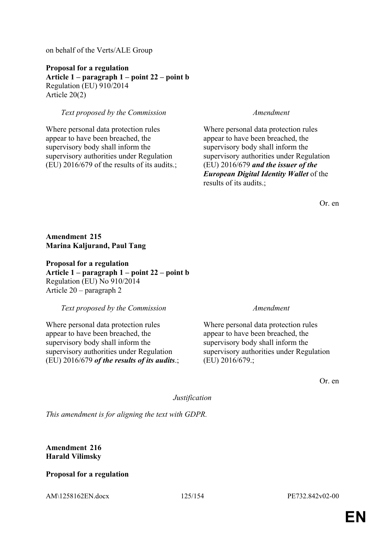on behalf of the Verts/ALE Group

**Proposal for a regulation Article 1 – paragraph 1 – point 22 – point b** Regulation (EU) 910/2014 Article 20(2)

# *Text proposed by the Commission Amendment*

Where personal data protection rules appear to have been breached, the supervisory body shall inform the supervisory authorities under Regulation (EU) 2016/679 of the results of its audits.;

Where personal data protection rules appear to have been breached, the supervisory body shall inform the supervisory authorities under Regulation (EU) 2016/679 *and the issuer of the European Digital Identity Wallet* of the results of its audits.;

Or. en

**Amendment 215 Marina Kaljurand, Paul Tang**

**Proposal for a regulation Article 1 – paragraph 1 – point 22 – point b** Regulation (EU) No 910/2014 Article 20 – paragraph 2

*Text proposed by the Commission Amendment*

Where personal data protection rules appear to have been breached, the supervisory body shall inform the supervisory authorities under Regulation (EU) 2016/679 *of the results of its audits*.;

Where personal data protection rules appear to have been breached, the supervisory body shall inform the supervisory authorities under Regulation (EU) 2016/679.;

Or. en

*Justification*

*This amendment is for aligning the text with GDPR.*

**Amendment 216 Harald Vilimsky**

# **Proposal for a regulation**

AM\1258162EN.docx 125/154 PE732.842v02-00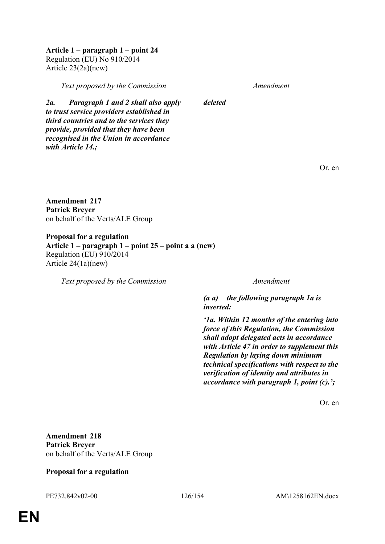**Article 1 – paragraph 1 – point 24** Regulation (EU) No 910/2014 Article 23(2a)(new)

*Text proposed by the Commission Amendment*

*2a. Paragraph 1 and 2 shall also apply to trust service providers established in third countries and to the services they provide, provided that they have been recognised in the Union in accordance* 

*deleted*

Or. en

**Amendment 217 Patrick Breyer** on behalf of the Verts/ALE Group

*with Article 14.;*

**Proposal for a regulation Article 1 – paragraph 1 – point 25 – point a a (new)** Regulation (EU) 910/2014 Article 24(1a)(new)

*Text proposed by the Commission Amendment*

*(a a) the following paragraph 1a is inserted:*

*'1a. Within 12 months of the entering into force of this Regulation, the Commission shall adopt delegated acts in accordance with Article 47 in order to supplement this Regulation by laying down minimum technical specifications with respect to the verification of identity and attributes in accordance with paragraph 1, point (c).';*

Or. en

**Amendment 218 Patrick Breyer** on behalf of the Verts/ALE Group

# **Proposal for a regulation**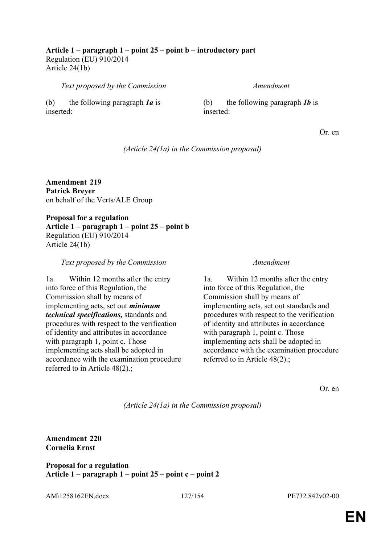**Article 1 – paragraph 1 – point 25 – point b – introductory part** Regulation (EU) 910/2014 Article 24(1b)

*Text proposed by the Commission Amendment*

(b) the following paragraph *1a* is inserted:

(b) the following paragraph *1b* is inserted:

Or. en

*(Article 24(1a) in the Commission proposal)*

**Amendment 219 Patrick Breyer** on behalf of the Verts/ALE Group

**Proposal for a regulation Article 1 – paragraph 1 – point 25 – point b** Regulation (EU) 910/2014 Article 24(1b)

*Text proposed by the Commission Amendment*

1a. Within 12 months after the entry into force of this Regulation, the Commission shall by means of implementing acts, set out *minimum technical specifications,* standards and procedures with respect to the verification of identity and attributes in accordance with paragraph 1, point c. Those implementing acts shall be adopted in accordance with the examination procedure referred to in Article 48(2).;

1a. Within 12 months after the entry into force of this Regulation, the Commission shall by means of implementing acts, set out standards and procedures with respect to the verification of identity and attributes in accordance with paragraph 1, point c. Those implementing acts shall be adopted in accordance with the examination procedure referred to in Article 48(2).;

Or. en

*(Article 24(1a) in the Commission proposal)*

**Amendment 220 Cornelia Ernst**

**Proposal for a regulation Article 1 – paragraph 1 – point 25 – point c – point 2**

AM\1258162EN.docx 127/154 PE732.842v02-00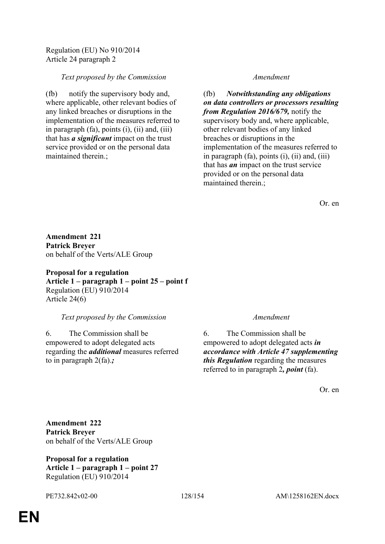Regulation (EU) No 910/2014 Article 24 paragraph 2

# *Text proposed by the Commission Amendment*

(fb) notify the supervisory body and, where applicable, other relevant bodies of any linked breaches or disruptions in the implementation of the measures referred to in paragraph (fa), points (i), (ii) and, (iii) that has *a significant* impact on the trust service provided or on the personal data maintained therein.;

(fb) *Notwithstanding any obligations on data controllers or processors resulting from Regulation 2016/679,* notify the supervisory body and, where applicable, other relevant bodies of any linked breaches or disruptions in the implementation of the measures referred to in paragraph (fa), points (i), (ii) and, (iii) that has *an* impact on the trust service provided or on the personal data maintained therein.;

Or. en

**Amendment 221 Patrick Breyer** on behalf of the Verts/ALE Group

**Proposal for a regulation Article 1 – paragraph 1 – point 25 – point f** Regulation (EU) 910/2014 Article 24(6)

# *Text proposed by the Commission Amendment*

6. The Commission shall be empowered to adopt delegated acts regarding the *additional* measures referred to in paragraph 2(fa).*;*

6. The Commission shall be empowered to adopt delegated acts *in accordance with Article 47 supplementing this Regulation* regarding the measures referred to in paragraph 2*, point* (fa).

Or. en

**Amendment 222 Patrick Breyer** on behalf of the Verts/ALE Group

**Proposal for a regulation Article 1 – paragraph 1 – point 27** Regulation (EU) 910/2014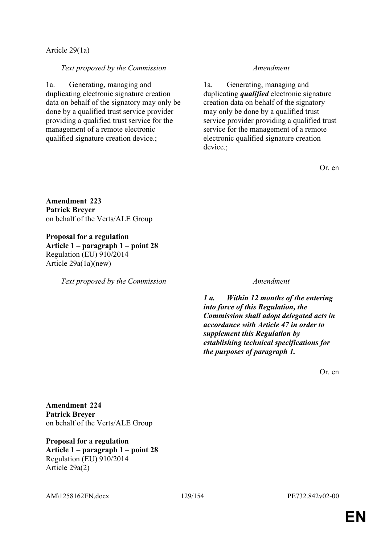# Article 29(1a)

# *Text proposed by the Commission Amendment*

1a. Generating, managing and duplicating electronic signature creation data on behalf of the signatory may only be done by a qualified trust service provider providing a qualified trust service for the management of a remote electronic qualified signature creation device.;

1a. Generating, managing and duplicating *qualified* electronic signature creation data on behalf of the signatory may only be done by a qualified trust service provider providing a qualified trust service for the management of a remote electronic qualified signature creation device.;

Or. en

**Amendment 223 Patrick Breyer** on behalf of the Verts/ALE Group

**Proposal for a regulation Article 1 – paragraph 1 – point 28** Regulation (EU) 910/2014 Article 29a(1a)(new)

*Text proposed by the Commission Amendment*

*1 a. Within 12 months of the entering into force of this Regulation, the Commission shall adopt delegated acts in accordance with Article 47 in order to supplement this Regulation by establishing technical specifications for the purposes of paragraph 1.*

Or. en

**Amendment 224 Patrick Breyer** on behalf of the Verts/ALE Group

**Proposal for a regulation Article 1 – paragraph 1 – point 28** Regulation (EU) 910/2014 Article 29a(2)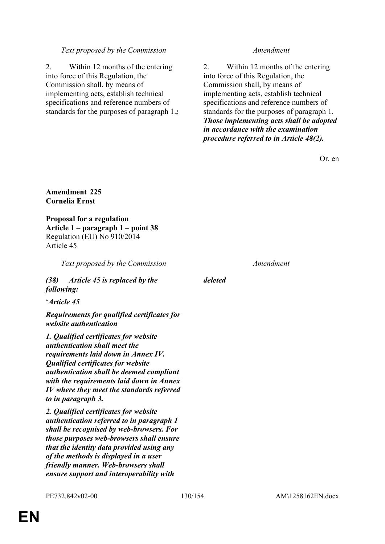# *Text proposed by the Commission Amendment*

2. Within 12 months of the entering into force of this Regulation, the Commission shall, by means of implementing acts, establish technical specifications and reference numbers of standards for the purposes of paragraph 1.*;*

2. Within 12 months of the entering into force of this Regulation, the Commission shall, by means of implementing acts, establish technical specifications and reference numbers of standards for the purposes of paragraph 1. *Those implementing acts shall be adopted in accordance with the examination procedure referred to in Article 48(2).*

Or. en

# **Amendment 225 Cornelia Ernst**

**Proposal for a regulation Article 1 – paragraph 1 – point 38** Regulation (EU) No 910/2014 Article 45

*Text proposed by the Commission Amendment*

*(38) Article 45 is replaced by the following:*

'*Article 45*

*Requirements for qualified certificates for website authentication*

*1. Qualified certificates for website authentication shall meet the requirements laid down in Annex IV. Qualified certificates for website authentication shall be deemed compliant with the requirements laid down in Annex IV where they meet the standards referred to in paragraph 3.*

*2. Qualified certificates for website authentication referred to in paragraph 1 shall be recognised by web-browsers. For those purposes web-browsers shall ensure that the identity data provided using any of the methods is displayed in a user friendly manner. Web-browsers shall ensure support and interoperability with* 

*deleted*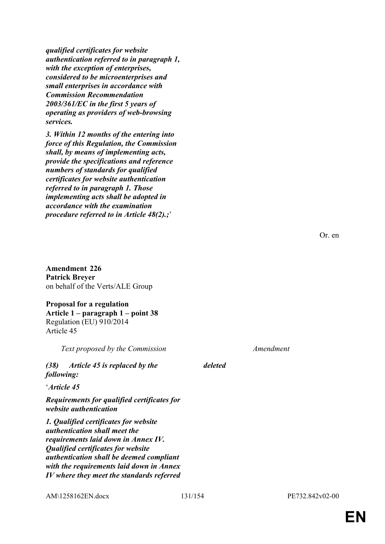*qualified certificates for website authentication referred to in paragraph 1, with the exception of enterprises, considered to be microenterprises and small enterprises in accordance with Commission Recommendation 2003/361/EC in the first 5 years of operating as providers of web-browsing services.*

*3. Within 12 months of the entering into force of this Regulation, the Commission shall, by means of implementing acts, provide the specifications and reference numbers of standards for qualified certificates for website authentication referred to in paragraph 1. Those implementing acts shall be adopted in accordance with the examination procedure referred to in Article 48(2).;*'

**Amendment 226 Patrick Breyer** on behalf of the Verts/ALE Group

**Proposal for a regulation Article 1 – paragraph 1 – point 38** Regulation (EU) 910/2014 Article 45

*Text proposed by the Commission Amendment*

*(38) Article 45 is replaced by the following:*

'*Article 45*

*Requirements for qualified certificates for website authentication*

*1. Qualified certificates for website authentication shall meet the requirements laid down in Annex IV. Qualified certificates for website authentication shall be deemed compliant with the requirements laid down in Annex IV where they meet the standards referred* 

AM\1258162EN.docx 131/154 PE732.842v02-00

*deleted*

Or. en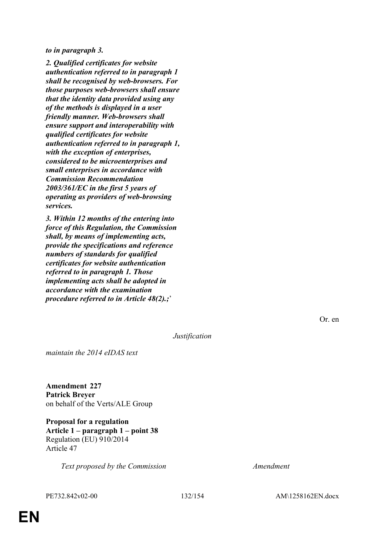*to in paragraph 3.*

*2. Qualified certificates for website authentication referred to in paragraph 1 shall be recognised by web-browsers. For those purposes web-browsers shall ensure that the identity data provided using any of the methods is displayed in a user friendly manner. Web-browsers shall ensure support and interoperability with qualified certificates for website authentication referred to in paragraph 1, with the exception of enterprises, considered to be microenterprises and small enterprises in accordance with Commission Recommendation 2003/361/EC in the first 5 years of operating as providers of web-browsing services.*

*3. Within 12 months of the entering into force of this Regulation, the Commission shall, by means of implementing acts, provide the specifications and reference numbers of standards for qualified certificates for website authentication referred to in paragraph 1. Those implementing acts shall be adopted in accordance with the examination procedure referred to in Article 48(2).;*'

Or. en

*Justification*

*maintain the 2014 eIDAS text*

**Amendment 227 Patrick Breyer** on behalf of the Verts/ALE Group

**Proposal for a regulation Article 1 – paragraph 1 – point 38** Regulation (EU) 910/2014 Article 47

*Text proposed by the Commission Amendment*

PE732.842v02-00 132/154 AM\1258162EN.docx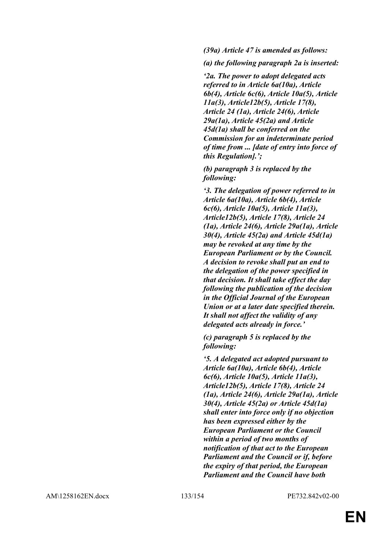*(39a) Article 47 is amended as follows:*

*(a) the following paragraph 2a is inserted:*

*'2a. The power to adopt delegated acts referred to in Article 6a(10a), Article 6b(4), Article 6c(6), Article 10a(5), Article 11a(3), Article12b(5), Article 17(8), Article 24 (1a), Article 24(6), Article 29a(1a), Article 45(2a) and Article 45d(1a) shall be conferred on the Commission for an indeterminate period of time from ... [date of entry into force of this Regulation].';*

*(b) paragraph 3 is replaced by the following:*

*'3. The delegation of power referred to in Article 6a(10a), Article 6b(4), Article 6c(6), Article 10a(5), Article 11a(3), Article12b(5), Article 17(8), Article 24 (1a), Article 24(6), Article 29a(1a), Article 30(4), Article 45(2a) and Article 45d(1a) may be revoked at any time by the European Parliament or by the Council. A decision to revoke shall put an end to the delegation of the power specified in that decision. It shall take effect the day following the publication of the decision in the Official Journal of the European Union or at a later date specified therein. It shall not affect the validity of any delegated acts already in force.'*

*(c) paragraph 5 is replaced by the following:*

*'5. A delegated act adopted pursuant to Article 6a(10a), Article 6b(4), Article 6c(6), Article 10a(5), Article 11a(3), Article12b(5), Article 17(8), Article 24 (1a), Article 24(6), Article 29a(1a), Article 30(4), Article 45(2a) or Article 45d(1a) shall enter into force only if no objection has been expressed either by the European Parliament or the Council within a period of two months of notification of that act to the European Parliament and the Council or if, before the expiry of that period, the European Parliament and the Council have both*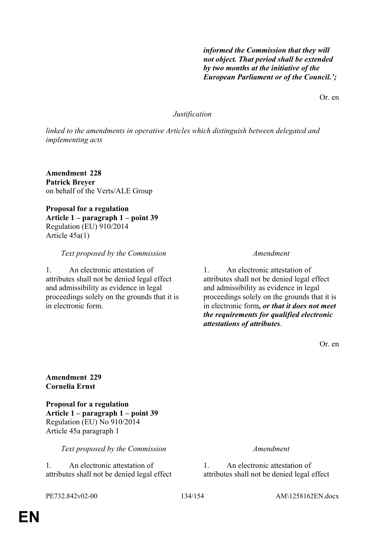*not object. That period shall be extended by two months at the initiative of the European Parliament or of the Council.';*

*informed the Commission that they will* 

Or. en

# *Justification*

*linked to the amendments in operative Articles which distinguish between delegated and implementing acts*

**Amendment 228 Patrick Breyer** on behalf of the Verts/ALE Group

**Proposal for a regulation Article 1 – paragraph 1 – point 39** Regulation (EU) 910/2014 Article 45a(1)

### *Text proposed by the Commission Amendment*

1. An electronic attestation of attributes shall not be denied legal effect and admissibility as evidence in legal proceedings solely on the grounds that it is in electronic form.

1. An electronic attestation of attributes shall not be denied legal effect and admissibility as evidence in legal proceedings solely on the grounds that it is in electronic form*, or that it does not meet the requirements for qualified electronic attestations of attributes*.

Or. en

# **Amendment 229 Cornelia Ernst**

**Proposal for a regulation Article 1 – paragraph 1 – point 39** Regulation (EU) No 910/2014 Article 45a paragraph 1

*Text proposed by the Commission Amendment*

1. An electronic attestation of attributes shall not be denied legal effect

1. An electronic attestation of attributes shall not be denied legal effect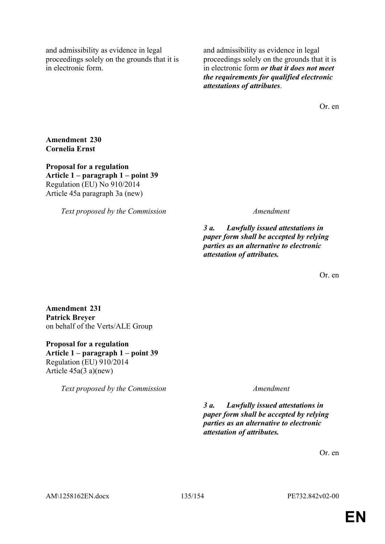and admissibility as evidence in legal proceedings solely on the grounds that it is in electronic form.

and admissibility as evidence in legal proceedings solely on the grounds that it is in electronic form *or that it does not meet the requirements for qualified electronic attestations of attributes*.

Or. en

**Amendment 230 Cornelia Ernst**

**Proposal for a regulation Article 1 – paragraph 1 – point 39** Regulation (EU) No 910/2014 Article 45a paragraph 3a (new)

*Text proposed by the Commission Amendment*

*3 a. Lawfully issued attestations in paper form shall be accepted by relying parties as an alternative to electronic attestation of attributes.*

Or. en

**Amendment 231 Patrick Breyer** on behalf of the Verts/ALE Group

**Proposal for a regulation Article 1 – paragraph 1 – point 39** Regulation (EU) 910/2014 Article 45a(3 a)(new)

*Text proposed by the Commission Amendment*

*3 a. Lawfully issued attestations in paper form shall be accepted by relying parties as an alternative to electronic attestation of attributes.*

Or. en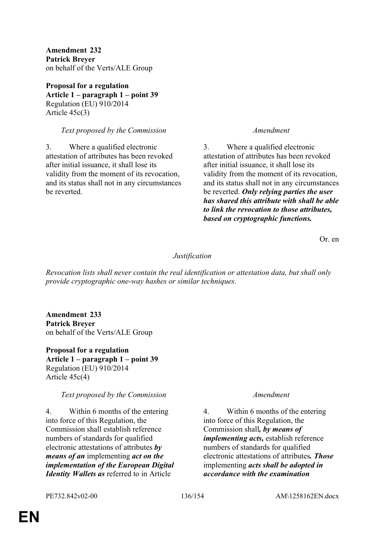**Amendment 232 Patrick Breyer** on behalf of the Verts/ALE Group

**Proposal for a regulation Article 1 – paragraph 1 – point 39** Regulation (EU) 910/2014 Article 45c(3)

# *Text proposed by the Commission Amendment*

3. Where a qualified electronic attestation of attributes has been revoked after initial issuance, it shall lose its validity from the moment of its revocation, and its status shall not in any circumstances be reverted.

3. Where a qualified electronic attestation of attributes has been revoked after initial issuance, it shall lose its validity from the moment of its revocation, and its status shall not in any circumstances be reverted. *Only relying parties the user has shared this attribute with shall be able to link the revocation to those attributes, based on cryptographic functions.*

Or. en

# *Justification*

*Revocation lists shall never contain the real identification or attestation data, but shall only provide cryptographic one-way hashes or similar techniques.*

**Amendment 233 Patrick Breyer** on behalf of the Verts/ALE Group

**Proposal for a regulation Article 1 – paragraph 1 – point 39** Regulation (EU) 910/2014 Article 45c(4)

# *Text proposed by the Commission Amendment*

4. Within 6 months of the entering into force of this Regulation, the Commission shall establish reference numbers of standards for qualified electronic attestations of attributes *by means of an* implementing *act on the implementation of the European Digital Identity Wallets as* referred to in Article

4. Within 6 months of the entering into force of this Regulation, the Commission shall*, by means of implementing acts,* establish reference numbers of standards for qualified electronic attestations of attributes*. Those* implementing *acts shall be adopted in accordance with the examination*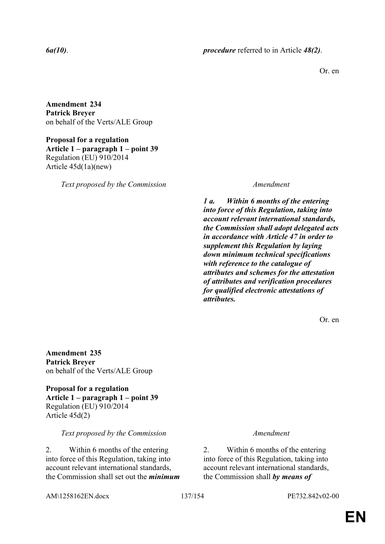Or. en

**Amendment 234 Patrick Breyer** on behalf of the Verts/ALE Group

**Proposal for a regulation Article 1 – paragraph 1 – point 39** Regulation (EU) 910/2014 Article 45d(1a)(new)

*Text proposed by the Commission Amendment*

*1 a. Within 6 months of the entering into force of this Regulation, taking into account relevant international standards, the Commission shall adopt delegated acts in accordance with Article 47 in order to supplement this Regulation by laying down minimum technical specifications with reference to the catalogue of attributes and schemes for the attestation of attributes and verification procedures for qualified electronic attestations of attributes.*

Or. en

**Amendment 235 Patrick Breyer** on behalf of the Verts/ALE Group

**Proposal for a regulation Article 1 – paragraph 1 – point 39** Regulation (EU) 910/2014 Article 45d(2)

# *Text proposed by the Commission Amendment*

2. Within 6 months of the entering into force of this Regulation, taking into account relevant international standards, the Commission shall set out the *minimum* 

2. Within 6 months of the entering into force of this Regulation, taking into account relevant international standards, the Commission shall *by means of* 

AM\1258162EN.docx 137/154 PE732.842v02-00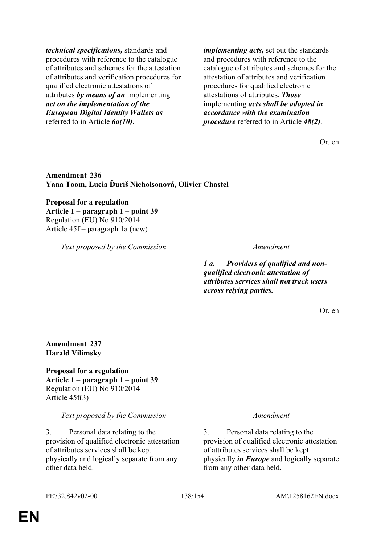*technical specifications,* standards and procedures with reference to the catalogue of attributes and schemes for the attestation of attributes and verification procedures for qualified electronic attestations of attributes *by means of an* implementing *act on the implementation of the European Digital Identity Wallets as* referred to in Article *6a(10)*.

*implementing acts,* set out the standards and procedures with reference to the catalogue of attributes and schemes for the attestation of attributes and verification procedures for qualified electronic attestations of attributes*. Those* implementing *acts shall be adopted in accordance with the examination procedure* referred to in Article *48(2)*.

Or. en

# **Amendment 236 Yana Toom, Lucia Ďuriš Nicholsonová, Olivier Chastel**

**Proposal for a regulation Article 1 – paragraph 1 – point 39** Regulation (EU) No 910/2014 Article 45f – paragraph 1a (new)

*Text proposed by the Commission Amendment*

*1 a. Providers of qualified and nonqualified electronic attestation of attributes services shall not track users across relying parties.*

Or. en

**Amendment 237 Harald Vilimsky**

**Proposal for a regulation Article 1 – paragraph 1 – point 39** Regulation (EU) No 910/2014 Article 45f(3)

*Text proposed by the Commission Amendment*

3. Personal data relating to the provision of qualified electronic attestation of attributes services shall be kept physically and logically separate from any other data held.

3. Personal data relating to the provision of qualified electronic attestation of attributes services shall be kept physically *in Europe* and logically separate from any other data held.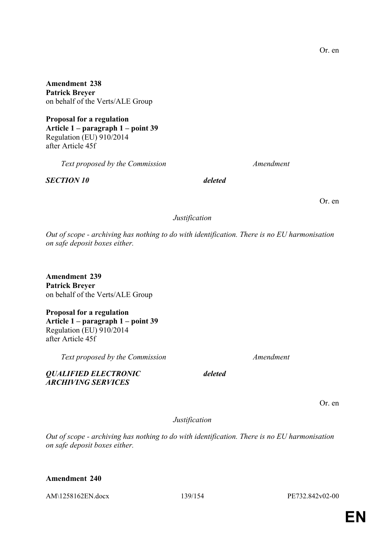**Amendment 238 Patrick Breyer** on behalf of the Verts/ALE Group

**Proposal for a regulation Article 1 – paragraph 1 – point 39** Regulation (EU) 910/2014 after Article 45f

*Text proposed by the Commission Amendment*

*SECTION 10 deleted*

Or. en

# *Justification*

*Out of scope - archiving has nothing to do with identification. There is no EU harmonisation on safe deposit boxes either.*

**Amendment 239 Patrick Breyer** on behalf of the Verts/ALE Group

**Proposal for a regulation Article 1 – paragraph 1 – point 39** Regulation (EU) 910/2014 after Article 45f

*QUALIFIED ELECTRONIC ARCHIVING SERVICES*

*Text proposed by the Commission Amendment*

Or. en

*Justification*

*deleted*

*Out of scope - archiving has nothing to do with identification. There is no EU harmonisation on safe deposit boxes either.*

# **Amendment 240**

AM\1258162EN.docx 139/154 PE732.842v02-00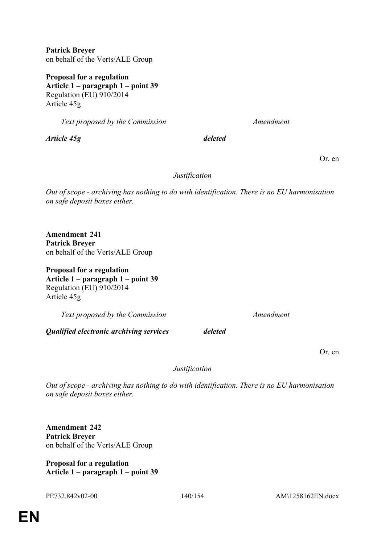**Patrick Breyer** on behalf of the Verts/ALE Group

**Proposal for a regulation Article 1 – paragraph 1 – point 39** Regulation (EU) 910/2014 Article 45g

*Text proposed by the Commission Amendment*

*Article 45g deleted*

Or. en

# *Justification*

*Out of scope - archiving has nothing to do with identification. There is no EU harmonisation on safe deposit boxes either.*

**Amendment 241 Patrick Breyer** on behalf of the Verts/ALE Group

**Proposal for a regulation Article 1 – paragraph 1 – point 39** Regulation (EU) 910/2014 Article 45g

*Text proposed by the Commission Amendment*

*Qualified electronic archiving services deleted*

Or. en

*Justification*

*Out of scope - archiving has nothing to do with identification. There is no EU harmonisation on safe deposit boxes either.*

**Amendment 242 Patrick Breyer** on behalf of the Verts/ALE Group

**Proposal for a regulation Article 1 – paragraph 1 – point 39**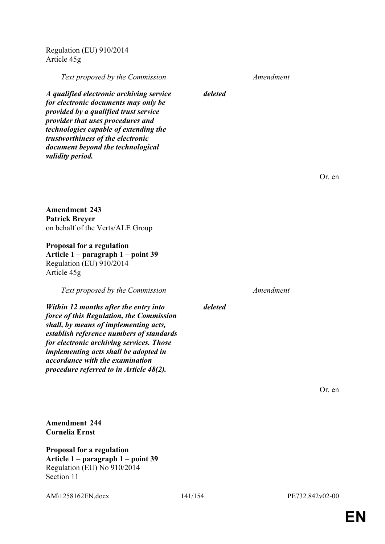Regulation (EU) 910/2014 Article 45g

*Text proposed by the Commission Amendment*

*A qualified electronic archiving service for electronic documents may only be provided by a qualified trust service provider that uses procedures and technologies capable of extending the trustworthiness of the electronic document beyond the technological validity period.*

Or. en

**Amendment 243 Patrick Breyer** on behalf of the Verts/ALE Group

**Proposal for a regulation Article 1 – paragraph 1 – point 39** Regulation (EU) 910/2014 Article 45g

*Text proposed by the Commission Amendment*

*Within 12 months after the entry into force of this Regulation, the Commission shall, by means of implementing acts, establish reference numbers of standards for electronic archiving services. Those implementing acts shall be adopted in accordance with the examination procedure referred to in Article 48(2).*

*deleted*

*deleted*

Or. en

**Amendment 244 Cornelia Ernst**

**Proposal for a regulation Article 1 – paragraph 1 – point 39** Regulation (EU) No 910/2014 Section 11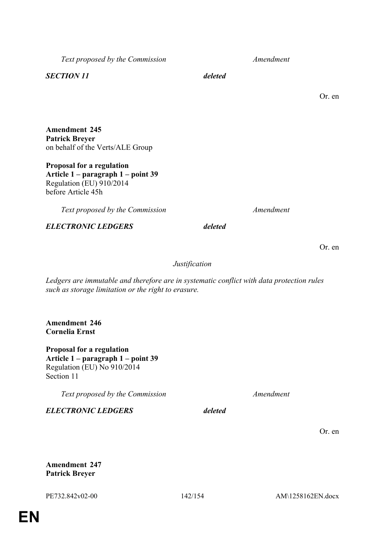**Amendment 247 Patrick Breyer**

*Text proposed by the Commission Amendment*

*SECTION 11 deleted*

# **Amendment 245 Patrick Breyer** on behalf of the Verts/ALE Group

**Proposal for a regulation Article 1 – paragraph 1 – point 39** Regulation (EU) 910/2014 before Article 45h

*Text proposed by the Commission Amendment*

*ELECTRONIC LEDGERS deleted*

*Justification*

*Ledgers are immutable and therefore are in systematic conflict with data protection rules such as storage limitation or the right to erasure.*

**Amendment 246 Cornelia Ernst**

**Proposal for a regulation Article 1 – paragraph 1 – point 39** Regulation (EU) No 910/2014 Section 11

*Text proposed by the Commission Amendment*

*ELECTRONIC LEDGERS deleted*

Or. en

Or. en

Or. en

PE732.842v02-00 142/154 AM\1258162EN.docx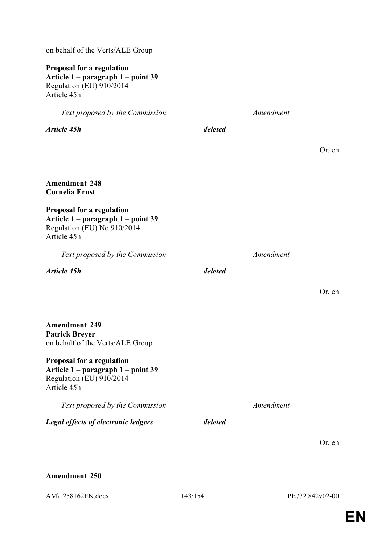on behalf of the Verts/ALE Group

# **Proposal for a regulation Article 1 – paragraph 1 – point 39** Regulation (EU) 910/2014 Article 45h

*Text proposed by the Commission Amendment Article 45h deleted* Or. en **Amendment 248 Cornelia Ernst Proposal for a regulation Article 1 – paragraph 1 – point 39** Regulation (EU) No 910/2014 Article 45h *Text proposed by the Commission Amendment Article 45h deleted* Or. en **Amendment 249 Patrick Breyer** on behalf of the Verts/ALE Group **Proposal for a regulation Article 1 – paragraph 1 – point 39** Regulation (EU) 910/2014 Article 45h *Text proposed by the Commission Amendment Legal effects of electronic ledgers deleted* Or. en

**Amendment 250**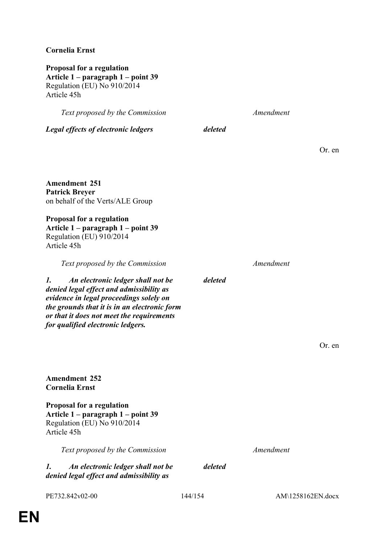# **Cornelia Ernst**

**Proposal for a regulation Article 1 – paragraph 1 – point 39** Regulation (EU) No 910/2014 Article 45h

*Text proposed by the Commission Amendment Legal effects of electronic ledgers deleted* Or. en **Amendment 251 Patrick Breyer** on behalf of the Verts/ALE Group **Proposal for a regulation Article 1 – paragraph 1 – point 39** Regulation (EU) 910/2014 Article 45h *Text proposed by the Commission Amendment 1. An electronic ledger shall not be denied legal effect and admissibility as evidence in legal proceedings solely on the grounds that it is in an electronic form or that it does not meet the requirements for qualified electronic ledgers. deleted* Or. en **Amendment 252 Cornelia Ernst Proposal for a regulation Article 1 – paragraph 1 – point 39** Regulation (EU) No 910/2014 Article 45h *Text proposed by the Commission Amendment 1. An electronic ledger shall not be deleted*

*denied legal effect and admissibility as* 

PE732.842v02-00 144/154 AM\1258162EN.docx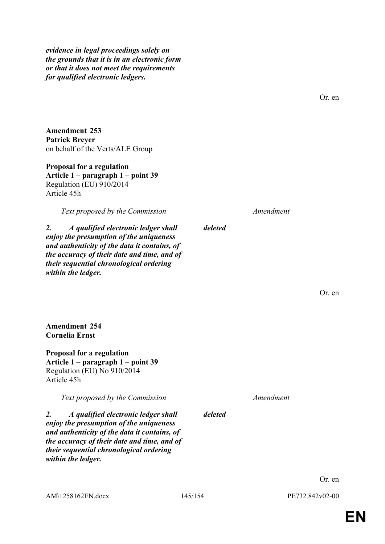*evidence in legal proceedings solely on the grounds that it is in an electronic form or that it does not meet the requirements for qualified electronic ledgers.*

Or. en

**Amendment 253 Patrick Breyer** on behalf of the Verts/ALE Group

**Proposal for a regulation Article 1 – paragraph 1 – point 39** Regulation (EU) 910/2014 Article 45h

*Text proposed by the Commission Amendment*

*2. A qualified electronic ledger shall enjoy the presumption of the uniqueness and authenticity of the data it contains, of the accuracy of their date and time, and of their sequential chronological ordering within the ledger.*

**Amendment 254 Cornelia Ernst**

**Proposal for a regulation Article 1 – paragraph 1 – point 39** Regulation (EU) No 910/2014 Article 45h

*Text proposed by the Commission Amendment*

*2. A qualified electronic ledger shall enjoy the presumption of the uniqueness and authenticity of the data it contains, of the accuracy of their date and time, and of their sequential chronological ordering within the ledger.*

Or. en

*deleted*

*deleted*

Or. en

AM\1258162EN.docx 145/154 PE732.842v02-00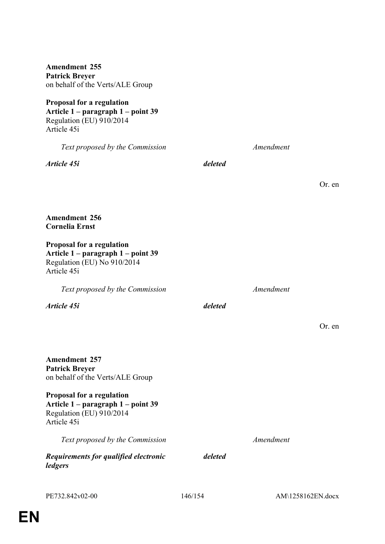**Article 1 – paragraph 1 – point 39** *Text proposed by the Commission Amendment Article 45i deleted* **Amendment 256 Cornelia Ernst Proposal for a regulation Article 1 – paragraph 1 – point 39** Regulation (EU) No 910/2014 Article 45i *Text proposed by the Commission Amendment Article 45i deleted* **Amendment 257 Patrick Breyer** on behalf of the Verts/ALE Group **Proposal for a regulation Article 1 – paragraph 1 – point 39** Regulation (EU) 910/2014 Article 45i

*Text proposed by the Commission Amendment*

*Requirements for qualified electronic ledgers*

*deleted*

Or. en

Or. en

on behalf of the Verts/ALE Group **Proposal for a regulation**

**Amendment 255 Patrick Breyer**

Regulation (EU) 910/2014 Article 45i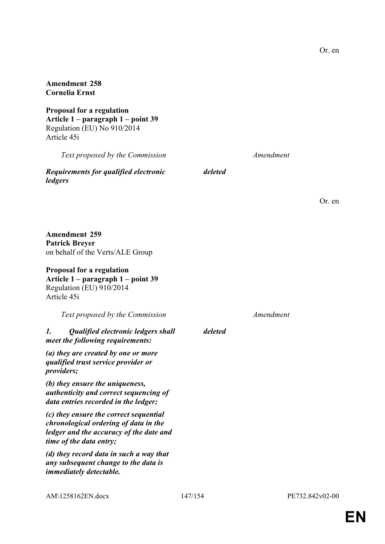#### **Amendment 258 Cornelia Ernst**

**Proposal for a regulation Article 1 – paragraph 1 – point 39** Regulation (EU) No 910/2014 Article 45i

*Text proposed by the Commission Amendment*

*Requirements for qualified electronic ledgers*

*deleted*

**Amendment 259 Article 1 – paragraph 1 – point 39** Regulation (EU) 910/2014 *Text proposed by the Commission Amendment deleted authenticity and correct sequencing of (c) they ensure the correct sequential chronological ordering of data in the ledger and the accuracy of the date and time of the data entry; (d) they record data in such a way that any subsequent change to the data is immediately detectable.*

**Patrick Breyer** on behalf of the Verts/ALE Group

# **Proposal for a regulation**

Article 45i

### *1. Qualified electronic ledgers shall meet the following requirements:*

*(a) they are created by one or more qualified trust service provider or providers;*

*(b) they ensure the uniqueness, data entries recorded in the ledger;*

Or. en

**EN**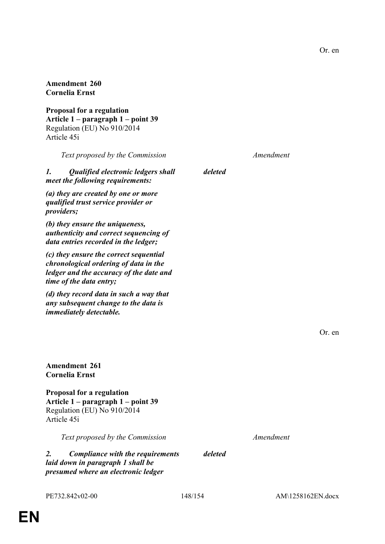#### **Amendment 260 Cornelia Ernst**

**Proposal for a regulation Article 1 – paragraph 1 – point 39** Regulation (EU) No 910/2014 Article 45i

*Text proposed by the Commission Amendment*

*1. Qualified electronic ledgers shall meet the following requirements:*

*(a) they are created by one or more qualified trust service provider or providers;*

*(b) they ensure the uniqueness, authenticity and correct sequencing of data entries recorded in the ledger;*

*(c) they ensure the correct sequential chronological ordering of data in the ledger and the accuracy of the date and time of the data entry;*

*(d) they record data in such a way that any subsequent change to the data is immediately detectable.*

Or. en

**Amendment 261 Cornelia Ernst**

**Proposal for a regulation Article 1 – paragraph 1 – point 39** Regulation (EU) No 910/2014 Article 45i

*Text proposed by the Commission Amendment*

*2. Compliance with the requirements laid down in paragraph 1 shall be presumed where an electronic ledger* 

*deleted*

*deleted*

PE732.842v02-00 148/154 AM\1258162EN.docx

Or. en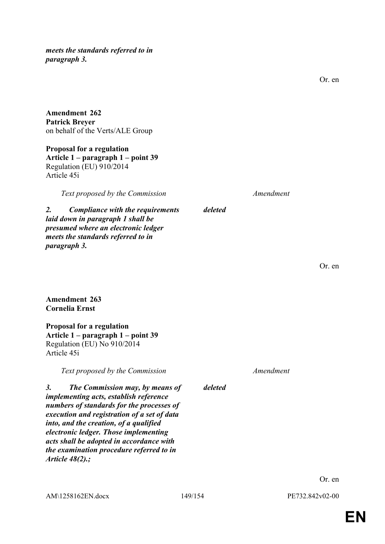*meets the standards referred to in paragraph 3.*

Or. en

**Amendment 262 Patrick Breyer** on behalf of the Verts/ALE Group

**Proposal for a regulation Article 1 – paragraph 1 – point 39** Regulation (EU) 910/2014 Article 45i

*Text proposed by the Commission Amendment*

*2. Compliance with the requirements laid down in paragraph 1 shall be presumed where an electronic ledger meets the standards referred to in paragraph 3.*

Or. en

#### **Amendment 263 Cornelia Ernst**

**Proposal for a regulation Article 1 – paragraph 1 – point 39** Regulation (EU) No 910/2014 Article 45i

*Text proposed by the Commission Amendment*

*3. The Commission may, by means of implementing acts, establish reference numbers of standards for the processes of execution and registration of a set of data into, and the creation, of a qualified electronic ledger. Those implementing acts shall be adopted in accordance with the examination procedure referred to in Article 48(2).;*

*deleted*

*deleted*

Or. en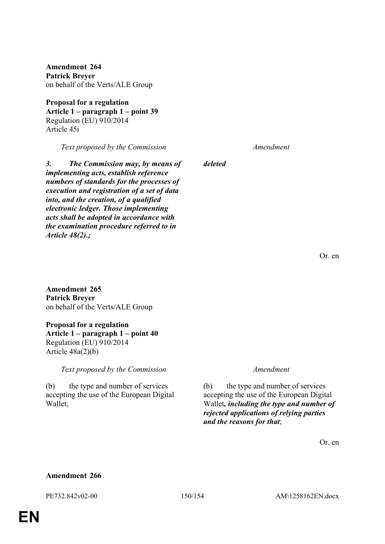**Amendment 264 Patrick Breyer** on behalf of the Verts/ALE Group

**Proposal for a regulation Article 1 – paragraph 1 – point 39** Regulation (EU) 910/2014 Article 45i

*Text proposed by the Commission Amendment*

*3. The Commission may, by means of implementing acts, establish reference numbers of standards for the processes of execution and registration of a set of data into, and the creation, of a qualified electronic ledger. Those implementing acts shall be adopted in accordance with the examination procedure referred to in Article 48(2).;*

*deleted*

Or. en

**Amendment 265 Patrick Breyer** on behalf of the Verts/ALE Group

## **Proposal for a regulation**

**Article 1 – paragraph 1 – point 40** Regulation (EU) 910/2014 Article 48a(2)(b)

*Text proposed by the Commission Amendment*

(b) the type and number of services accepting the use of the European Digital Wallet;

(b) the type and number of services accepting the use of the European Digital Wallet*, including the type and number of rejected applications of relying parties and the reasons for that*;

Or. en

#### **Amendment 266**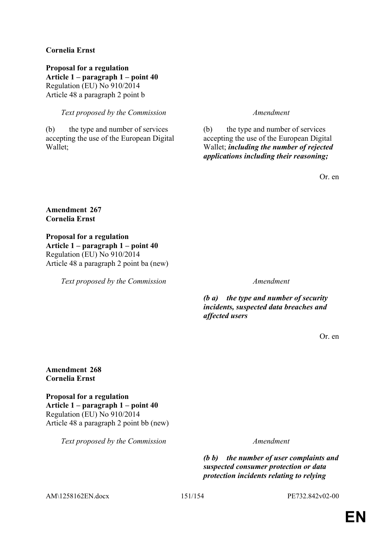### **Cornelia Ernst**

**Proposal for a regulation Article 1 – paragraph 1 – point 40** Regulation (EU) No 910/2014 Article 48 a paragraph 2 point b

*Text proposed by the Commission Amendment*

(b) the type and number of services accepting the use of the European Digital Wallet;

(b) the type and number of services accepting the use of the European Digital Wallet; *including the number of rejected applications including their reasoning;*

Or. en

#### **Amendment 267 Cornelia Ernst**

**Proposal for a regulation Article 1 – paragraph 1 – point 40** Regulation (EU) No 910/2014 Article 48 a paragraph 2 point ba (new)

*Text proposed by the Commission Amendment*

*(b a) the type and number of security incidents, suspected data breaches and affected users*

Or. en

#### **Amendment 268 Cornelia Ernst**

**Proposal for a regulation Article 1 – paragraph 1 – point 40** Regulation (EU) No 910/2014 Article 48 a paragraph 2 point bb (new)

*Text proposed by the Commission Amendment*

*(b b) the number of user complaints and suspected consumer protection or data protection incidents relating to relying* 

AM\1258162EN.docx 151/154 PE732.842v02-00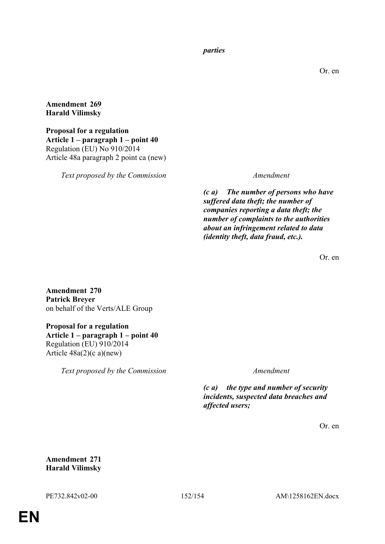*parties*

Or. en

**Amendment 269 Harald Vilimsky**

**Proposal for a regulation Article 1 – paragraph 1 – point 40** Regulation (EU) No 910/2014 Article 48a paragraph 2 point ca (new)

*Text proposed by the Commission Amendment*

*(c a) The number of persons who have suffered data theft; the number of companies reporting a data theft; the number of complaints to the authorities about an infringement related to data (identity theft, data fraud, etc.).*

Or. en

**Amendment 270 Patrick Breyer** on behalf of the Verts/ALE Group

**Proposal for a regulation Article 1 – paragraph 1 – point 40** Regulation (EU) 910/2014 Article  $48a(2)(c a)(new)$ 

*Text proposed by the Commission Amendment*

*(c a) the type and number of security incidents, suspected data breaches and affected users;*

Or. en

**Amendment 271 Harald Vilimsky**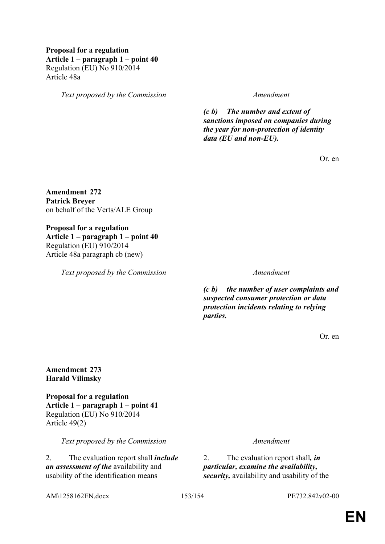#### **Proposal for a regulation Article 1 – paragraph 1 – point 40** Regulation (EU) No 910/2014 Article 48a

*Text proposed by the Commission Amendment*

*(c b) The number and extent of sanctions imposed on companies during the year for non-protection of identity data (EU and non-EU).*

Or. en

**Amendment 272 Patrick Breyer** on behalf of the Verts/ALE Group

**Proposal for a regulation Article 1 – paragraph 1 – point 40** Regulation (EU) 910/2014 Article 48a paragraph cb (new)

*Text proposed by the Commission Amendment*

*(c b) the number of user complaints and suspected consumer protection or data protection incidents relating to relying parties.*

Or. en

**Amendment 273 Harald Vilimsky**

**Proposal for a regulation Article 1 – paragraph 1 – point 41** Regulation (EU) No 910/2014 Article 49(2)

*Text proposed by the Commission Amendment*

2. The evaluation report shall *include an assessment of the* availability and usability of the identification means

2. The evaluation report shall*, in particular, examine the availability, security,* availability and usability of the

AM\1258162EN.docx 153/154 PE732.842v02-00